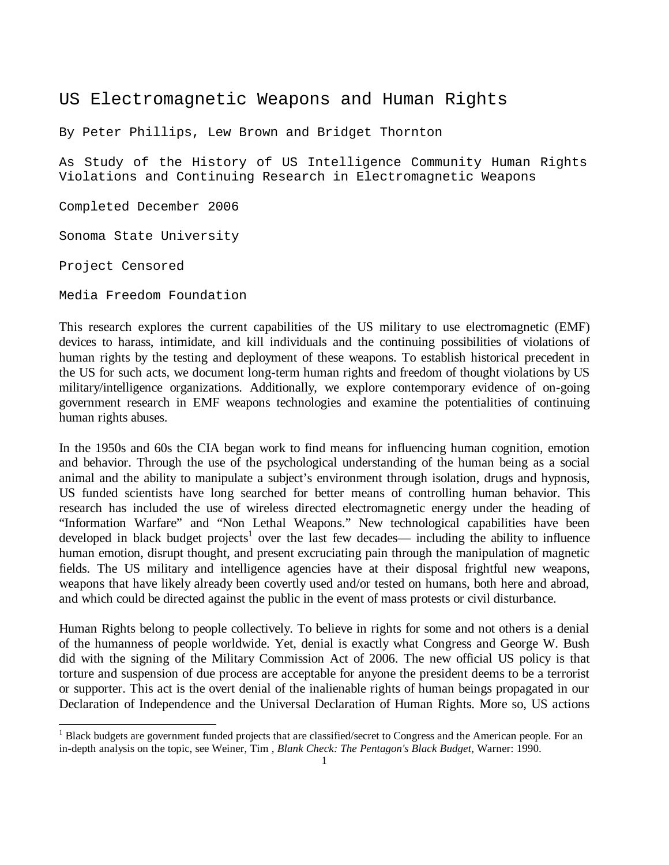# US Electromagnetic Weapons and Human Rights

By Peter Phillips, Lew Brown and Bridget Thornton

As Study of the History of US Intelligence Community Human Rights Violations and Continuing Research in Electromagnetic Weapons

Completed December 2006

Sonoma State University

Project Censored

l

Media Freedom Foundation

This research explores the current capabilities of the US military to use electromagnetic (EMF) devices to harass, intimidate, and kill individuals and the continuing possibilities of violations of human rights by the testing and deployment of these weapons. To establish historical precedent in the US for such acts, we document long-term human rights and freedom of thought violations by US military/intelligence organizations. Additionally, we explore contemporary evidence of on-going government research in EMF weapons technologies and examine the potentialities of continuing human rights abuses.

In the 1950s and 60s the CIA began work to find means for influencing human cognition, emotion and behavior. Through the use of the psychological understanding of the human being as a social animal and the ability to manipulate a subject's environment through isolation, drugs and hypnosis, US funded scientists have long searched for better means of controlling human behavior. This research has included the use of wireless directed electromagnetic energy under the heading of "Information Warfare" and "Non Lethal Weapons." New technological capabilities have been developed in black budget projects<sup>1</sup> over the last few decades— including the ability to influence human emotion, disrupt thought, and present excruciating pain through the manipulation of magnetic fields. The US military and intelligence agencies have at their disposal frightful new weapons, weapons that have likely already been covertly used and/or tested on humans, both here and abroad, and which could be directed against the public in the event of mass protests or civil disturbance.

Human Rights belong to people collectively. To believe in rights for some and not others is a denial of the humanness of people worldwide. Yet, denial is exactly what Congress and George W. Bush did with the signing of the Military Commission Act of 2006. The new official US policy is that torture and suspension of due process are acceptable for anyone the president deems to be a terrorist or supporter. This act is the overt denial of the inalienable rights of human beings propagated in our Declaration of Independence and the Universal Declaration of Human Rights. More so, US actions

<sup>1</sup> Black budgets are government funded projects that are classified/secret to Congress and the American people. For an in-depth analysis on the topic, see Weiner, Tim , *Blank Check: The Pentagon's Black Budget,* Warner: 1990.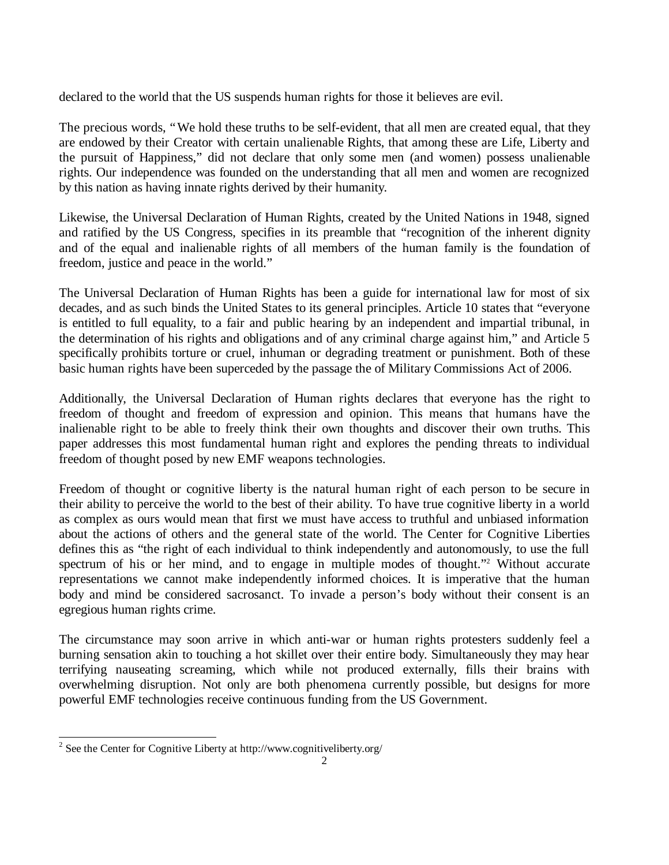declared to the world that the US suspends human rights for those it believes are evil.

The precious words, "We hold these truths to be self-evident, that all men are created equal, that they are endowed by their Creator with certain unalienable Rights, that among these are Life, Liberty and the pursuit of Happiness," did not declare that only some men (and women) possess unalienable rights. Our independence was founded on the understanding that all men and women are recognized by this nation as having innate rights derived by their humanity.

Likewise, the Universal Declaration of Human Rights, created by the United Nations in 1948, signed and ratified by the US Congress, specifies in its preamble that "recognition of the inherent dignity and of the equal and inalienable rights of all members of the human family is the foundation of freedom, justice and peace in the world."

The Universal Declaration of Human Rights has been a guide for international law for most of six decades, and as such binds the United States to its general principles. Article 10 states that "everyone is entitled to full equality, to a fair and public hearing by an independent and impartial tribunal, in the determination of his rights and obligations and of any criminal charge against him," and Article 5 specifically prohibits torture or cruel, inhuman or degrading treatment or punishment. Both of these basic human rights have been superceded by the passage the of Military Commissions Act of 2006.

Additionally, the Universal Declaration of Human rights declares that everyone has the right to freedom of thought and freedom of expression and opinion. This means that humans have the inalienable right to be able to freely think their own thoughts and discover their own truths. This paper addresses this most fundamental human right and explores the pending threats to individual freedom of thought posed by new EMF weapons technologies.

Freedom of thought or cognitive liberty is the natural human right of each person to be secure in their ability to perceive the world to the best of their ability. To have true cognitive liberty in a world as complex as ours would mean that first we must have access to truthful and unbiased information about the actions of others and the general state of the world. The Center for Cognitive Liberties defines this as "the right of each individual to think independently and autonomously, to use the full spectrum of his or her mind, and to engage in multiple modes of thought."<sup>2</sup> Without accurate representations we cannot make independently informed choices. It is imperative that the human body and mind be considered sacrosanct. To invade a person's body without their consent is an egregious human rights crime.

The circumstance may soon arrive in which anti-war or human rights protesters suddenly feel a burning sensation akin to touching a hot skillet over their entire body. Simultaneously they may hear terrifying nauseating screaming, which while not produced externally, fills their brains with overwhelming disruption. Not only are both phenomena currently possible, but designs for more powerful EMF technologies receive continuous funding from the US Government.

<sup>1</sup> <sup>2</sup> See the Center for Cognitive Liberty at http://www.cognitiveliberty.org/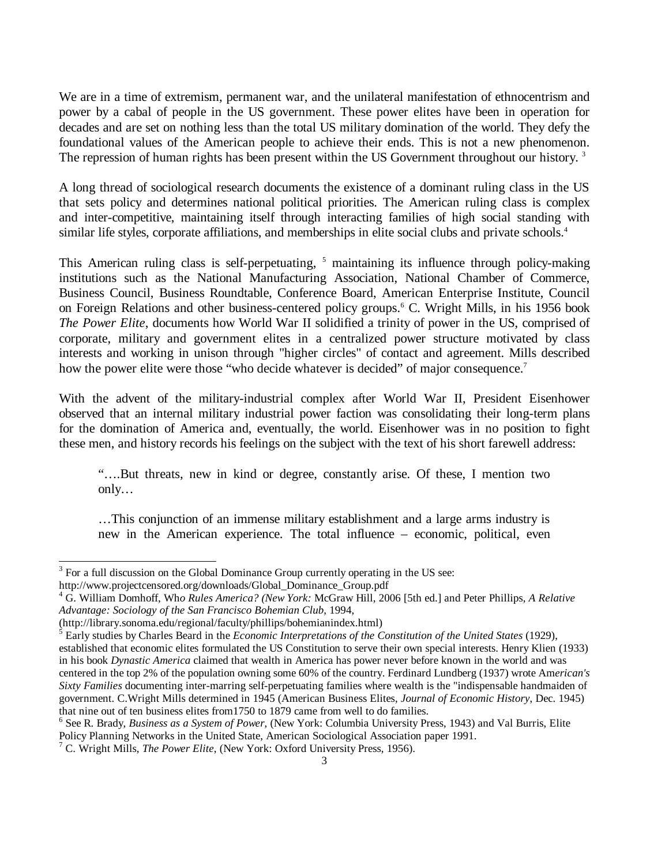We are in a time of extremism, permanent war, and the unilateral manifestation of ethnocentrism and power by a cabal of people in the US government. These power elites have been in operation for decades and are set on nothing less than the total US military domination of the world. They defy the foundational values of the American people to achieve their ends. This is not a new phenomenon. The repression of human rights has been present within the US Government throughout our history.<sup>3</sup>

A long thread of sociological research documents the existence of a dominant ruling class in the US that sets policy and determines national political priorities. The American ruling class is complex and inter-competitive, maintaining itself through interacting families of high social standing with similar life styles, corporate affiliations, and memberships in elite social clubs and private schools.<sup>4</sup>

This American ruling class is self-perpetuating, <sup>5</sup> maintaining its influence through policy-making institutions such as the National Manufacturing Association, National Chamber of Commerce, Business Council, Business Roundtable, Conference Board, American Enterprise Institute, Council on Foreign Relations and other business-centered policy groups.<sup>6</sup> C. Wright Mills, in his 1956 book *The Power Elite*, documents how World War II solidified a trinity of power in the US, comprised of corporate, military and government elites in a centralized power structure motivated by class interests and working in unison through "higher circles" of contact and agreement. Mills described how the power elite were those "who decide whatever is decided" of major consequence.<sup>7</sup>

With the advent of the military-industrial complex after World War II, President Eisenhower observed that an internal military industrial power faction was consolidating their long-term plans for the domination of America and, eventually, the world. Eisenhower was in no position to fight these men, and history records his feelings on the subject with the text of his short farewell address:

"… .But threats, new in kind or degree, constantly arise. Of these, I mention two only…

… This conjunction of an immense military establishment and a large arms industry is new in the American experience. The total influence – economic, political, even

 $3$  For a full discussion on the Global Dominance Group currently operating in the US see:

http://www.projectcensored.org/downloads/Global\_Dominance\_Group.pdf

<sup>4</sup> G. William Domhoff, Wh*o Rules America? (New York:* McGraw Hill, 2006 [5th ed.] and Peter Phillips, *A Relative Advantage: Sociology of the San Francisco Bohemian Club*, 1994,

<sup>(</sup>http://library.sonoma.edu/regional/faculty/phillips/bohemianindex.html)

<sup>5</sup> Early studies by Charles Beard in the *Economic Interpretations of the Constitution of the United States* (1929), established that economic elites formulated the US Constitution to serve their own special interests. Henry Klien (1933) in his book *Dynastic America* claimed that wealth in America has power never before known in the world and was centered in the top 2% of the population owning some 60% of the country. Ferdinard Lundberg (1937) wrote Am*erican's Sixty Families* documenting inter-marring self-perpetuating families where wealth is the "indispensable handmaiden of government. C.Wright Mills determined in 1945 (American Business Elites, *Journal of Economic History*, Dec. 1945) that nine out of ten business elites from1750 to 1879 came from well to do families.

<sup>6</sup> See R. Brady, *Business as a System of Power*, (New York: Columbia University Press, 1943) and Val Burris, Elite Policy Planning Networks in the United State, American Sociological Association paper 1991.

<sup>7</sup> C. Wright Mills, *The Power Elite*, (New York: Oxford University Press, 1956).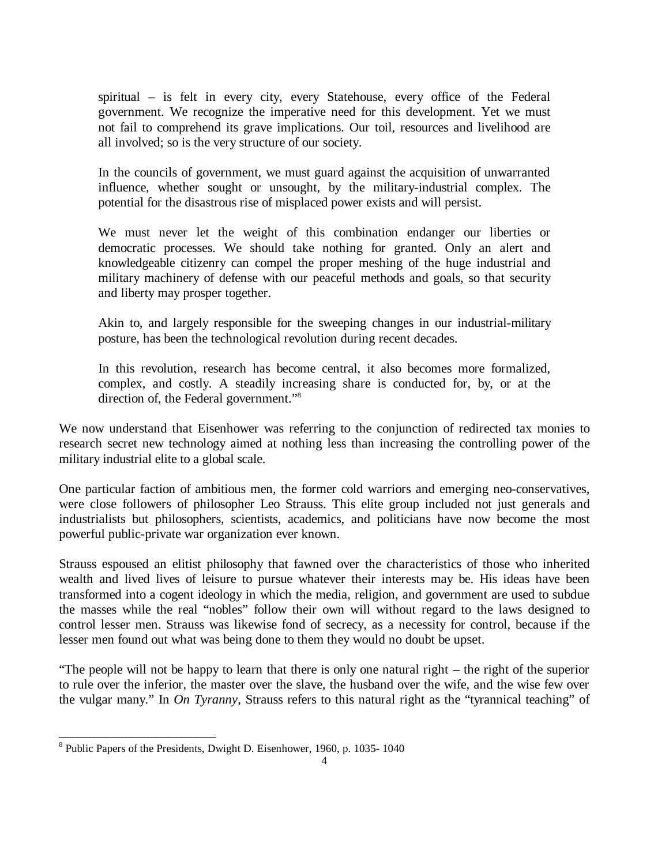spiritual – is felt in every city, every Statehouse, every office of the Federal government. We recognize the imperative need for this development. Yet we must not fail to comprehend its grave implications. Our toil, resources and livelihood are all involved; so is the very structure of our society.

In the councils of government, we must guard against the acquisition of unwarranted influence, whether sought or unsought, by the military-industrial complex. The potential for the disastrous rise of misplaced power exists and will persist.

We must never let the weight of this combination endanger our liberties or democratic processes. We should take nothing for granted. Only an alert and knowledgeable citizenry can compel the proper meshing of the huge industrial and military machinery of defense with our peaceful methods and goals, so that security and liberty may prosper together.

Akin to, and largely responsible for the sweeping changes in our industrial-military posture, has been the technological revolution during recent decades.

In this revolution, research has become central, it also becomes more formalized, complex, and costly. A steadily increasing share is conducted for, by, or at the direction of, the Federal government."<sup>8</sup>

We now understand that Eisenhower was referring to the conjunction of redirected tax monies to research secret new technology aimed at nothing less than increasing the controlling power of the military industrial elite to a global scale.

One particular faction of ambitious men, the former cold warriors and emerging neo-conservatives, were close followers of philosopher Leo Strauss. This elite group included not just generals and industrialists but philosophers, scientists, academics, and politicians have now become the most powerful public-private war organization ever known.

Strauss espoused an elitist philosophy that fawned over the characteristics of those who inherited wealth and lived lives of leisure to pursue whatever their interests may be. His ideas have been transformed into a cogent ideology in which the media, religion, and government are used to subdue the masses while the real "nobles" follow their own will without regard to the laws designed to control lesser men. Strauss was likewise fond of secrecy, as a necessity for control, because if the lesser men found out what was being done to them they would no doubt be upset.

"The people will not be happy to learn that there is only one natural right – the right of the superior to rule over the inferior, the master over the slave, the husband over the wife, and the wise few over the vulgar many." In *On Tyranny*, Strauss refers to this natural right as the "tyrannical teaching" of

<sup>1</sup> <sup>8</sup> Public Papers of the Presidents, Dwight D. Eisenhower, 1960, p. 1035-1040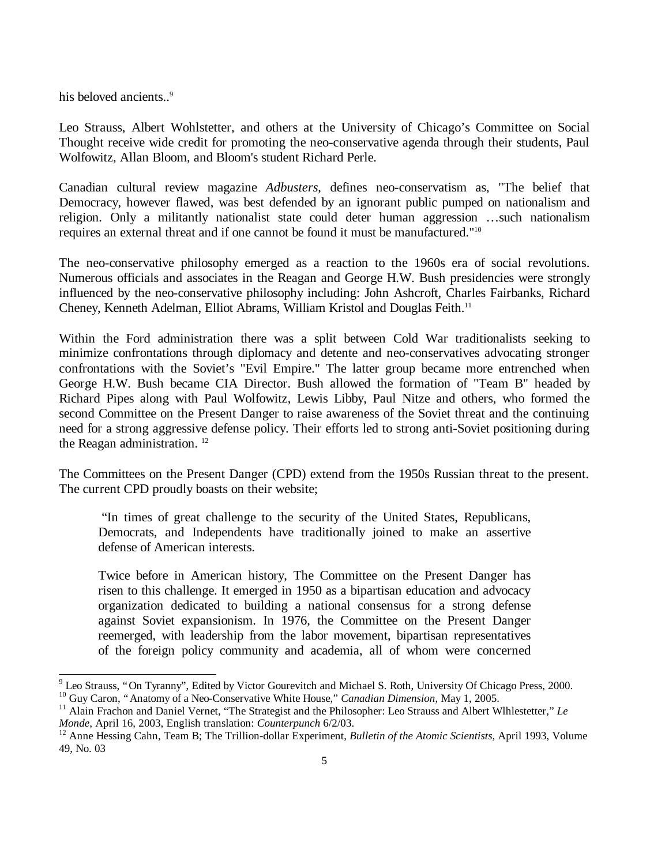his beloved ancients..<sup>9</sup>

1

Leo Strauss, Albert Wohlstetter, and others at the University of Chicago's Committee on Social Thought receive wide credit for promoting the neo-conservative agenda through their students, Paul Wolfowitz, Allan Bloom, and Bloom's student Richard Perle.

Canadian cultural review magazine *Adbusters*, defines neo-conservatism as, "The belief that Democracy, however flawed, was best defended by an ignorant public pumped on nationalism and religion. Only a militantly nationalist state could deter human aggression … such nationalism requires an external threat and if one cannot be found it must be manufactured."<sup>10</sup>

The neo-conservative philosophy emerged as a reaction to the 1960s era of social revolutions. Numerous officials and associates in the Reagan and George H.W. Bush presidencies were strongly influenced by the neo-conservative philosophy including: John Ashcroft, Charles Fairbanks, Richard Cheney, Kenneth Adelman, Elliot Abrams, William Kristol and Douglas Feith.<sup>11</sup>

Within the Ford administration there was a split between Cold War traditionalists seeking to minimize confrontations through diplomacy and detente and neo-conservatives advocating stronger confrontations with the Soviet's "Evil Empire." The latter group became more entrenched when George H.W. Bush became CIA Director. Bush allowed the formation of "Team B" headed by Richard Pipes along with Paul Wolfowitz, Lewis Libby, Paul Nitze and others, who formed the second Committee on the Present Danger to raise awareness of the Soviet threat and the continuing need for a strong aggressive defense policy. Their efforts led to strong anti-Soviet positioning during the Reagan administration. <sup>12</sup>

The Committees on the Present Danger (CPD) extend from the 1950s Russian threat to the present. The current CPD proudly boasts on their website;

 "In times of great challenge to the security of the United States, Republicans, Democrats, and Independents have traditionally joined to make an assertive defense of American interests.

Twice before in American history, The Committee on the Present Danger has risen to this challenge. It emerged in 1950 as a bipartisan education and advocacy organization dedicated to building a national consensus for a strong defense against Soviet expansionism. In 1976, the Committee on the Present Danger reemerged, with leadership from the labor movement, bipartisan representatives of the foreign policy community and academia, all of whom were concerned

<sup>&</sup>lt;sup>9</sup> Leo Strauss, "On Tyranny", Edited by Victor Gourevitch and Michael S. Roth, University Of Chicago Press, 2000. <sup>10</sup> Guy Caron, "Anatomy of a Neo-Conservative White House," *Canadian Dimension*, May 1, 2005.

<sup>&</sup>lt;sup>11</sup> Alain Frachon and Daniel Vernet, "The Strategist and the Philosopher: Leo Strauss and Albert Wlhlestetter," Le *Monde*, April 16, 2003, English translation: *Counterpunch* 6/2/03.

<sup>&</sup>lt;sup>12</sup> Anne Hessing Cahn, Team B; The Trillion-dollar Experiment, *Bulletin of the Atomic Scientists*, April 1993, Volume 49, No. 03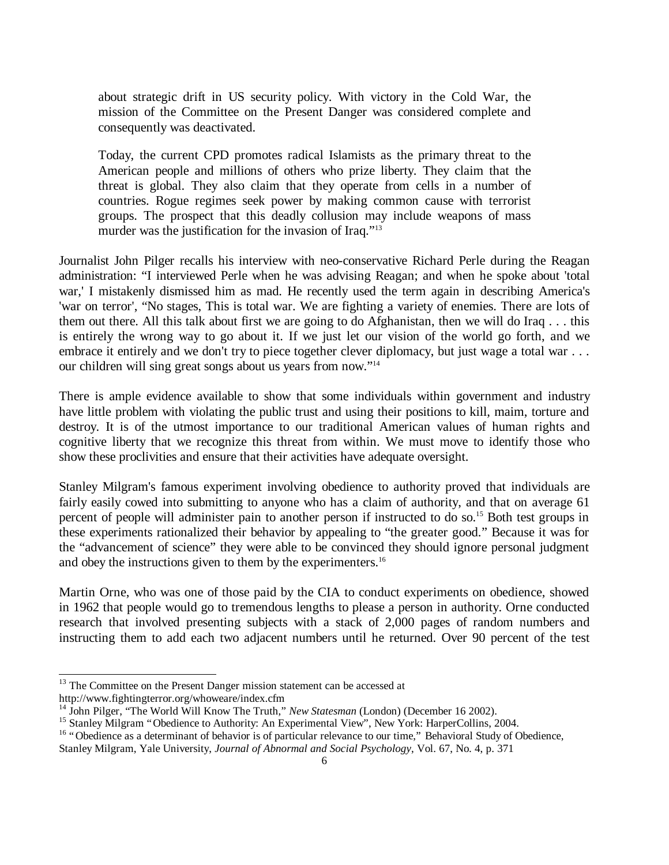about strategic drift in US security policy. With victory in the Cold War, the mission of the Committee on the Present Danger was considered complete and consequently was deactivated.

Today, the current CPD promotes radical Islamists as the primary threat to the American people and millions of others who prize liberty. They claim that the threat is global. They also claim that they operate from cells in a number of countries. Rogue regimes seek power by making common cause with terrorist groups. The prospect that this deadly collusion may include weapons of mass murder was the justification for the invasion of Iraq."<sup>13</sup>

Journalist John Pilger recalls his interview with neo-conservative Richard Perle during the Reagan administration: "I interviewed Perle when he was advising Reagan; and when he spoke about 'total war,' I mistakenly dismissed him as mad. He recently used the term again in describing America's 'war on terror', "No stages, This is total war. We are fighting a variety of enemies. There are lots of them out there. All this talk about first we are going to do Afghanistan, then we will do Iraq . . . this is entirely the wrong way to go about it. If we just let our vision of the world go forth, and we embrace it entirely and we don't try to piece together clever diplomacy, but just wage a total war . . . our children will sing great songs about us years from now." 14

There is ample evidence available to show that some individuals within government and industry have little problem with violating the public trust and using their positions to kill, maim, torture and destroy. It is of the utmost importance to our traditional American values of human rights and cognitive liberty that we recognize this threat from within. We must move to identify those who show these proclivities and ensure that their activities have adequate oversight.

Stanley Milgram's famous experiment involving obedience to authority proved that individuals are fairly easily cowed into submitting to anyone who has a claim of authority, and that on average 61 percent of people will administer pain to another person if instructed to do so.<sup>15</sup> Both test groups in these experiments rationalized their behavior by appealing to "the greater good." Because it was for the "advancement of science" they were able to be convinced they should ignore personal judgment and obey the instructions given to them by the experimenters.<sup>16</sup>

Martin Orne, who was one of those paid by the CIA to conduct experiments on obedience, showed in 1962 that people would go to tremendous lengths to please a person in authority. Orne conducted research that involved presenting subjects with a stack of 2,000 pages of random numbers and instructing them to add each two adjacent numbers until he returned. Over 90 percent of the test

l

<sup>&</sup>lt;sup>13</sup> The Committee on the Present Danger mission statement can be accessed at http://www.fightingterror.org/whoweare/index.cfm

<sup>14</sup> John Pilger, "The World Will Know The Truth," *New Statesman* (London) (December 16 2002).

<sup>&</sup>lt;sup>15</sup> Stanley Milgram "Obedience to Authority: An Experimental View", New York: HarperCollins, 2004.

<sup>&</sup>lt;sup>16</sup> "Obedience as a determinant of behavior is of particular relevance to our time," Behavioral Study of Obedience,

Stanley Milgram, Yale University, *Journal of Abnormal and Social Psychology*, Vol. 67, No. 4, p. 371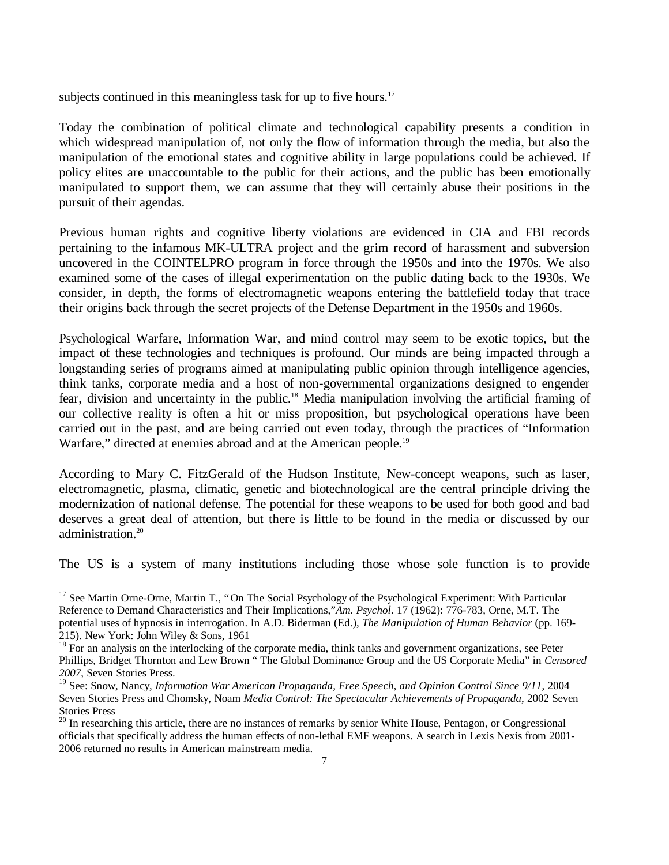subjects continued in this meaningless task for up to five hours.<sup>17</sup>

Today the combination of political climate and technological capability presents a condition in which widespread manipulation of, not only the flow of information through the media, but also the manipulation of the emotional states and cognitive ability in large populations could be achieved. If policy elites are unaccountable to the public for their actions, and the public has been emotionally manipulated to support them, we can assume that they will certainly abuse their positions in the pursuit of their agendas.

Previous human rights and cognitive liberty violations are evidenced in CIA and FBI records pertaining to the infamous MK-ULTRA project and the grim record of harassment and subversion uncovered in the COINTELPRO program in force through the 1950s and into the 1970s. We also examined some of the cases of illegal experimentation on the public dating back to the 1930s. We consider, in depth, the forms of electromagnetic weapons entering the battlefield today that trace their origins back through the secret projects of the Defense Department in the 1950s and 1960s.

Psychological Warfare, Information War, and mind control may seem to be exotic topics, but the impact of these technologies and techniques is profound. Our minds are being impacted through a longstanding series of programs aimed at manipulating public opinion through intelligence agencies, think tanks, corporate media and a host of non-governmental organizations designed to engender fear, division and uncertainty in the public.<sup>18</sup> Media manipulation involving the artificial framing of our collective reality is often a hit or miss proposition, but psychological operations have been carried out in the past, and are being carried out even today, through the practices of "Information Warfare," directed at enemies abroad and at the American people.<sup>19</sup>

According to Mary C. FitzGerald of the Hudson Institute, New-concept weapons, such as laser, electromagnetic, plasma, climatic, genetic and biotechnological are the central principle driving the modernization of national defense. The potential for these weapons to be used for both good and bad deserves a great deal of attention, but there is little to be found in the media or discussed by our administration.<sup>20</sup>

The US is a system of many institutions including those whose sole function is to provide

1

<sup>&</sup>lt;sup>17</sup> See Martin Orne-Orne, Martin T., "On The Social Psychology of the Psychological Experiment: With Particular Reference to Demand Characteristics and Their Implications,"*Am. Psychol*. 17 (1962): 776-783, Orne, M.T. The potential uses of hypnosis in interrogation. In A.D. Biderman (Ed.), *The Manipulation of Human Behavior* (pp. 169- 215). New York: John Wiley & Sons, 1961

<sup>18</sup> For an analysis on the interlocking of the corporate media, think tanks and government organizations, see Peter Phillips, Bridget Thornton and Lew Brown " The Global Dominance Group and the US Corporate Media" in *Censored 2007*, Seven Stories Press.

<sup>19</sup> See: Snow, Nancy, *Information War American Propaganda, Free Speech, and Opinion Control Since 9/11*, 2004 Seven Stories Press and Chomsky, Noam *Media Control: The Spectacular Achievements of Propaganda*, 2002 Seven Stories Press

 $20$  In researching this article, there are no instances of remarks by senior White House, Pentagon, or Congressional officials that specifically address the human effects of non-lethal EMF weapons. A search in Lexis Nexis from 2001- 2006 returned no results in American mainstream media.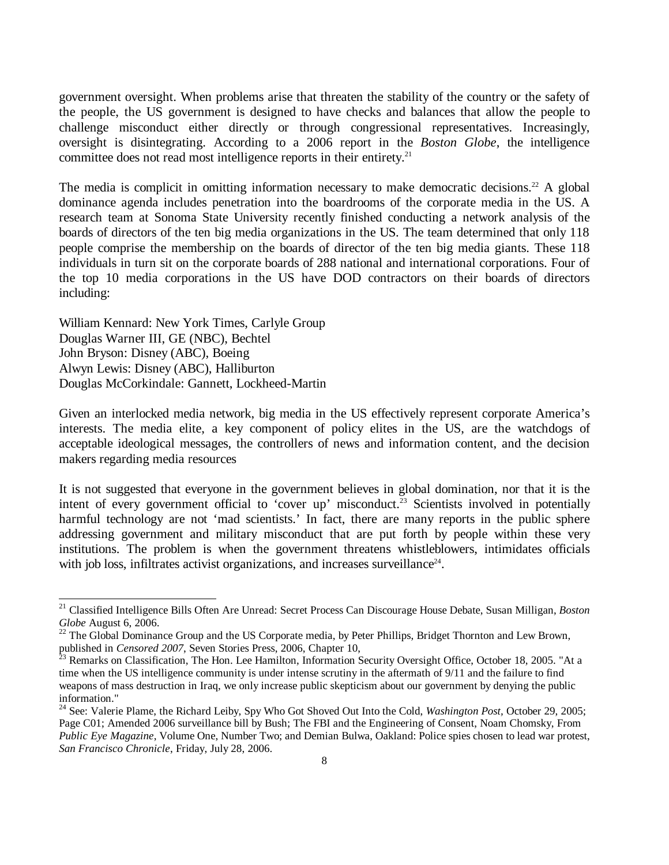government oversight. When problems arise that threaten the stability of the country or the safety of the people, the US government is designed to have checks and balances that allow the people to challenge misconduct either directly or through congressional representatives. Increasingly, oversight is disintegrating. According to a 2006 report in the *Boston Globe*, the intelligence committee does not read most intelligence reports in their entirety.<sup>21</sup>

The media is complicit in omitting information necessary to make democratic decisions.<sup>22</sup> A global dominance agenda includes penetration into the boardrooms of the corporate media in the US. A research team at Sonoma State University recently finished conducting a network analysis of the boards of directors of the ten big media organizations in the US. The team determined that only 118 people comprise the membership on the boards of director of the ten big media giants. These 118 individuals in turn sit on the corporate boards of 288 national and international corporations. Four of the top 10 media corporations in the US have DOD contractors on their boards of directors including:

William Kennard: New York Times, Carlyle Group Douglas Warner III, GE (NBC), Bechtel John Bryson: Disney (ABC), Boeing Alwyn Lewis: Disney (ABC), Halliburton Douglas McCorkindale: Gannett, Lockheed-Martin

-

Given an interlocked media network, big media in the US effectively represent corporate America's interests. The media elite, a key component of policy elites in the US, are the watchdogs of acceptable ideological messages, the controllers of news and information content, and the decision makers regarding media resources

It is not suggested that everyone in the government believes in global domination, nor that it is the intent of every government official to 'cover up' misconduct.<sup>23</sup> Scientists involved in potentially harmful technology are not 'mad scientists.' In fact, there are many reports in the public sphere addressing government and military misconduct that are put forth by people within these very institutions. The problem is when the government threatens whistleblowers, intimidates officials with job loss, infiltrates activist organizations, and increases surveillance $24$ .

<sup>21</sup> Classified Intelligence Bills Often Are Unread: Secret Process Can Discourage House Debate, Susan Milligan, *Boston Globe* August 6, 2006.

<sup>22</sup> The Global Dominance Group and the US Corporate media, by Peter Phillips, Bridget Thornton and Lew Brown, published in *Censored 2007*, Seven Stories Press, 2006, Chapter 10,

<sup>23</sup> Remarks on Classification, The Hon. Lee Hamilton, Information Security Oversight Office, October 18, 2005. "At a time when the US intelligence community is under intense scrutiny in the aftermath of 9/11 and the failure to find weapons of mass destruction in Iraq, we only increase public skepticism about our government by denying the public information."

<sup>24</sup> See: Valerie Plame, the Richard Leiby, Spy Who Got Shoved Out Into the Cold, *Washington Post,* October 29, 2005; Page C01; Amended 2006 surveillance bill by Bush; The FBI and the Engineering of Consent, Noam Chomsky, From *Public Eye Magazine*, Volume One, Number Two; and Demian Bulwa, Oakland: Police spies chosen to lead war protest, *San Francisco Chronicle*, Friday, July 28, 2006.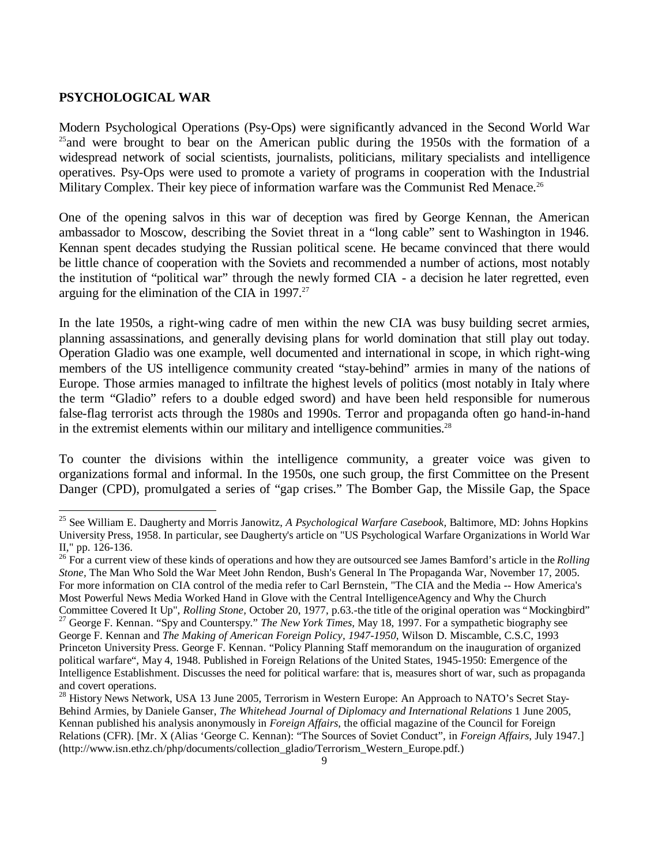#### **PSYCHOLOGICAL WAR**

-

Modern Psychological Operations (Psy-Ops) were significantly advanced in the Second World War <sup>25</sup>and were brought to bear on the American public during the 1950s with the formation of a widespread network of social scientists, journalists, politicians, military specialists and intelligence operatives. Psy-Ops were used to promote a variety of programs in cooperation with the Industrial Military Complex. Their key piece of information warfare was the Communist Red Menace.<sup>26</sup>

One of the opening salvos in this war of deception was fired by George Kennan, the American ambassador to Moscow, describing the Soviet threat in a "long cable" sent to Washington in 1946. Kennan spent decades studying the Russian political scene. He became convinced that there would be little chance of cooperation with the Soviets and recommended a number of actions, most notably the institution of "political war" through the newly formed CIA - a decision he later regretted, even arguing for the elimination of the CIA in  $1997.^{27}$ 

In the late 1950s, a right-wing cadre of men within the new CIA was busy building secret armies, planning assassinations, and generally devising plans for world domination that still play out today. Operation Gladio was one example, well documented and international in scope, in which right-wing members of the US intelligence community created "stay-behind" armies in many of the nations of Europe. Those armies managed to infiltrate the highest levels of politics (most notably in Italy where the term "Gladio" refers to a double edged sword) and have been held responsible for numerous false-flag terrorist acts through the 1980s and 1990s. Terror and propaganda often go hand-in-hand in the extremist elements within our military and intelligence communities.<sup>28</sup>

To counter the divisions within the intelligence community, a greater voice was given to organizations formal and informal. In the 1950s, one such group, the first Committee on the Present Danger (CPD), promulgated a series of "gap crises." The Bomber Gap, the Missile Gap, the Space

<sup>25</sup> See William E. Daugherty and Morris Janowitz, *A Psychological Warfare Casebook,* Baltimore, MD: Johns Hopkins University Press, 1958. In particular, see Daugherty's article on "US Psychological Warfare Organizations in World War II," pp. 126-136.

<sup>&</sup>lt;sup>26</sup> For a current view of these kinds of operations and how they are outsourced see James Bamford's article in the *Rolling Stone,* The Man Who Sold the War Meet John Rendon, Bush's General In The Propaganda War, November 17, 2005. For more information on CIA control of the media refer to Carl Bernstein, "The CIA and the Media -- How America's Most Powerful News Media Worked Hand in Glove with the Central IntelligenceAgency and Why the Church Committee Covered It Up", *Rolling Stone,* October 20, 1977, p.63.-the title of the original operation was "Mockingbird" <sup>27</sup> George F. Kennan. "Spy and Counterspy." *The New York Times,* May 18, 1997. For a sympathetic biography see

George F. Kennan and *The Making of American Foreign Policy, 1947-1950*, Wilson D. Miscamble, C.S.C, 1993 Princeton University Press. George F. Kennan. "Policy Planning Staff memorandum on the inauguration of organized political warfare", May 4, 1948. Published in Foreign Relations of the United States, 1945-1950: Emergence of the Intelligence Establishment. Discusses the need for political warfare: that is, measures short of war, such as propaganda and covert operations.

<sup>&</sup>lt;sup>28</sup> History News Network, USA 13 June 2005, Terrorism in Western Europe: An Approach to NATO's Secret Stay-Behind Armies, by Daniele Ganser, *The Whitehead Journal of Diplomacy and International Relations* 1 June 2005, Kennan published his analysis anonymously in *Foreign Affairs*, the official magazine of the Council for Foreign Relations (CFR). [Mr. X (Alias 'George C. Kennan): "The Sources of Soviet Conduct", in *Foreign Affairs*, July 1947.] (http://www.isn.ethz.ch/php/documents/collection\_gladio/Terrorism\_Western\_Europe.pdf.)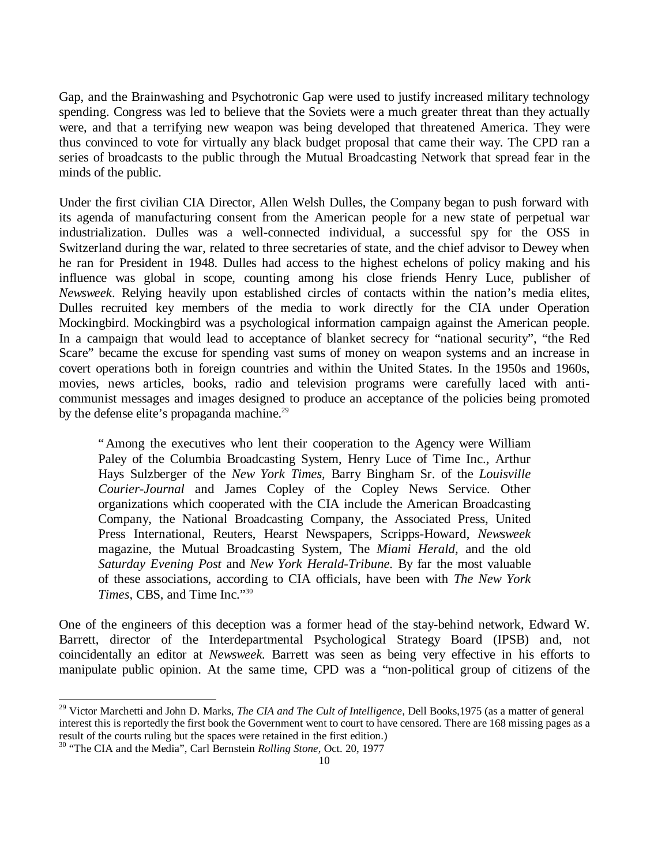Gap, and the Brainwashing and Psychotronic Gap were used to justify increased military technology spending. Congress was led to believe that the Soviets were a much greater threat than they actually were, and that a terrifying new weapon was being developed that threatened America. They were thus convinced to vote for virtually any black budget proposal that came their way. The CPD ran a series of broadcasts to the public through the Mutual Broadcasting Network that spread fear in the minds of the public.

Under the first civilian CIA Director, Allen Welsh Dulles, the Company began to push forward with its agenda of manufacturing consent from the American people for a new state of perpetual war industrialization. Dulles was a well-connected individual, a successful spy for the OSS in Switzerland during the war, related to three secretaries of state, and the chief advisor to Dewey when he ran for President in 1948. Dulles had access to the highest echelons of policy making and his influence was global in scope, counting among his close friends Henry Luce, publisher of *Newsweek*. Relying heavily upon established circles of contacts within the nation's media elites, Dulles recruited key members of the media to work directly for the CIA under Operation Mockingbird. Mockingbird was a psychological information campaign against the American people. In a campaign that would lead to acceptance of blanket secrecy for "national security", "the Red Scare" became the excuse for spending vast sums of money on weapon systems and an increase in covert operations both in foreign countries and within the United States. In the 1950s and 1960s, movies, news articles, books, radio and television programs were carefully laced with anticommunist messages and images designed to produce an acceptance of the policies being promoted by the defense elite's propaganda machine.<sup>29</sup>

"Among the executives who lent their cooperation to the Agency were William Paley of the Columbia Broadcasting System, Henry Luce of Time Inc., Arthur Hays Sulzberger of the *New York Times,* Barry Bingham Sr. of the *Louisville Courier-Journal* and James Copley of the Copley News Service. Other organizations which cooperated with the CIA include the American Broadcasting Company, the National Broadcasting Company, the Associated Press, United Press International, Reuters, Hearst Newspapers, Scripps-Howard, *Newsweek*  magazine, the Mutual Broadcasting System, The *Miami Herald,* and the old *Saturday Evening Post* and *New York Herald-Tribune.* By far the most valuable of these associations, according to CIA officials, have been with *The New York Times,* CBS, and Time Inc." 30

One of the engineers of this deception was a former head of the stay-behind network, Edward W. Barrett, director of the Interdepartmental Psychological Strategy Board (IPSB) and, not coincidentally an editor at *Newsweek.* Barrett was seen as being very effective in his efforts to manipulate public opinion. At the same time, CPD was a "non-political group of citizens of the

l

<sup>29</sup> Victor Marchetti and John D. Marks, *The CIA and The Cult of Intelligence,* Dell Books,1975 (as a matter of general interest this is reportedly the first book the Government went to court to have censored. There are 168 missing pages as a result of the courts ruling but the spaces were retained in the first edition.)

<sup>30</sup> "The CIA and the Media", Carl Bernstein *Rolling Stone,* Oct. 20, 1977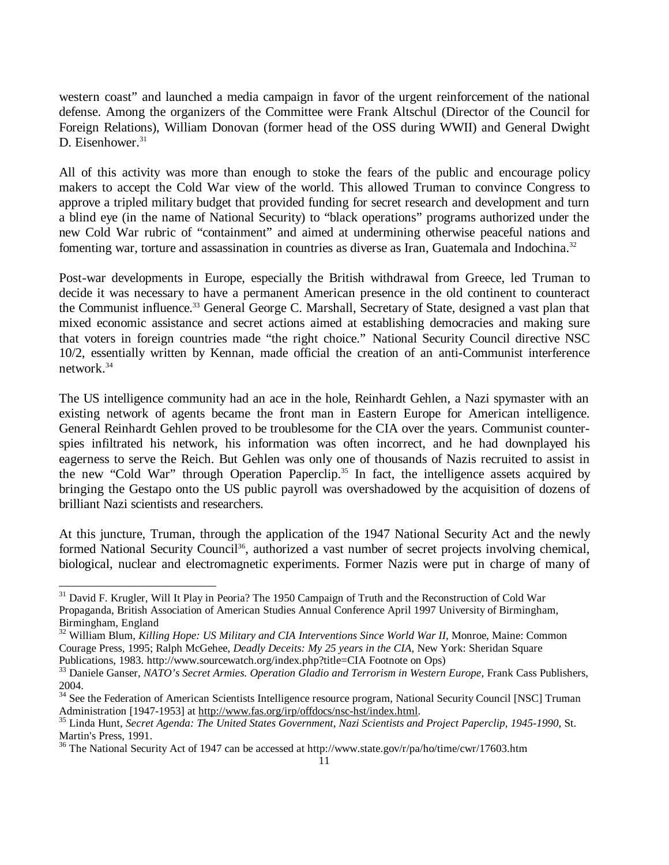western coast" and launched a media campaign in favor of the urgent reinforcement of the national defense. Among the organizers of the Committee were Frank Altschul (Director of the Council for Foreign Relations), William Donovan (former head of the OSS during WWII) and General Dwight D. Eisenhower.<sup>31</sup>

All of this activity was more than enough to stoke the fears of the public and encourage policy makers to accept the Cold War view of the world. This allowed Truman to convince Congress to approve a tripled military budget that provided funding for secret research and development and turn a blind eye (in the name of National Security) to "black operations" programs authorized under the new Cold War rubric of "containment" and aimed at undermining otherwise peaceful nations and fomenting war, torture and assassination in countries as diverse as Iran, Guatemala and Indochina.<sup>32</sup>

Post-war developments in Europe, especially the British withdrawal from Greece, led Truman to decide it was necessary to have a permanent American presence in the old continent to counteract the Communist influence.<sup>33</sup> General George C. Marshall, Secretary of State, designed a vast plan that mixed economic assistance and secret actions aimed at establishing democracies and making sure that voters in foreign countries made "the right choice." National Security Council directive NSC 10/2, essentially written by Kennan, made official the creation of an anti-Communist interference network.<sup>34</sup>

The US intelligence community had an ace in the hole, Reinhardt Gehlen, a Nazi spymaster with an existing network of agents became the front man in Eastern Europe for American intelligence. General Reinhardt Gehlen proved to be troublesome for the CIA over the years. Communist counterspies infiltrated his network, his information was often incorrect, and he had downplayed his eagerness to serve the Reich. But Gehlen was only one of thousands of Nazis recruited to assist in the new "Cold War" through Operation Paperclip.<sup>35</sup> In fact, the intelligence assets acquired by bringing the Gestapo onto the US public payroll was overshadowed by the acquisition of dozens of brilliant Nazi scientists and researchers.

At this juncture, Truman, through the application of the 1947 National Security Act and the newly formed National Security Council<sup>36</sup>, authorized a vast number of secret projects involving chemical, biological, nuclear and electromagnetic experiments. Former Nazis were put in charge of many of

l

<sup>&</sup>lt;sup>31</sup> David F. Krugler, Will It Play in Peoria? The 1950 Campaign of Truth and the Reconstruction of Cold War Propaganda, British Association of American Studies Annual Conference April 1997 University of Birmingham, Birmingham, England

<sup>&</sup>lt;sup>32</sup> William Blum, *Killing Hope: US Military and CIA Interventions Since World War II*, Monroe, Maine: Common Courage Press, 1995; Ralph McGehee, *Deadly Deceits: My 25 years in the CIA,* New York: Sheridan Square Publications, 1983. http://www.sourcewatch.org/index.php?title=CIA Footnote on Ops)

<sup>33</sup> Daniele Ganser, *NATO's Secret Armies. Operation Gladio and Terrorism in Western Europe,* Frank Cass Publishers, 2004.

<sup>&</sup>lt;sup>34</sup> See the Federation of American Scientists Intelligence resource program, National Security Council [NSC] Truman Administration [1947-1953] at http://www.fas.org/irp/offdocs/nsc-hst/index.html.

<sup>35</sup> Linda Hunt, *Secret Agenda: The United States Government, Nazi Scientists and Project Paperclip, 1945-1990,* St. Martin's Press, 1991.

<sup>&</sup>lt;sup>36</sup> The National Security Act of 1947 can be accessed at http://www.state.gov/r/pa/ho/time/cwr/17603.htm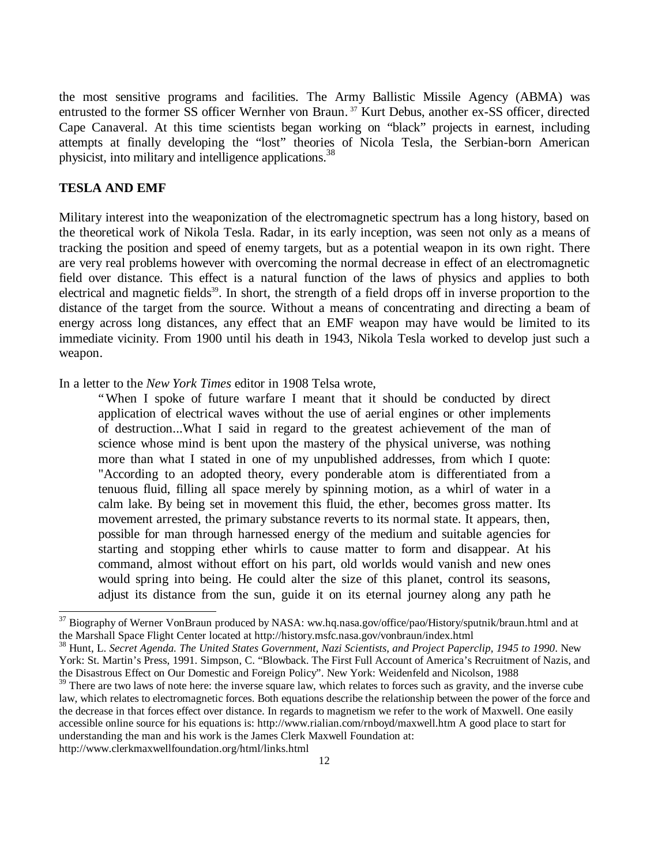the most sensitive programs and facilities. The Army Ballistic Missile Agency (ABMA) was entrusted to the former SS officer Wernher von Braun. <sup>37</sup> Kurt Debus, another ex-SS officer, directed Cape Canaveral. At this time scientists began working on "black" projects in earnest, including attempts at finally developing the "lost" theories of Nicola Tesla, the Serbian-born American physicist, into military and intelligence applications.<sup>38</sup>

#### **TESLA AND EMF**

-

Military interest into the weaponization of the electromagnetic spectrum has a long history, based on the theoretical work of Nikola Tesla. Radar, in its early inception, was seen not only as a means of tracking the position and speed of enemy targets, but as a potential weapon in its own right. There are very real problems however with overcoming the normal decrease in effect of an electromagnetic field over distance. This effect is a natural function of the laws of physics and applies to both electrical and magnetic fields<sup>39</sup>. In short, the strength of a field drops off in inverse proportion to the distance of the target from the source. Without a means of concentrating and directing a beam of energy across long distances, any effect that an EMF weapon may have would be limited to its immediate vicinity. From 1900 until his death in 1943, Nikola Tesla worked to develop just such a weapon.

In a letter to the *New York Times* editor in 1908 Telsa wrote,

"When I spoke of future warfare I meant that it should be conducted by direct application of electrical waves without the use of aerial engines or other implements of destruction...What I said in regard to the greatest achievement of the man of science whose mind is bent upon the mastery of the physical universe, was nothing more than what I stated in one of my unpublished addresses, from which I quote: "According to an adopted theory, every ponderable atom is differentiated from a tenuous fluid, filling all space merely by spinning motion, as a whirl of water in a calm lake. By being set in movement this fluid, the ether, becomes gross matter. Its movement arrested, the primary substance reverts to its normal state. It appears, then, possible for man through harnessed energy of the medium and suitable agencies for starting and stopping ether whirls to cause matter to form and disappear. At his command, almost without effort on his part, old worlds would vanish and new ones would spring into being. He could alter the size of this planet, control its seasons, adjust its distance from the sun, guide it on its eternal journey along any path he

<sup>&</sup>lt;sup>37</sup> Biography of Werner VonBraun produced by NASA: ww.hq.nasa.gov/office/pao/History/sputnik/braun.html and at the Marshall Space Flight Center located at http://history.msfc.nasa.gov/vonbraun/index.html

<sup>38</sup> Hunt, L. *Secret Agenda. The United States Government, Nazi Scientists, and Project Paperclip, 1945 to 1990*. New York: St. Martin's Press, 1991. Simpson, C. "Blowback. The First Full Account of America's Recruitment of Nazis, and the Disastrous Effect on Our Domestic and Foreign Policy". New York: Weidenfeld and Nicolson, 1988

 $39$  There are two laws of note here: the inverse square law, which relates to forces such as gravity, and the inverse cube law, which relates to electromagnetic forces. Both equations describe the relationship between the power of the force and the decrease in that forces effect over distance. In regards to magnetism we refer to the work of Maxwell. One easily accessible online source for his equations is: http://www.rialian.com/rnboyd/maxwell.htm A good place to start for understanding the man and his work is the James Clerk Maxwell Foundation at: http://www.clerkmaxwellfoundation.org/html/links.html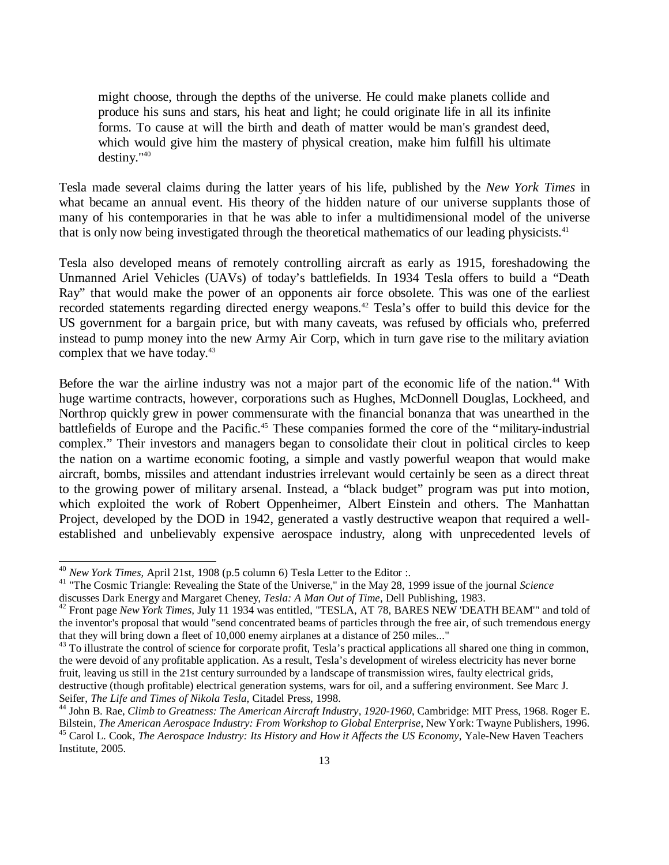might choose, through the depths of the universe. He could make planets collide and produce his suns and stars, his heat and light; he could originate life in all its infinite forms. To cause at will the birth and death of matter would be man's grandest deed, which would give him the mastery of physical creation, make him fulfill his ultimate destiny."<sup>40</sup>

Tesla made several claims during the latter years of his life, published by the *New York Times* in what became an annual event. His theory of the hidden nature of our universe supplants those of many of his contemporaries in that he was able to infer a multidimensional model of the universe that is only now being investigated through the theoretical mathematics of our leading physicists.<sup>41</sup>

Tesla also developed means of remotely controlling aircraft as early as 1915, foreshadowing the Unmanned Ariel Vehicles (UAVs) of today's battlefields. In 1934 Tesla offers to build a "Death Ray" that would make the power of an opponents air force obsolete. This was one of the earliest recorded statements regarding directed energy weapons.<sup>42</sup> Tesla's offer to build this device for the US government for a bargain price, but with many caveats, was refused by officials who, preferred instead to pump money into the new Army Air Corp, which in turn gave rise to the military aviation complex that we have today.<sup>43</sup>

Before the war the airline industry was not a major part of the economic life of the nation.<sup>44</sup> With huge wartime contracts, however, corporations such as Hughes, McDonnell Douglas, Lockheed, and Northrop quickly grew in power commensurate with the financial bonanza that was unearthed in the battlefields of Europe and the Pacific.<sup>45</sup> These companies formed the core of the "military-industrial complex." Their investors and managers began to consolidate their clout in political circles to keep the nation on a wartime economic footing, a simple and vastly powerful weapon that would make aircraft, bombs, missiles and attendant industries irrelevant would certainly be seen as a direct threat to the growing power of military arsenal. Instead, a "black budget" program was put into motion, which exploited the work of Robert Oppenheimer, Albert Einstein and others. The Manhattan Project, developed by the DOD in 1942, generated a vastly destructive weapon that required a wellestablished and unbelievably expensive aerospace industry, along with unprecedented levels of

l

<sup>40</sup> *New York Times,* April 21st, 1908 (p.5 column 6) Tesla Letter to the Editor :.

<sup>41</sup> "The Cosmic Triangle: Revealing the State of the Universe," in the May 28, 1999 issue of the journal *Science* discusses Dark Energy and Margaret Cheney, *Tesla: A Man Out of Time*, Dell Publishing, 1983.

<sup>42</sup> Front page *New York Times,* July 11 1934 was entitled, "TESLA, AT 78, BARES NEW 'DEATH BEAM'" and told of the inventor's proposal that would "send concentrated beams of particles through the free air, of such tremendous energy that they will bring down a fleet of 10,000 enemy airplanes at a distance of 250 miles..."

<sup>&</sup>lt;sup>43</sup> To illustrate the control of science for corporate profit, Tesla's practical applications all shared one thing in common, the were devoid of any profitable application. As a result, Tesla's development of wireless electricity has never borne fruit, leaving us still in the 21st century surrounded by a landscape of transmission wires, faulty electrical grids, destructive (though profitable) electrical generation systems, wars for oil, and a suffering environment. See Marc J. Seifer, *The Life and Times of Nikola Tesla,* Citadel Press, 1998.

<sup>&</sup>lt;sup>44</sup> John B. Rae, *Climb to Greatness: The American Aircraft Industry, 1920-1960*, Cambridge: MIT Press, 1968. Roger E. Bilstein, *The American Aerospace Industry: From Workshop to Global Enterprise*, New York: Twayne Publishers, 1996. <sup>45</sup> Carol L. Cook, *The Aerospace Industry: Its History and How it Affects the US Economy*, Yale-New Haven Teachers Institute, 2005.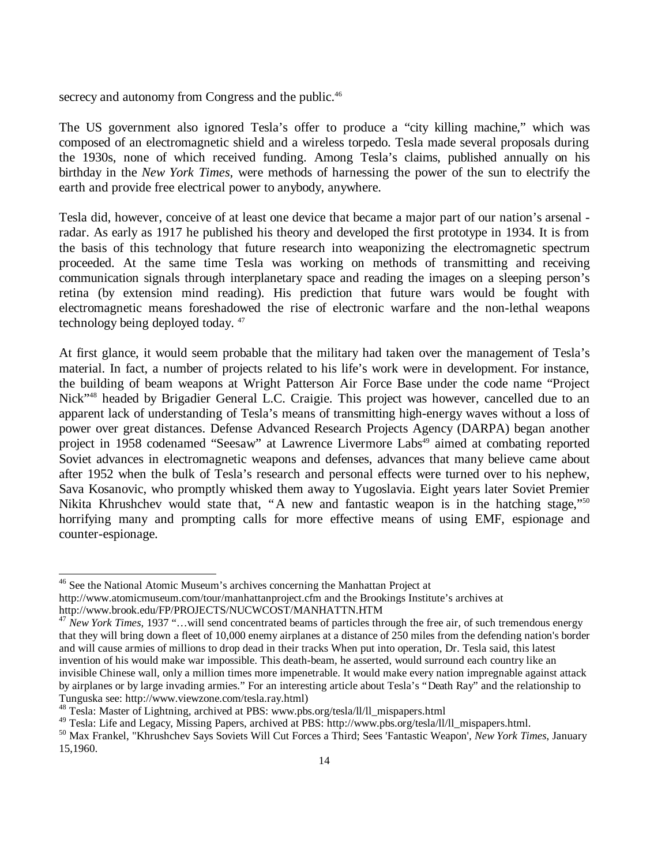secrecy and autonomy from Congress and the public.<sup>46</sup>

The US government also ignored Tesla's offer to produce a "city killing machine," which was composed of an electromagnetic shield and a wireless torpedo. Tesla made several proposals during the 1930s, none of which received funding. Among Tesla's claims, published annually on his birthday in the *New York Times,* were methods of harnessing the power of the sun to electrify the earth and provide free electrical power to anybody, anywhere.

Tesla did, however, conceive of at least one device that became a major part of our nation's arsenal radar. As early as 1917 he published his theory and developed the first prototype in 1934. It is from the basis of this technology that future research into weaponizing the electromagnetic spectrum proceeded. At the same time Tesla was working on methods of transmitting and receiving communication signals through interplanetary space and reading the images on a sleeping person's retina (by extension mind reading). His prediction that future wars would be fought with electromagnetic means foreshadowed the rise of electronic warfare and the non-lethal weapons technology being deployed today. <sup>47</sup>

At first glance, it would seem probable that the military had taken over the management of Tesla's material. In fact, a number of projects related to his life's work were in development. For instance, the building of beam weapons at Wright Patterson Air Force Base under the code name "Project Nick"<sup>48</sup> headed by Brigadier General L.C. Craigie. This project was however, cancelled due to an apparent lack of understanding of Tesla's means of transmitting high-energy waves without a loss of power over great distances. Defense Advanced Research Projects Agency (DARPA) began another project in 1958 codenamed "Seesaw" at Lawrence Livermore Labs<sup>49</sup> aimed at combating reported Soviet advances in electromagnetic weapons and defenses, advances that many believe came about after 1952 when the bulk of Tesla's research and personal effects were turned over to his nephew, Sava Kosanovic, who promptly whisked them away to Yugoslavia. Eight years later Soviet Premier Nikita Khrushchev would state that, "A new and fantastic weapon is in the hatching stage,"<sup>50</sup> horrifying many and prompting calls for more effective means of using EMF, espionage and counter-espionage.

l

<sup>&</sup>lt;sup>46</sup> See the National Atomic Museum's archives concerning the Manhattan Project at http://www.atomicmuseum.com/tour/manhattanproject.cfm and the Brookings Institute's archives at

http://www.brook.edu/FP/PROJECTS/NUCWCOST/MANHATTN.HTM

<sup>&</sup>lt;sup>47</sup> New York Times, 1937 "... will send concentrated beams of particles through the free air, of such tremendous energy that they will bring down a fleet of 10,000 enemy airplanes at a distance of 250 miles from the defending nation's border and will cause armies of millions to drop dead in their tracks When put into operation, Dr. Tesla said, this latest invention of his would make war impossible. This death-beam, he asserted, would surround each country like an invisible Chinese wall, only a million times more impenetrable. It would make every nation impregnable against attack by airplanes or by large invading armies." For an interesting article about Tesla's "Death Ray" and the relationship to Tunguska see: http://www.viewzone.com/tesla.ray.html)

<sup>48</sup> Tesla: Master of Lightning, archived at PBS: www.pbs.org/tesla/ll/ll\_mispapers.html

<sup>49</sup> Tesla: Life and Legacy, Missing Papers, archived at PBS: http://www.pbs.org/tesla/ll/ll\_mispapers.html.

<sup>50</sup> Max Frankel, "Khrushchev Says Soviets Will Cut Forces a Third; Sees 'Fantastic Weapon', *New York Times*, January 15,1960.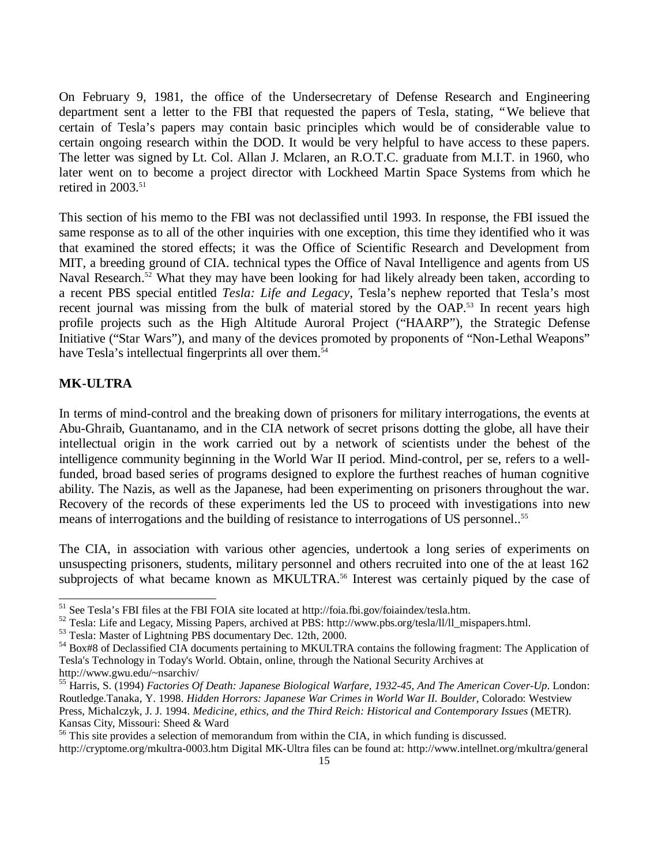On February 9, 1981, the office of the Undersecretary of Defense Research and Engineering department sent a letter to the FBI that requested the papers of Tesla, stating, "We believe that certain of Tesla's papers may contain basic principles which would be of considerable value to certain ongoing research within the DOD. It would be very helpful to have access to these papers. The letter was signed by Lt. Col. Allan J. Mclaren, an R.O.T.C. graduate from M.I.T. in 1960, who later went on to become a project director with Lockheed Martin Space Systems from which he retired in  $2003$ <sup>51</sup>

This section of his memo to the FBI was not declassified until 1993. In response, the FBI issued the same response as to all of the other inquiries with one exception, this time they identified who it was that examined the stored effects; it was the Office of Scientific Research and Development from MIT, a breeding ground of CIA. technical types the Office of Naval Intelligence and agents from US Naval Research.<sup>52</sup> What they may have been looking for had likely already been taken, according to a recent PBS special entitled *Tesla: Life and Legacy*, Tesla's nephew reported that Tesla's most recent journal was missing from the bulk of material stored by the OAP.<sup>53</sup> In recent years high profile projects such as the High Altitude Auroral Project ("HAARP"), the Strategic Defense Initiative ("Star Wars"), and many of the devices promoted by proponents of "Non-Lethal Weapons" have Tesla's intellectual fingerprints all over them.<sup>54</sup>

## **MK-ULTRA**

-

In terms of mind-control and the breaking down of prisoners for military interrogations, the events at Abu-Ghraib, Guantanamo, and in the CIA network of secret prisons dotting the globe, all have their intellectual origin in the work carried out by a network of scientists under the behest of the intelligence community beginning in the World War II period. Mind-control, per se, refers to a wellfunded, broad based series of programs designed to explore the furthest reaches of human cognitive ability. The Nazis, as well as the Japanese, had been experimenting on prisoners throughout the war. Recovery of the records of these experiments led the US to proceed with investigations into new means of interrogations and the building of resistance to interrogations of US personnel..<sup>55</sup>

The CIA, in association with various other agencies, undertook a long series of experiments on unsuspecting prisoners, students, military personnel and others recruited into one of the at least 162 subprojects of what became known as MKULTRA.<sup>56</sup> Interest was certainly piqued by the case of

<sup>&</sup>lt;sup>51</sup> See Tesla's FBI files at the FBI FOIA site located at http://foia.fbi.gov/foiaindex/tesla.htm.

<sup>52</sup> Tesla: Life and Legacy, Missing Papers, archived at PBS: http://www.pbs.org/tesla/ll/ll\_mispapers.html.

<sup>53</sup> Tesla: Master of Lightning PBS documentary Dec. 12th, 2000.

<sup>54</sup> Box#8 of Declassified CIA documents pertaining to MKULTRA contains the following fragment: The Application of Tesla's Technology in Today's World. Obtain, online, through the National Security Archives at http://www.gwu.edu/~nsarchiv/

<sup>55</sup> Harris, S. (1994) *Factories Of Death: Japanese Biological Warfare, 1932-45, And The American Cover-Up*. London: Routledge.Tanaka, Y. 1998. *Hidden Horrors: Japanese War Crimes in World War II. Boulder,* Colorado: Westview Press, Michalczyk, J. J. 1994. *Medicine, ethics, and the Third Reich: Historical and Contemporary Issues* (METR). Kansas City, Missouri: Sheed & Ward

<sup>&</sup>lt;sup>56</sup> This site provides a selection of memorandum from within the CIA, in which funding is discussed.

http://cryptome.org/mkultra-0003.htm Digital MK-Ultra files can be found at: http://www.intellnet.org/mkultra/general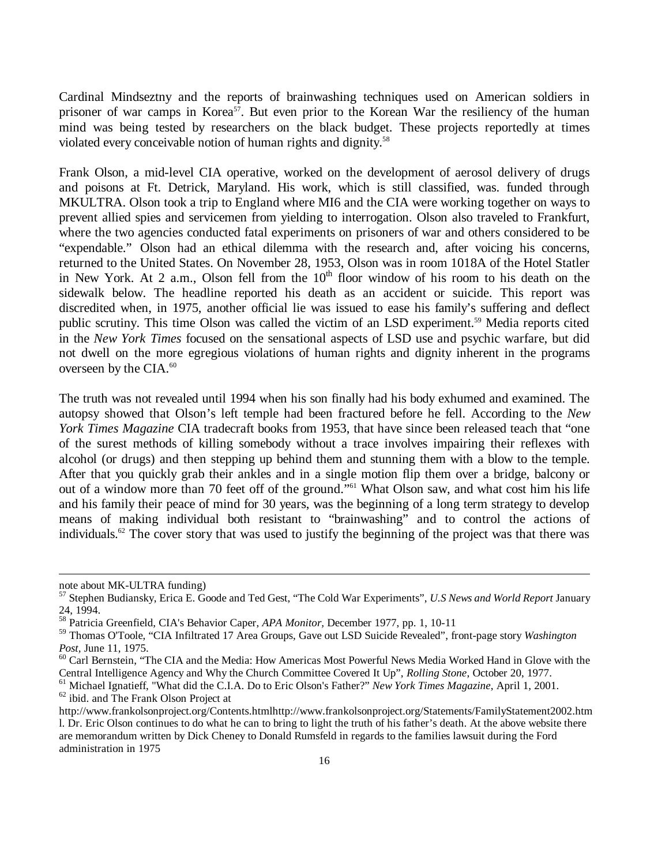Cardinal Mindseztny and the reports of brainwashing techniques used on American soldiers in prisoner of war camps in Korea<sup>57</sup>. But even prior to the Korean War the resiliency of the human mind was being tested by researchers on the black budget. These projects reportedly at times violated every conceivable notion of human rights and dignity.<sup>58</sup>

Frank Olson, a mid-level CIA operative, worked on the development of aerosol delivery of drugs and poisons at Ft. Detrick, Maryland. His work, which is still classified, was. funded through MKULTRA. Olson took a trip to England where MI6 and the CIA were working together on ways to prevent allied spies and servicemen from yielding to interrogation. Olson also traveled to Frankfurt, where the two agencies conducted fatal experiments on prisoners of war and others considered to be "expendable." Olson had an ethical dilemma with the research and, after voicing his concerns, returned to the United States. On November 28, 1953, Olson was in room 1018A of the Hotel Statler in New York. At 2 a.m., Olson fell from the  $10<sup>th</sup>$  floor window of his room to his death on the sidewalk below. The headline reported his death as an accident or suicide. This report was discredited when, in 1975, another official lie was issued to ease his family's suffering and deflect public scrutiny. This time Olson was called the victim of an LSD experiment.<sup>59</sup> Media reports cited in the *New York Times* focused on the sensational aspects of LSD use and psychic warfare, but did not dwell on the more egregious violations of human rights and dignity inherent in the programs overseen by the CIA.<sup>60</sup>

The truth was not revealed until 1994 when his son finally had his body exhumed and examined. The autopsy showed that Olson's left temple had been fractured before he fell. According to the *New York Times Magazine* CIA tradecraft books from 1953, that have since been released teach that "one of the surest methods of killing somebody without a trace involves impairing their reflexes with alcohol (or drugs) and then stepping up behind them and stunning them with a blow to the temple. After that you quickly grab their ankles and in a single motion flip them over a bridge, balcony or out of a window more than 70 feet off of the ground." <sup>61</sup> What Olson saw, and what cost him his life and his family their peace of mind for 30 years, was the beginning of a long term strategy to develop means of making individual both resistant to "brainwashing" and to control the actions of individuals.<sup>62</sup> The cover story that was used to justify the beginning of the project was that there was

l

note about MK-ULTRA funding)

<sup>57</sup> Stephen Budiansky, Erica E. Goode and Ted Gest, "The Cold War Experiments", *U.S News and World Report* January 24, 1994.

<sup>58</sup> Patricia Greenfield, CIA's Behavior Caper, *APA Monitor,* December 1977, pp. 1, 10-11

<sup>59</sup> Thomas O'Toole, "CIA Infiltrated 17 Area Groups, Gave out LSD Suicide Revealed", front-page story *Washington Post,* June 11, 1975.

<sup>&</sup>lt;sup>60</sup> Carl Bernstein, "The CIA and the Media: How Americas Most Powerful News Media Worked Hand in Glove with the Central Intelligence Agency and Why the Church Committee Covered It Up", *Rolling Stone*, October 20, 1977.

<sup>61</sup> Michael Ignatieff, "What did the C.I.A. Do to Eric Olson's Father?" *New York Times Magazine*, April 1, 2001.

 $62$  ibid. and The Frank Olson Project at

http://www.frankolsonproject.org/Contents.htmlhttp://www.frankolsonproject.org/Statements/FamilyStatement2002.htm l. Dr. Eric Olson continues to do what he can to bring to light the truth of his father's death. At the above website there are memorandum written by Dick Cheney to Donald Rumsfeld in regards to the families lawsuit during the Ford administration in 1975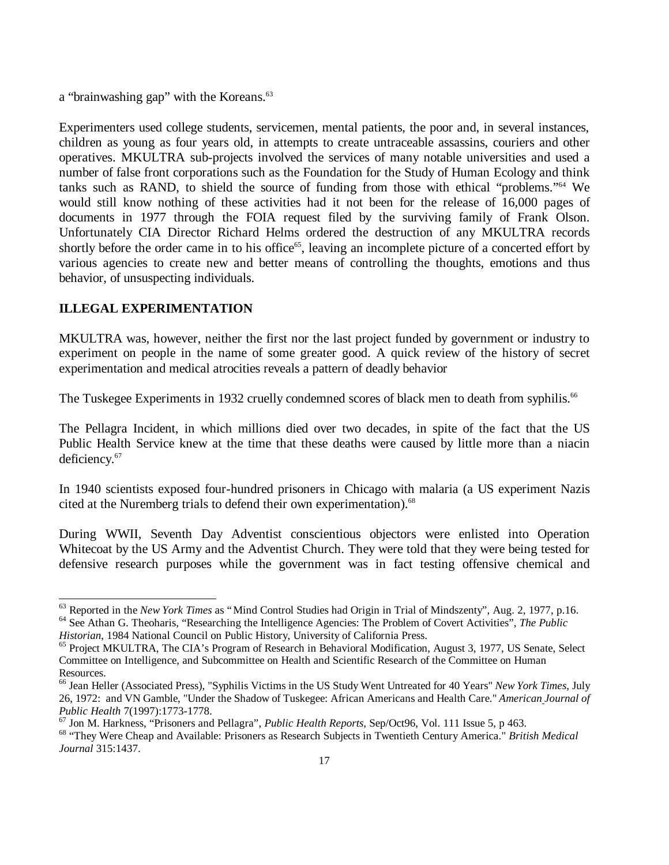a "brainwashing gap" with the Koreans.<sup>63</sup>

Experimenters used college students, servicemen, mental patients, the poor and, in several instances, children as young as four years old, in attempts to create untraceable assassins, couriers and other operatives. MKULTRA sub-projects involved the services of many notable universities and used a number of false front corporations such as the Foundation for the Study of Human Ecology and think tanks such as RAND, to shield the source of funding from those with ethical "problems."<sup>64</sup> We would still know nothing of these activities had it not been for the release of 16,000 pages of documents in 1977 through the FOIA request filed by the surviving family of Frank Olson. Unfortunately CIA Director Richard Helms ordered the destruction of any MKULTRA records shortly before the order came in to his office<sup>65</sup>, leaving an incomplete picture of a concerted effort by various agencies to create new and better means of controlling the thoughts, emotions and thus behavior, of unsuspecting individuals.

## **ILLEGAL EXPERIMENTATION**

-

MKULTRA was, however, neither the first nor the last project funded by government or industry to experiment on people in the name of some greater good. A quick review of the history of secret experimentation and medical atrocities reveals a pattern of deadly behavior

The Tuskegee Experiments in 1932 cruelly condemned scores of black men to death from syphilis.<sup>66</sup>

The Pellagra Incident, in which millions died over two decades, in spite of the fact that the US Public Health Service knew at the time that these deaths were caused by little more than a niacin deficiency.<sup>67</sup>

In 1940 scientists exposed four-hundred prisoners in Chicago with malaria (a US experiment Nazis cited at the Nuremberg trials to defend their own experimentation).<sup>68</sup>

During WWII, Seventh Day Adventist conscientious objectors were enlisted into Operation Whitecoat by the US Army and the Adventist Church. They were told that they were being tested for defensive research purposes while the government was in fact testing offensive chemical and

*Historian*, 1984 National Council on Public History, University of California Press.

<sup>67</sup> Jon M. Harkness, "Prisoners and Pellagra", *Public Health Reports,* Sep/Oct96, Vol. 111 Issue 5, p 463.

<sup>63</sup> Reported in the *New York Times* as "Mind Control Studies had Origin in Trial of Mindszenty", Aug. 2, 1977, p.16. <sup>64</sup> See Athan G. Theoharis, "Researching the Intelligence Agencies: The Problem of Covert Activities", *The Public* 

<sup>&</sup>lt;sup>65</sup> Project MKULTRA, The CIA's Program of Research in Behavioral Modification, August 3, 1977, US Senate, Select Committee on Intelligence, and Subcommittee on Health and Scientific Research of the Committee on Human Resources.

<sup>66</sup> Jean Heller (Associated Press), "Syphilis Victims in the US Study Went Untreated for 40 Years" *New York Times*, July 26, 1972: and VN Gamble, "Under the Shadow of Tuskegee: African Americans and Health Care." *American Journal of Public Health* 7(1997):1773-1778.

<sup>68</sup> "They Were Cheap and Available: Prisoners as Research Subjects in Twentieth Century America." *British Medical Journal* 315:1437.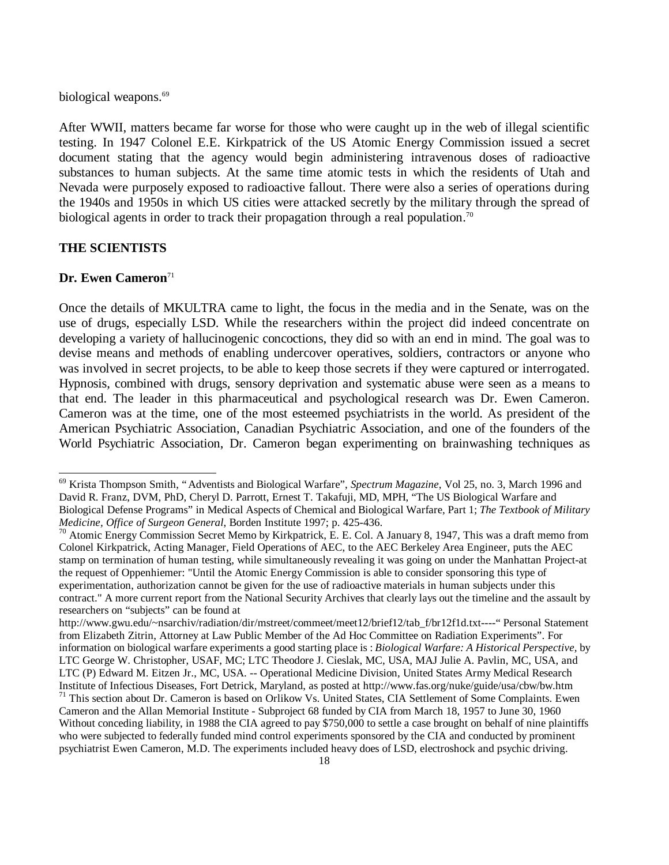biological weapons.<sup>69</sup>

After WWII, matters became far worse for those who were caught up in the web of illegal scientific testing. In 1947 Colonel E.E. Kirkpatrick of the US Atomic Energy Commission issued a secret document stating that the agency would begin administering intravenous doses of radioactive substances to human subjects. At the same time atomic tests in which the residents of Utah and Nevada were purposely exposed to radioactive fallout. There were also a series of operations during the 1940s and 1950s in which US cities were attacked secretly by the military through the spread of biological agents in order to track their propagation through a real population.<sup>70</sup>

## **THE SCIENTISTS**

## **Dr. Ewen Cameron**<sup>71</sup>

1

Once the details of MKULTRA came to light, the focus in the media and in the Senate, was on the use of drugs, especially LSD. While the researchers within the project did indeed concentrate on developing a variety of hallucinogenic concoctions, they did so with an end in mind. The goal was to devise means and methods of enabling undercover operatives, soldiers, contractors or anyone who was involved in secret projects, to be able to keep those secrets if they were captured or interrogated. Hypnosis, combined with drugs, sensory deprivation and systematic abuse were seen as a means to that end. The leader in this pharmaceutical and psychological research was Dr. Ewen Cameron. Cameron was at the time, one of the most esteemed psychiatrists in the world. As president of the American Psychiatric Association, Canadian Psychiatric Association, and one of the founders of the World Psychiatric Association, Dr. Cameron began experimenting on brainwashing techniques as

<sup>69</sup> Krista Thompson Smith, "Adventists and Biological Warfare", *Spectrum Magazine*, Vol 25, no. 3, March 1996 and David R. Franz, DVM, PhD, Cheryl D. Parrott, Ernest T. Takafuji, MD, MPH, "The US Biological Warfare and Biological Defense Programs" in Medical Aspects of Chemical and Biological Warfare, Part 1; *The Textbook of Military Medicine, Office of Surgeon General*, Borden Institute 1997; p. 425-436.

<sup>&</sup>lt;sup>70</sup> Atomic Energy Commission Secret Memo by Kirkpatrick, E. E. Col. A January 8, 1947, This was a draft memo from Colonel Kirkpatrick, Acting Manager, Field Operations of AEC, to the AEC Berkeley Area Engineer, puts the AEC stamp on termination of human testing, while simultaneously revealing it was going on under the Manhattan Project-at the request of Oppenhiemer: "Until the Atomic Energy Commission is able to consider sponsoring this type of experimentation, authorization cannot be given for the use of radioactive materials in human subjects under this contract." A more current report from the National Security Archives that clearly lays out the timeline and the assault by researchers on "subjects" can be found at

http://www.gwu.edu/~nsarchiv/radiation/dir/mstreet/commeet/meet12/brief12/tab\_f/br12f1d.txt----" Personal Statement from Elizabeth Zitrin, Attorney at Law Public Member of the Ad Hoc Committee on Radiation Experiments". For information on biological warfare experiments a good starting place is : *Biological Warfare: A Historical Perspective,* by LTC George W. Christopher, USAF, MC; LTC Theodore J. Cieslak, MC, USA, MAJ Julie A. Pavlin, MC, USA, and LTC (P) Edward M. Eitzen Jr., MC, USA. -- Operational Medicine Division, United States Army Medical Research Institute of Infectious Diseases, Fort Detrick, Maryland, as posted at http://www.fas.org/nuke/guide/usa/cbw/bw.htm <sup>71</sup> This section about Dr. Cameron is based on Orlikow Vs. United States, CIA Settlement of Some Complaints. Ewen Cameron and the Allan Memorial Institute - Subproject 68 funded by CIA from March 18, 1957 to June 30, 1960 Without conceding liability, in 1988 the CIA agreed to pay \$750,000 to settle a case brought on behalf of nine plaintiffs who were subjected to federally funded mind control experiments sponsored by the CIA and conducted by prominent psychiatrist Ewen Cameron, M.D. The experiments included heavy does of LSD, electroshock and psychic driving.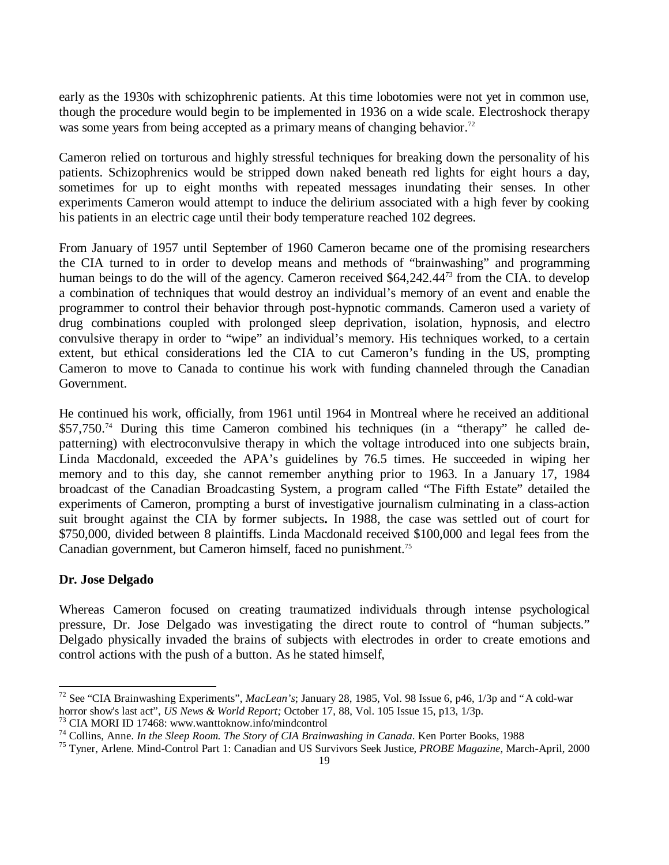early as the 1930s with schizophrenic patients. At this time lobotomies were not yet in common use, though the procedure would begin to be implemented in 1936 on a wide scale. Electroshock therapy was some years from being accepted as a primary means of changing behavior.<sup>72</sup>

Cameron relied on torturous and highly stressful techniques for breaking down the personality of his patients. Schizophrenics would be stripped down naked beneath red lights for eight hours a day, sometimes for up to eight months with repeated messages inundating their senses. In other experiments Cameron would attempt to induce the delirium associated with a high fever by cooking his patients in an electric cage until their body temperature reached 102 degrees.

From January of 1957 until September of 1960 Cameron became one of the promising researchers the CIA turned to in order to develop means and methods of "brainwashing" and programming human beings to do the will of the agency. Cameron received \$64,242.44<sup>73</sup> from the CIA. to develop a combination of techniques that would destroy an individual's memory of an event and enable the programmer to control their behavior through post-hypnotic commands. Cameron used a variety of drug combinations coupled with prolonged sleep deprivation, isolation, hypnosis, and electro convulsive therapy in order to "wipe" an individual's memory. His techniques worked, to a certain extent, but ethical considerations led the CIA to cut Cameron's funding in the US, prompting Cameron to move to Canada to continue his work with funding channeled through the Canadian Government.

He continued his work, officially, from 1961 until 1964 in Montreal where he received an additional \$57,750.74 During this time Cameron combined his techniques (in a "therapy" he called depatterning) with electroconvulsive therapy in which the voltage introduced into one subjects brain, Linda Macdonald, exceeded the APA's guidelines by 76.5 times. He succeeded in wiping her memory and to this day, she cannot remember anything prior to 1963. In a January 17, 1984 broadcast of the Canadian Broadcasting System, a program called "The Fifth Estate" detailed the experiments of Cameron, prompting a burst of investigative journalism culminating in a class-action suit brought against the CIA by former subjects**.** In 1988, the case was settled out of court for \$750,000, divided between 8 plaintiffs. Linda Macdonald received \$100,000 and legal fees from the Canadian government, but Cameron himself, faced no punishment.<sup>75</sup>

## **Dr. Jose Delgado**

1

Whereas Cameron focused on creating traumatized individuals through intense psychological pressure, Dr. Jose Delgado was investigating the direct route to control of "human subjects." Delgado physically invaded the brains of subjects with electrodes in order to create emotions and control actions with the push of a button. As he stated himself,

<sup>72</sup> See "CIA Brainwashing Experiments", *MacLean's*; January 28, 1985, Vol. 98 Issue 6, p46, 1/3p and "A cold-war horror show's last act", *US News & World Report;* October 17, 88, Vol. 105 Issue 15, p13, 1/3p.

<sup>73</sup> CIA MORI ID 17468: www.wanttoknow.info/mindcontrol

<sup>74</sup> Collins, Anne. *In the Sleep Room. The Story of CIA Brainwashing in Canada*. Ken Porter Books, 1988

<sup>75</sup> Tyner, Arlene. Mind-Control Part 1: Canadian and US Survivors Seek Justice, *PROBE Magazine*, March-April, 2000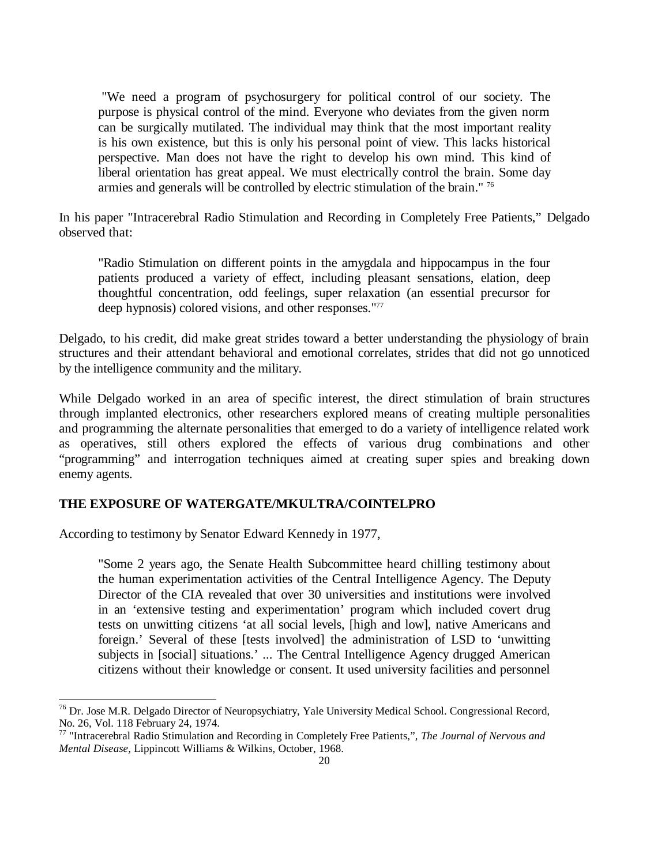"We need a program of psychosurgery for political control of our society. The purpose is physical control of the mind. Everyone who deviates from the given norm can be surgically mutilated. The individual may think that the most important reality is his own existence, but this is only his personal point of view. This lacks historical perspective. Man does not have the right to develop his own mind. This kind of liberal orientation has great appeal. We must electrically control the brain. Some day armies and generals will be controlled by electric stimulation of the brain." <sup>76</sup>

In his paper "Intracerebral Radio Stimulation and Recording in Completely Free Patients," Delgado observed that:

"Radio Stimulation on different points in the amygdala and hippocampus in the four patients produced a variety of effect, including pleasant sensations, elation, deep thoughtful concentration, odd feelings, super relaxation (an essential precursor for deep hypnosis) colored visions, and other responses."<sup>77</sup>

Delgado, to his credit, did make great strides toward a better understanding the physiology of brain structures and their attendant behavioral and emotional correlates, strides that did not go unnoticed by the intelligence community and the military.

While Delgado worked in an area of specific interest, the direct stimulation of brain structures through implanted electronics, other researchers explored means of creating multiple personalities and programming the alternate personalities that emerged to do a variety of intelligence related work as operatives, still others explored the effects of various drug combinations and other "programming" and interrogation techniques aimed at creating super spies and breaking down enemy agents.

## **THE EXPOSURE OF WATERGATE/MKULTRA/COINTELPRO**

According to testimony by Senator Edward Kennedy in 1977,

l

"Some 2 years ago, the Senate Health Subcommittee heard chilling testimony about the human experimentation activities of the Central Intelligence Agency. The Deputy Director of the CIA revealed that over 30 universities and institutions were involved in an 'extensive testing and experimentation' program which included covert drug tests on unwitting citizens 'at all social levels, [high and low], native Americans and foreign.' Several of these [tests involved] the administration of LSD to 'unwitting subjects in [social] situations.' ... The Central Intelligence Agency drugged American citizens without their knowledge or consent. It used university facilities and personnel

 $^{76}$  Dr. Jose M.R. Delgado Director of Neuropsychiatry, Yale University Medical School. Congressional Record, No. 26, Vol. 118 February 24, 1974.

<sup>77</sup> "Intracerebral Radio Stimulation and Recording in Completely Free Patients,", *The Journal of Nervous and Mental Disease,* Lippincott Williams & Wilkins, October, 1968.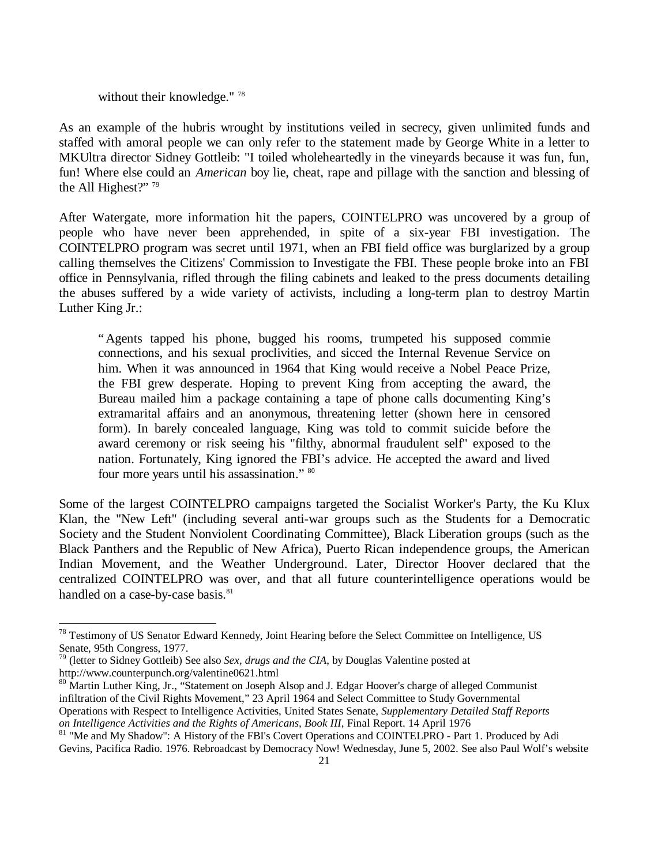without their knowledge."<sup>78</sup>

As an example of the hubris wrought by institutions veiled in secrecy, given unlimited funds and staffed with amoral people we can only refer to the statement made by George White in a letter to MKUltra director Sidney Gottleib: "I toiled wholeheartedly in the vineyards because it was fun, fun, fun! Where else could an *American* boy lie, cheat, rape and pillage with the sanction and blessing of the All Highest?"<sup>79</sup>

After Watergate, more information hit the papers, COINTELPRO was uncovered by a group of people who have never been apprehended, in spite of a six-year FBI investigation. The COINTELPRO program was secret until 1971, when an FBI field office was burglarized by a group calling themselves the Citizens' Commission to Investigate the FBI. These people broke into an FBI office in Pennsylvania, rifled through the filing cabinets and leaked to the press documents detailing the abuses suffered by a wide variety of activists, including a long-term plan to destroy Martin Luther King Jr.:

"Agents tapped his phone, bugged his rooms, trumpeted his supposed commie connections, and his sexual proclivities, and sicced the Internal Revenue Service on him. When it was announced in 1964 that King would receive a Nobel Peace Prize, the FBI grew desperate. Hoping to prevent King from accepting the award, the Bureau mailed him a package containing a tape of phone calls documenting King's extramarital affairs and an anonymous, threatening letter (shown here in censored form). In barely concealed language, King was told to commit suicide before the award ceremony or risk seeing his "filthy, abnormal fraudulent self" exposed to the nation. Fortunately, King ignored the FBI's advice. He accepted the award and lived four more years until his assassination." 80

Some of the largest COINTELPRO campaigns targeted the Socialist Worker's Party, the Ku Klux Klan, the "New Left" (including several anti-war groups such as the Students for a Democratic Society and the Student Nonviolent Coordinating Committee), Black Liberation groups (such as the Black Panthers and the Republic of New Africa), Puerto Rican independence groups, the American Indian Movement, and the Weather Underground. Later, Director Hoover declared that the centralized COINTELPRO was over, and that all future counterintelligence operations would be handled on a case-by-case basis.<sup>81</sup>

1

<sup>&</sup>lt;sup>78</sup> Testimony of US Senator Edward Kennedy, Joint Hearing before the Select Committee on Intelligence, US Senate, 95th Congress, 1977.

<sup>79</sup> (letter to Sidney Gottleib) See also *Sex, drugs and the CIA*, by Douglas Valentine posted at http://www.counterpunch.org/valentine0621.html

<sup>&</sup>lt;sup>80</sup> Martin Luther King, Jr., "Statement on Joseph Alsop and J. Edgar Hoover's charge of alleged Communist infiltration of the Civil Rights Movement," 23 April 1964 and Select Committee to Study Governmental Operations with Respect to Intelligence Activities, United States Senate, *Supplementary Detailed Staff Reports on Intelligence Activities and the Rights of Americans, Book III*, Final Report. 14 April 1976

<sup>&</sup>lt;sup>81</sup> "Me and My Shadow": A History of the FBI's Covert Operations and COINTELPRO - Part 1. Produced by Adi Gevins, Pacifica Radio. 1976. Rebroadcast by Democracy Now! Wednesday, June 5, 2002. See also Paul Wolf's website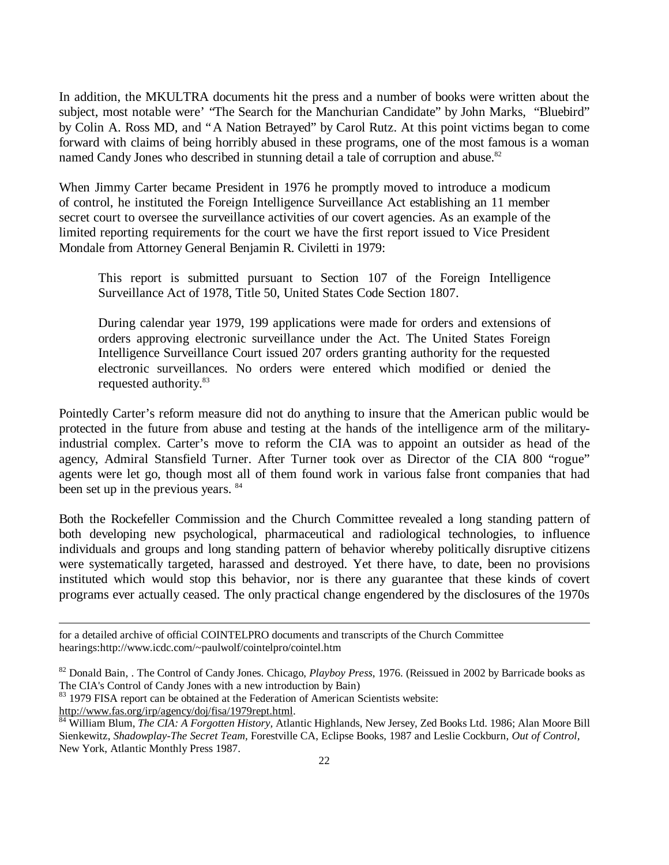In addition, the MKULTRA documents hit the press and a number of books were written about the subject, most notable were' "The Search for the Manchurian Candidate" by John Marks, "Bluebird" by Colin A. Ross MD, and "A Nation Betrayed" by Carol Rutz. At this point victims began to come forward with claims of being horribly abused in these programs, one of the most famous is a woman named Candy Jones who described in stunning detail a tale of corruption and abuse.<sup>82</sup>

When Jimmy Carter became President in 1976 he promptly moved to introduce a modicum of control, he instituted the Foreign Intelligence Surveillance Act establishing an 11 member secret court to oversee the *s*urveillance activities of our covert agencies. As an example of the limited reporting requirements for the court we have the first report issued to Vice President Mondale from Attorney General Benjamin R. Civiletti in 1979:

This report is submitted pursuant to Section 107 of the Foreign Intelligence Surveillance Act of 1978, Title 50, United States Code Section 1807.

During calendar year 1979, 199 applications were made for orders and extensions of orders approving electronic surveillance under the Act. The United States Foreign Intelligence Surveillance Court issued 207 orders granting authority for the requested electronic surveillances. No orders were entered which modified or denied the requested authority.<sup>83</sup>

Pointedly Carter's reform measure did not do anything to insure that the American public would be protected in the future from abuse and testing at the hands of the intelligence arm of the militaryindustrial complex. Carter's move to reform the CIA was to appoint an outsider as head of the agency, Admiral Stansfield Turner. After Turner took over as Director of the CIA 800 "rogue" agents were let go, though most all of them found work in various false front companies that had been set up in the previous years. <sup>84</sup>

Both the Rockefeller Commission and the Church Committee revealed a long standing pattern of both developing new psychological, pharmaceutical and radiological technologies, to influence individuals and groups and long standing pattern of behavior whereby politically disruptive citizens were systematically targeted, harassed and destroyed. Yet there have, to date, been no provisions instituted which would stop this behavior, nor is there any guarantee that these kinds of covert programs ever actually ceased. The only practical change engendered by the disclosures of the 1970s

83 1979 FISA report can be obtained at the Federation of American Scientists website:

http://www.fas.org/irp/agency/doj/fisa/1979rept.html.

l

for a detailed archive of official COINTELPRO documents and transcripts of the Church Committee hearings:http://www.icdc.com/~paulwolf/cointelpro/cointel.htm

<sup>82</sup> Donald Bain, . The Control of Candy Jones. Chicago, *Playboy Press*, 1976. (Reissued in 2002 by Barricade books as The CIA's Control of Candy Jones with a new introduction by Bain)

<sup>84</sup> William Blum, *The CIA: A Forgotten History,* Atlantic Highlands, New Jersey, Zed Books Ltd. 1986; Alan Moore Bill Sienkewitz, *Shadowplay-The Secret Team,* Forestville CA, Eclipse Books, 1987 and Leslie Cockburn, *Out of Control,* New York, Atlantic Monthly Press 1987.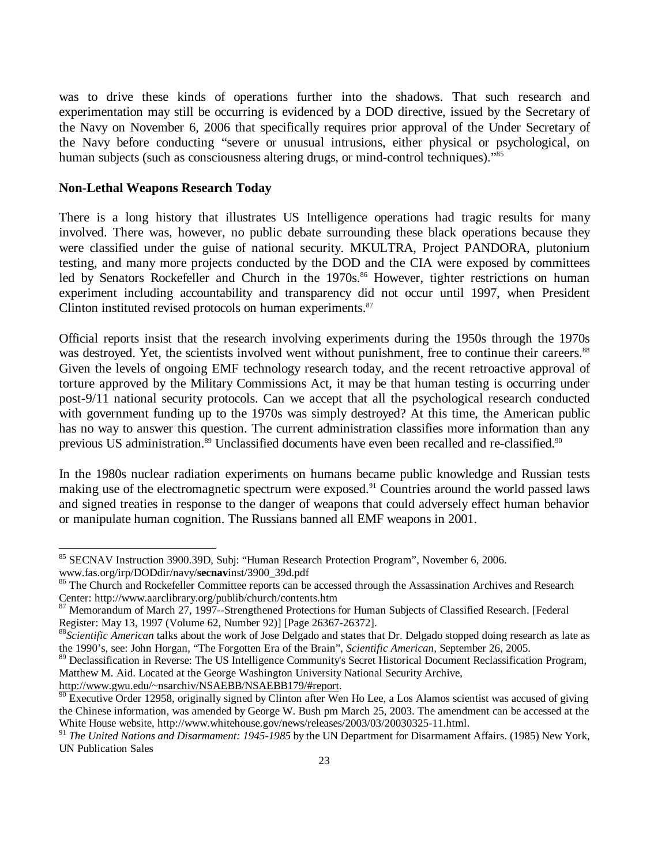was to drive these kinds of operations further into the shadows. That such research and experimentation may still be occurring is evidenced by a DOD directive, issued by the Secretary of the Navy on November 6, 2006 that specifically requires prior approval of the Under Secretary of the Navy before conducting "severe or unusual intrusions, either physical or psychological, on human subjects (such as consciousness altering drugs, or mind-control techniques)."<sup>85</sup>

## **Non-Lethal Weapons Research Today**

There is a long history that illustrates US Intelligence operations had tragic results for many involved. There was, however, no public debate surrounding these black operations because they were classified under the guise of national security. MKULTRA, Project PANDORA, plutonium testing, and many more projects conducted by the DOD and the CIA were exposed by committees led by Senators Rockefeller and Church in the 1970s.<sup>86</sup> However, tighter restrictions on human experiment including accountability and transparency did not occur until 1997, when President Clinton instituted revised protocols on human experiments.<sup>87</sup>

Official reports insist that the research involving experiments during the 1950s through the 1970s was destroyed. Yet, the scientists involved went without punishment, free to continue their careers.<sup>88</sup> Given the levels of ongoing EMF technology research today, and the recent retroactive approval of torture approved by the Military Commissions Act, it may be that human testing is occurring under post-9/11 national security protocols. Can we accept that all the psychological research conducted with government funding up to the 1970s was simply destroyed? At this time, the American public has no way to answer this question. The current administration classifies more information than any previous US administration.<sup>89</sup> Unclassified documents have even been recalled and re-classified.<sup>90</sup>

In the 1980s nuclear radiation experiments on humans became public knowledge and Russian tests making use of the electromagnetic spectrum were exposed.<sup>91</sup> Countries around the world passed laws and signed treaties in response to the danger of weapons that could adversely effect human behavior or manipulate human cognition. The Russians banned all EMF weapons in 2001.

1

<sup>&</sup>lt;sup>85</sup> SECNAV Instruction 3900.39D, Subj: "Human Research Protection Program", November 6, 2006. www.fas.org/irp/DODdir/navy/**secnav**inst/3900\_39d.pdf

<sup>&</sup>lt;sup>86</sup> The Church and Rockefeller Committee reports can be accessed through the Assassination Archives and Research Center: http://www.aarclibrary.org/publib/church/contents.htm

<sup>&</sup>lt;sup>87</sup> Memorandum of March 27, 1997--Strengthened Protections for Human Subjects of Classified Research. [Federal Register: May 13, 1997 (Volume 62, Number 92)] [Page 26367-26372].

<sup>&</sup>lt;sup>88</sup>*Scientific American* talks about the work of Jose Delgado and states that Dr. Delgado stopped doing research as late as the 1990's, see: John Horgan, "The Forgotten Era of the Brain", *Scientific American,* September 26, 2005.

<sup>&</sup>lt;sup>89</sup> Declassification in Reverse: The US Intelligence Community's Secret Historical Document Reclassification Program, Matthew M. Aid. Located at the George Washington University National Security Archive,

http://www.gwu.edu/~nsarchiv/NSAEBB/NSAEBB179/#report.

<sup>&</sup>lt;sup>90</sup> Executive Order 12958, originally signed by Clinton after Wen Ho Lee, a Los Alamos scientist was accused of giving the Chinese information, was amended by George W. Bush pm March 25, 2003. The amendment can be accessed at the White House website, http://www.whitehouse.gov/news/releases/2003/03/20030325-11.html.

<sup>&</sup>lt;sup>91</sup> *The United Nations and Disarmament: 1945-1985* by the UN Department for Disarmament Affairs. (1985) New York, UN Publication Sales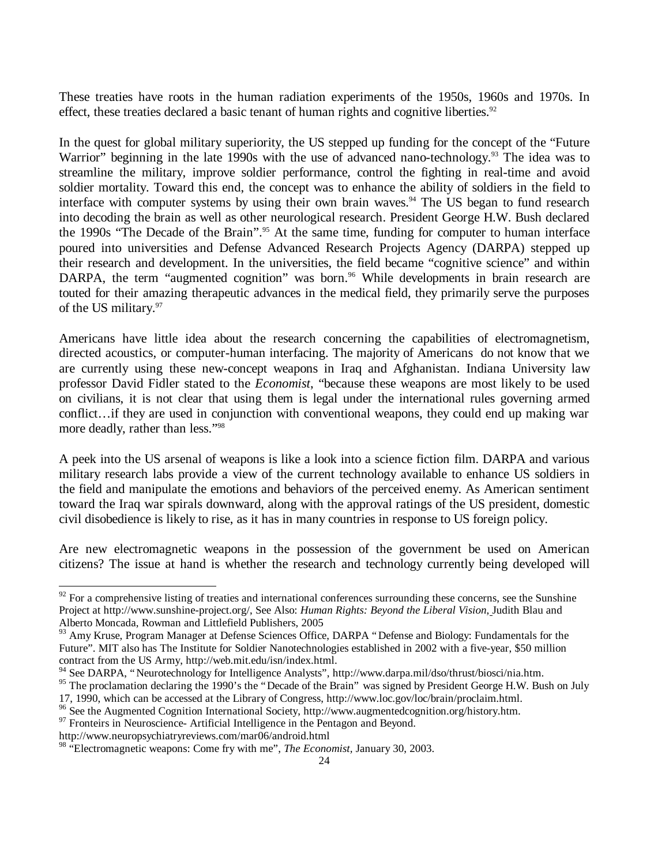These treaties have roots in the human radiation experiments of the 1950s, 1960s and 1970s. In effect, these treaties declared a basic tenant of human rights and cognitive liberties.<sup>92</sup>

In the quest for global military superiority, the US stepped up funding for the concept of the "Future Warrior" beginning in the late 1990s with the use of advanced nano-technology.<sup>93</sup> The idea was to streamline the military, improve soldier performance, control the fighting in real-time and avoid soldier mortality. Toward this end, the concept was to enhance the ability of soldiers in the field to interface with computer systems by using their own brain waves.<sup>94</sup> The US began to fund research into decoding the brain as well as other neurological research. President George H.W. Bush declared the 1990s "The Decade of the Brain".<sup>95</sup> At the same time, funding for computer to human interface poured into universities and Defense Advanced Research Projects Agency (DARPA) stepped up their research and development. In the universities, the field became "cognitive science" and within DARPA, the term "augmented cognition" was born.<sup>96</sup> While developments in brain research are touted for their amazing therapeutic advances in the medical field, they primarily serve the purposes of the US military.<sup>97</sup>

Americans have little idea about the research concerning the capabilities of electromagnetism, directed acoustics, or computer-human interfacing. The majority of Americans do not know that we are currently using these new-concept weapons in Iraq and Afghanistan. Indiana University law professor David Fidler stated to the *Economist*, "because these weapons are most likely to be used on civilians, it is not clear that using them is legal under the international rules governing armed conflict… if they are used in conjunction with conventional weapons, they could end up making war more deadly, rather than less."<sup>98</sup>

A peek into the US arsenal of weapons is like a look into a science fiction film. DARPA and various military research labs provide a view of the current technology available to enhance US soldiers in the field and manipulate the emotions and behaviors of the perceived enemy. As American sentiment toward the Iraq war spirals downward, along with the approval ratings of the US president, domestic civil disobedience is likely to rise, as it has in many countries in response to US foreign policy.

Are new electromagnetic weapons in the possession of the government be used on American citizens? The issue at hand is whether the research and technology currently being developed will

1

 $92$  For a comprehensive listing of treaties and international conferences surrounding these concerns, see the Sunshine Project at http://www.sunshine-project.org/, See Also: *Human Rights: Beyond the Liberal Vision*, Judith Blau and Alberto Moncada, Rowman and Littlefield Publishers, 2005

<sup>&</sup>lt;sup>93</sup> Amy Kruse, Program Manager at Defense Sciences Office, DARPA "Defense and Biology: Fundamentals for the Future". MIT also has The Institute for Soldier Nanotechnologies established in 2002 with a five-year, \$50 million contract from the US Army, http://web.mit.edu/isn/index.html.

<sup>94</sup> See DARPA, "Neurotechnology for Intelligence Analysts", http://www.darpa.mil/dso/thrust/biosci/nia.htm.

<sup>&</sup>lt;sup>95</sup> The proclamation declaring the 1990's the "Decade of the Brain" was signed by President George H.W. Bush on July 17, 1990, which can be accessed at the Library of Congress, http://www.loc.gov/loc/brain/proclaim.html.

<sup>96</sup> See the Augmented Cognition International Society, http://www.augmentedcognition.org/history.htm.

 $97$  Fronteirs in Neuroscience- Artificial Intelligence in the Pentagon and Beyond.

http://www.neuropsychiatryreviews.com/mar06/android.html

<sup>98</sup> "Electromagnetic weapons: Come fry with me", *The Economist,* January 30, 2003.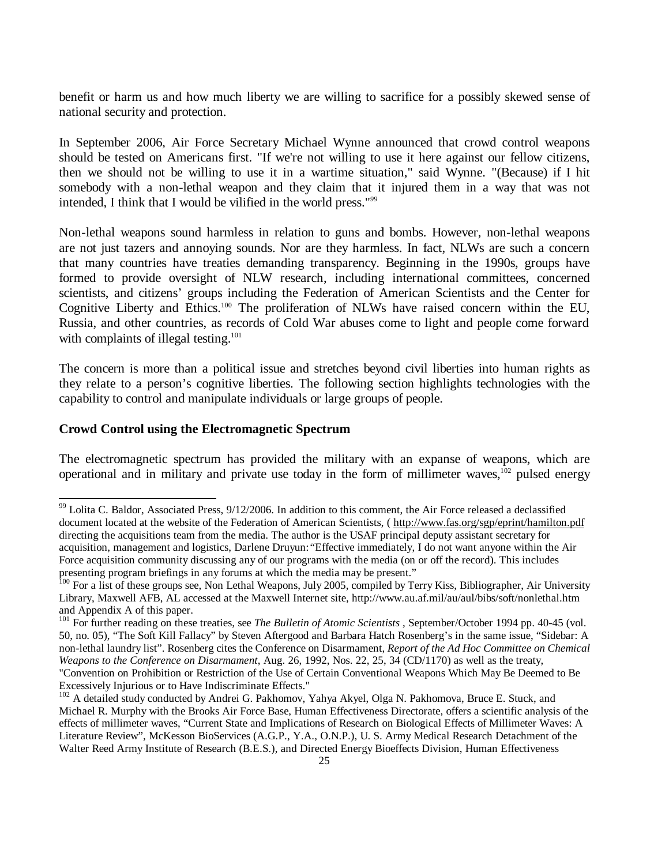benefit or harm us and how much liberty we are willing to sacrifice for a possibly skewed sense of national security and protection.

In September 2006, Air Force Secretary Michael Wynne announced that crowd control weapons should be tested on Americans first. "If we're not willing to use it here against our fellow citizens, then we should not be willing to use it in a wartime situation," said Wynne. "(Because) if I hit somebody with a non-lethal weapon and they claim that it injured them in a way that was not intended, I think that I would be vilified in the world press."*<sup>99</sup>*

Non-lethal weapons sound harmless in relation to guns and bombs. However, non-lethal weapons are not just tazers and annoying sounds. Nor are they harmless. In fact, NLWs are such a concern that many countries have treaties demanding transparency. Beginning in the 1990s, groups have formed to provide oversight of NLW research, including international committees, concerned scientists, and citizens' groups including the Federation of American Scientists and the Center for Cognitive Liberty and Ethics.<sup>100</sup> The proliferation of NLWs have raised concern within the EU, Russia, and other countries, as records of Cold War abuses come to light and people come forward with complaints of illegal testing.<sup>101</sup>

The concern is more than a political issue and stretches beyond civil liberties into human rights as they relate to a person's cognitive liberties. The following section highlights technologies with the capability to control and manipulate individuals or large groups of people.

## **Crowd Control using the Electromagnetic Spectrum**

1

The electromagnetic spectrum has provided the military with an expanse of weapons, which are operational and in military and private use today in the form of millimeter waves,<sup>102</sup> pulsed energy

<sup>99</sup> Lolita C. Baldor, Associated Press, 9/12/2006. In addition to this comment, the Air Force released a declassified document located at the website of the Federation of American Scientists, ( http://www.fas.org/sgp/eprint/hamilton.pdf directing the acquisitions team from the media. The author is the USAF principal deputy assistant secretary for acquisition, management and logistics, Darlene Druyun:*"*Effective immediately, I do not want anyone within the Air Force acquisition community discussing any of our programs with the media (on or off the record). This includes presenting program briefings in any forums at which the media may be present."

<sup>&</sup>lt;sup>100</sup> For a list of these groups see, Non Lethal Weapons, July 2005, compiled by Terry Kiss, Bibliographer, Air University Library, Maxwell AFB, AL accessed at the Maxwell Internet site, http://www.au.af.mil/au/aul/bibs/soft/nonlethal.htm and Appendix A of this paper.

<sup>101</sup> For further reading on these treaties, see *The Bulletin of Atomic Scientists* , September/October 1994 pp. 40-45 (vol. 50, no. 05), "The Soft Kill Fallacy" by Steven Aftergood and Barbara Hatch Rosenberg's in the same issue, "Sidebar: A non-lethal laundry list". Rosenberg cites the Conference on Disarmament, *Report of the Ad Hoc Committee on Chemical Weapons to the Conference on Disarmament*, Aug. 26, 1992, Nos. 22, 25, 34 (CD/1170) as well as the treaty, "Convention on Prohibition or Restriction of the Use of Certain Conventional Weapons Which May Be Deemed to Be Excessively Injurious or to Have Indiscriminate Effects."

<sup>&</sup>lt;sup>102</sup> A detailed study conducted by Andrei G. Pakhomov, Yahya Akyel, Olga N. Pakhomova, Bruce E. Stuck, and Michael R. Murphy with the Brooks Air Force Base, Human Effectiveness Directorate, offers a scientific analysis of the effects of millimeter waves, "Current State and Implications of Research on Biological Effects of Millimeter Waves: A Literature Review", McKesson BioServices (A.G.P., Y.A., O.N.P.), U. S. Army Medical Research Detachment of the Walter Reed Army Institute of Research (B.E.S.), and Directed Energy Bioeffects Division, Human Effectiveness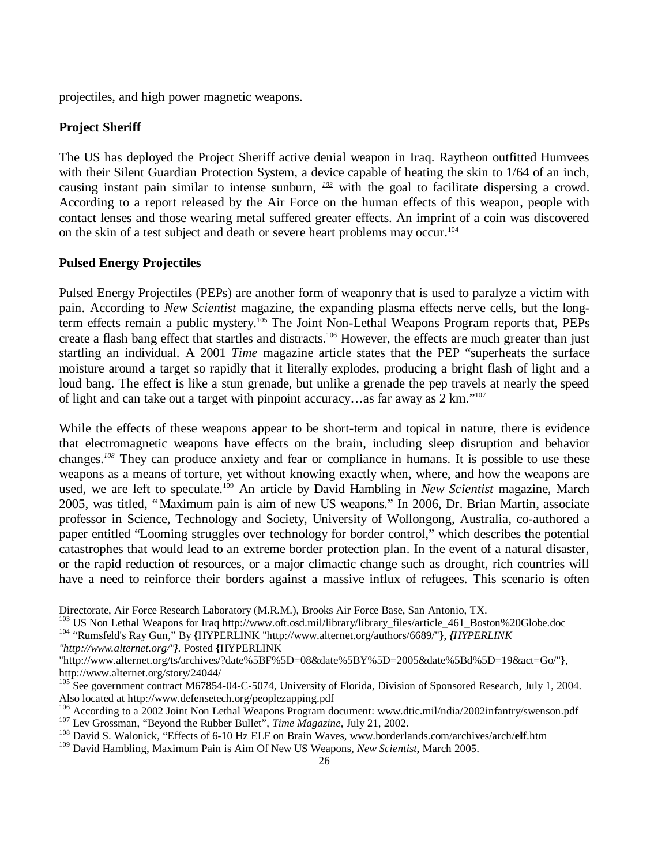projectiles, and high power magnetic weapons.

## **Project Sheriff**

The US has deployed the Project Sheriff active denial weapon in Iraq. Raytheon outfitted Humvees with their Silent Guardian Protection System, a device capable of heating the skin to 1/64 of an inch, causing instant pain similar to intense sunburn, *<sup>103</sup>* with the goal to facilitate dispersing a crowd. According to a report released by the Air Force on the human effects of this weapon, people with contact lenses and those wearing metal suffered greater effects. An imprint of a coin was discovered on the skin of a test subject and death or severe heart problems may occur.<sup>104</sup>

## **Pulsed Energy Projectiles**

Pulsed Energy Projectiles (PEPs) are another form of weaponry that is used to paralyze a victim with pain. According to *New Scientist* magazine, the expanding plasma effects nerve cells, but the longterm effects remain a public mystery.<sup>105</sup> The Joint Non-Lethal Weapons Program reports that, PEPs create a flash bang effect that startles and distracts.<sup>106</sup> However, the effects are much greater than just startling an individual. A 2001 *Time* magazine article states that the PEP "superheats the surface moisture around a target so rapidly that it literally explodes, producing a bright flash of light and a loud bang. The effect is like a stun grenade, but unlike a grenade the pep travels at nearly the speed of light and can take out a target with pinpoint accuracy… as far away as 2 km." 107

While the effects of these weapons appear to be short-term and topical in nature, there is evidence that electromagnetic weapons have effects on the brain, including sleep disruption and behavior changes.*<sup>108</sup>* They can produce anxiety and fear or compliance in humans. It is possible to use these weapons as a means of torture, yet without knowing exactly when, where, and how the weapons are used, we are left to speculate.<sup>109</sup> An article by David Hambling in *New Scientist* magazine, March 2005, was titled, "Maximum pain is aim of new US weapons." In 2006, Dr. Brian Martin, associate professor in Science, Technology and Society, University of Wollongong, Australia, co-authored a paper entitled "Looming struggles over technology for border control," which describes the potential catastrophes that would lead to an extreme border protection plan. In the event of a natural disaster, or the rapid reduction of resources, or a major climactic change such as drought, rich countries will have a need to reinforce their borders against a massive influx of refugees. This scenario is often

*"http://www.alternet.org/"}.* Posted **{**HYPERLINK

Directorate, Air Force Research Laboratory (M.R.M.), Brooks Air Force Base, San Antonio, TX.

<sup>&</sup>lt;sup>103</sup> US Non Lethal Weapons for Iraq http://www.oft.osd.mil/library/library\_files/article\_461\_Boston%20Globe.doc <sup>104</sup> "Rumsfeld's Ray Gun," By **{**HYPERLINK "http://www.alternet.org/authors/6689/"**}**, *{HYPERLINK* 

<sup>&</sup>quot;http://www.alternet.org/ts/archives/?date%5BF%5D=08&date%5BY%5D=2005&date%5Bd%5D=19&act=Go/"**}**, http://www.alternet.org/story/24044/

<sup>&</sup>lt;sup>105</sup> See government contract M67854-04-C-5074, University of Florida, Division of Sponsored Research, July 1, 2004. Also located at http://www.defensetech.org/peoplezapping.pdf

<sup>&</sup>lt;sup>106</sup> According to a 2002 Joint Non Lethal Weapons Program document: www.dtic.mil/ndia/2002infantry/swenson.pdf <sup>107</sup> Lev Grossman, "Beyond the Rubber Bullet", *Time Magazine,* July 21, 2002.

<sup>108</sup> David S. Walonick, "Effects of 6-10 Hz ELF on Brain Waves, www.borderlands.com/archives/arch/**elf**.htm

<sup>109</sup> David Hambling, Maximum Pain is Aim Of New US Weapons, *New Scientist*, March 2005.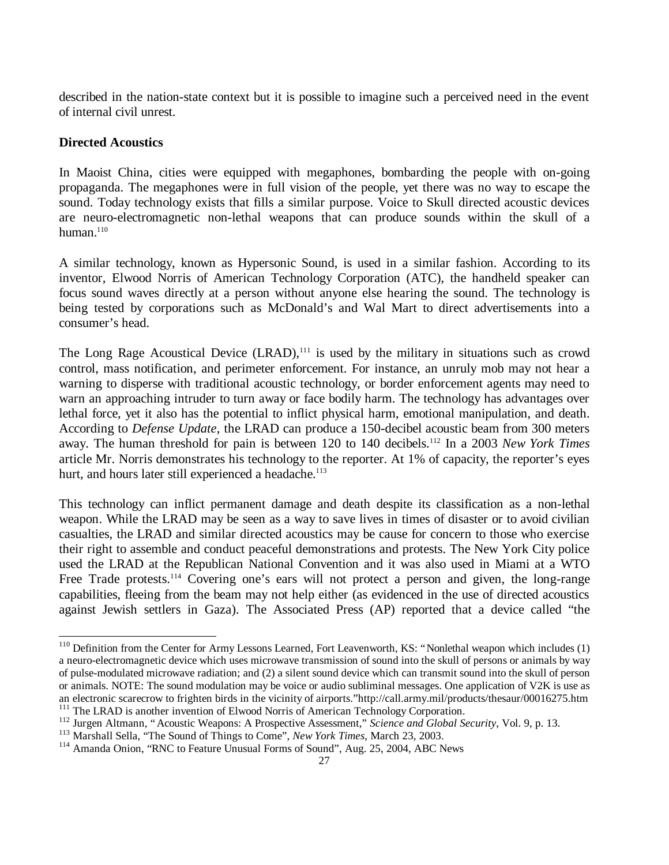described in the nation-state context but it is possible to imagine such a perceived need in the event of internal civil unrest.

## **Directed Acoustics**

l

In Maoist China, cities were equipped with megaphones, bombarding the people with on-going propaganda. The megaphones were in full vision of the people, yet there was no way to escape the sound. Today technology exists that fills a similar purpose. Voice to Skull directed acoustic devices are neuro-electromagnetic non-lethal weapons that can produce sounds within the skull of a human. $110$ 

A similar technology, known as Hypersonic Sound, is used in a similar fashion. According to its inventor, Elwood Norris of American Technology Corporation (ATC), the handheld speaker can focus sound waves directly at a person without anyone else hearing the sound. The technology is being tested by corporations such as McDonald's and Wal Mart to direct advertisements into a consumer's head.

The Long Rage Acoustical Device  $(LRAD)$ ,<sup>111</sup> is used by the military in situations such as crowd control, mass notification, and perimeter enforcement. For instance, an unruly mob may not hear a warning to disperse with traditional acoustic technology, or border enforcement agents may need to warn an approaching intruder to turn away or face bodily harm. The technology has advantages over lethal force, yet it also has the potential to inflict physical harm, emotional manipulation, and death. According to *Defense Update*, the LRAD can produce a 150-decibel acoustic beam from 300 meters away. The human threshold for pain is between 120 to 140 decibels.<sup>112</sup> In a 2003 *New York Times* article Mr. Norris demonstrates his technology to the reporter. At 1% of capacity, the reporter's eyes hurt, and hours later still experienced a headache.<sup>113</sup>

This technology can inflict permanent damage and death despite its classification as a non-lethal weapon. While the LRAD may be seen as a way to save lives in times of disaster or to avoid civilian casualties, the LRAD and similar directed acoustics may be cause for concern to those who exercise their right to assemble and conduct peaceful demonstrations and protests. The New York City police used the LRAD at the Republican National Convention and it was also used in Miami at a WTO Free Trade protests.<sup>114</sup> Covering one's ears will not protect a person and given, the long-range capabilities, fleeing from the beam may not help either (as evidenced in the use of directed acoustics against Jewish settlers in Gaza). The Associated Press (AP) reported that a device called "the

 $110$  Definition from the Center for Army Lessons Learned, Fort Leavenworth, KS: "Nonlethal weapon which includes (1) a neuro-electromagnetic device which uses microwave transmission of sound into the skull of persons or animals by way of pulse-modulated microwave radiation; and (2) a silent sound device which can transmit sound into the skull of person or animals. NOTE: The sound modulation may be voice or audio subliminal messages. One application of V2K is use as an electronic scarecrow to frighten birds in the vicinity of airports."http://call.army.mil/products/thesaur/00016275.htm <sup>111</sup> The LRAD is another invention of Elwood Norris of American Technology Corporation.

<sup>112</sup> Jurgen Altmann, "Acoustic Weapons: A Prospective Assessment," *Science and Global Security*, Vol. 9, p. 13.

<sup>113</sup> Marshall Sella, "The Sound of Things to Come", *New York Times*, March 23, 2003.

<sup>114</sup> Amanda Onion, "RNC to Feature Unusual Forms of Sound", Aug. 25, 2004, ABC News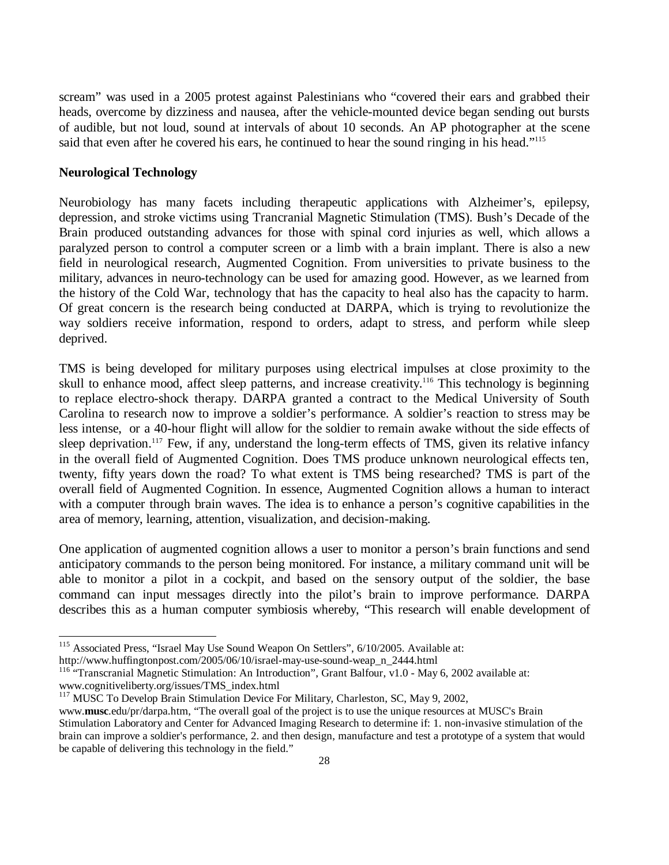scream" was used in a 2005 protest against Palestinians who "covered their ears and grabbed their heads, overcome by dizziness and nausea, after the vehicle-mounted device began sending out bursts of audible, but not loud, sound at intervals of about 10 seconds. An AP photographer at the scene said that even after he covered his ears, he continued to hear the sound ringing in his head."<sup>115</sup>

#### **Neurological Technology**

-

Neurobiology has many facets including therapeutic applications with Alzheimer's, epilepsy, depression, and stroke victims using Trancranial Magnetic Stimulation (TMS). Bush's Decade of the Brain produced outstanding advances for those with spinal cord injuries as well, which allows a paralyzed person to control a computer screen or a limb with a brain implant. There is also a new field in neurological research, Augmented Cognition. From universities to private business to the military, advances in neuro-technology can be used for amazing good. However, as we learned from the history of the Cold War, technology that has the capacity to heal also has the capacity to harm. Of great concern is the research being conducted at DARPA, which is trying to revolutionize the way soldiers receive information, respond to orders, adapt to stress, and perform while sleep deprived.

TMS is being developed for military purposes using electrical impulses at close proximity to the skull to enhance mood, affect sleep patterns, and increase creativity.<sup>116</sup> This technology is beginning to replace electro-shock therapy. DARPA granted a contract to the Medical University of South Carolina to research now to improve a soldier's performance. A soldier's reaction to stress may be less intense, or a 40-hour flight will allow for the soldier to remain awake without the side effects of sleep deprivation.<sup>117</sup> Few, if any, understand the long-term effects of TMS, given its relative infancy in the overall field of Augmented Cognition. Does TMS produce unknown neurological effects ten, twenty, fifty years down the road? To what extent is TMS being researched? TMS is part of the overall field of Augmented Cognition. In essence, Augmented Cognition allows a human to interact with a computer through brain waves. The idea is to enhance a person's cognitive capabilities in the area of memory, learning, attention, visualization, and decision-making.

One application of augmented cognition allows a user to monitor a person's brain functions and send anticipatory commands to the person being monitored. For instance, a military command unit will be able to monitor a pilot in a cockpit, and based on the sensory output of the soldier, the base command can input messages directly into the pilot's brain to improve performance. DARPA describes this as a human computer symbiosis whereby, "This research will enable development of

<sup>&</sup>lt;sup>115</sup> Associated Press, "Israel May Use Sound Weapon On Settlers", 6/10/2005. Available at:

http://www.huffingtonpost.com/2005/06/10/israel-may-use-sound-weap\_n\_2444.html

<sup>&</sup>lt;sup>116</sup> "Transcranial Magnetic Stimulation: An Introduction", Grant Balfour, v1.0 - May 6, 2002 available at: www.cognitiveliberty.org/issues/TMS\_index.html

<sup>&</sup>lt;sup>117</sup> MUSC To Develop Brain Stimulation Device For Military, Charleston, SC, May 9, 2002,

www.**musc**.edu/pr/darpa.htm, "The overall goal of the project is to use the unique resources at MUSC's Brain Stimulation Laboratory and Center for Advanced Imaging Research to determine if: 1. non-invasive stimulation of the brain can improve a soldier's performance, 2. and then design, manufacture and test a prototype of a system that would be capable of delivering this technology in the field."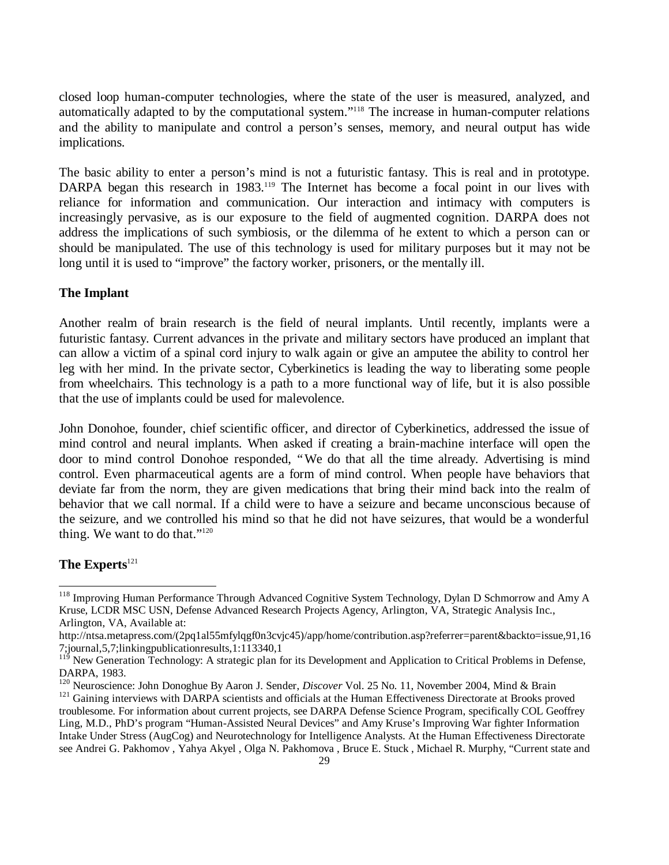closed loop human-computer technologies, where the state of the user is measured, analyzed, and automatically adapted to by the computational system." <sup>118</sup> The increase in human-computer relations and the ability to manipulate and control a person's senses, memory, and neural output has wide implications.

The basic ability to enter a person's mind is not a futuristic fantasy. This is real and in prototype. DARPA began this research in 1983.<sup>119</sup> The Internet has become a focal point in our lives with reliance for information and communication. Our interaction and intimacy with computers is increasingly pervasive, as is our exposure to the field of augmented cognition. DARPA does not address the implications of such symbiosis, or the dilemma of he extent to which a person can or should be manipulated. The use of this technology is used for military purposes but it may not be long until it is used to "improve" the factory worker, prisoners, or the mentally ill.

## **The Implant**

Another realm of brain research is the field of neural implants. Until recently, implants were a futuristic fantasy. Current advances in the private and military sectors have produced an implant that can allow a victim of a spinal cord injury to walk again or give an amputee the ability to control her leg with her mind. In the private sector, Cyberkinetics is leading the way to liberating some people from wheelchairs. This technology is a path to a more functional way of life, but it is also possible that the use of implants could be used for malevolence.

John Donohoe, founder, chief scientific officer, and director of Cyberkinetics, addressed the issue of mind control and neural implants. When asked if creating a brain-machine interface will open the door to mind control Donohoe responded, "We do that all the time already. Advertising is mind control. Even pharmaceutical agents are a form of mind control. When people have behaviors that deviate far from the norm, they are given medications that bring their mind back into the realm of behavior that we call normal. If a child were to have a seizure and became unconscious because of the seizure, and we controlled his mind so that he did not have seizures, that would be a wonderful thing. We want to do that." $120$ 

#### **The Experts**<sup>121</sup>

<sup>&</sup>lt;sup>118</sup> Improving Human Performance Through Advanced Cognitive System Technology, Dylan D Schmorrow and Amy A Kruse, LCDR MSC USN, Defense Advanced Research Projects Agency, Arlington, VA, Strategic Analysis Inc., Arlington, VA, Available at:

http://ntsa.metapress.com/(2pq1al55mfylqgf0n3cvjc45)/app/home/contribution.asp?referrer=parent&backto=issue,91,16 7;journal,5,7;linkingpublicationresults,1:113340,1

<sup>119</sup> New Generation Technology: A strategic plan for its Development and Application to Critical Problems in Defense, DARPA, 1983.

<sup>&</sup>lt;sup>120</sup> Neuroscience: John Donoghue By Aaron J. Sender, *Discover* Vol. 25 No. 11, November 2004, Mind & Brain

<sup>&</sup>lt;sup>121</sup> Gaining interviews with DARPA scientists and officials at the Human Effectiveness Directorate at Brooks proved troublesome. For information about current projects, see DARPA Defense Science Program, specifically COL Geoffrey Ling, M.D., PhD's program "Human-Assisted Neural Devices" and Amy Kruse's Improving War fighter Information Intake Under Stress (AugCog) and Neurotechnology for Intelligence Analysts. At the Human Effectiveness Directorate see Andrei G. Pakhomov , Yahya Akyel , Olga N. Pakhomova , Bruce E. Stuck , Michael R. Murphy, "Current state and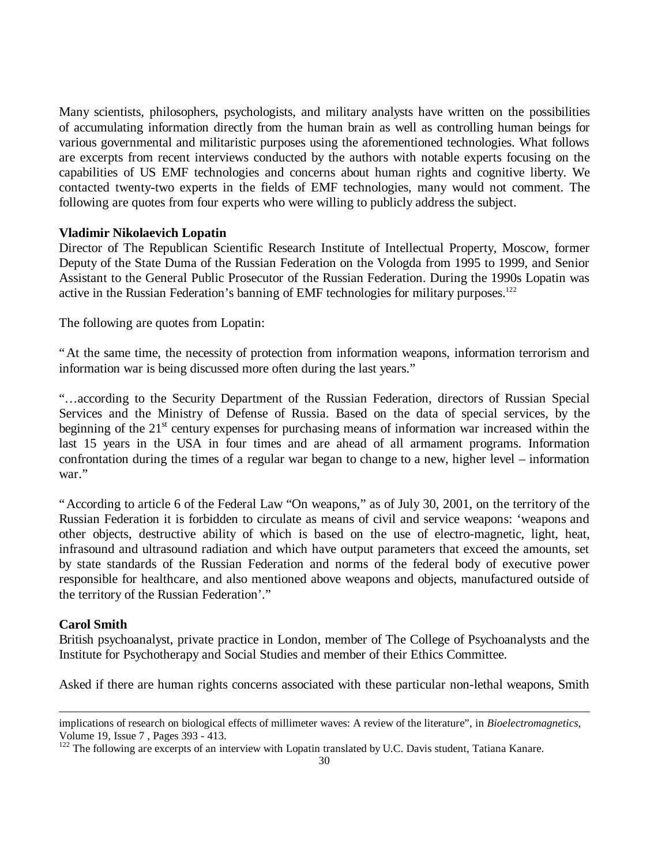Many scientists, philosophers, psychologists, and military analysts have written on the possibilities of accumulating information directly from the human brain as well as controlling human beings for various governmental and militaristic purposes using the aforementioned technologies. What follows are excerpts from recent interviews conducted by the authors with notable experts focusing on the capabilities of US EMF technologies and concerns about human rights and cognitive liberty. We contacted twenty-two experts in the fields of EMF technologies, many would not comment. The following are quotes from four experts who were willing to publicly address the subject.

## **Vladimir Nikolaevich Lopatin**

Director of The Republican Scientific Research Institute of Intellectual Property, Moscow, former Deputy of the State Duma of the Russian Federation on the Vologda from 1995 to 1999, and Senior Assistant to the General Public Prosecutor of the Russian Federation. During the 1990s Lopatin was active in the Russian Federation's banning of EMF technologies for military purposes.<sup>122</sup>

The following are quotes from Lopatin:

"At the same time, the necessity of protection from information weapons, information terrorism and information war is being discussed more often during the last years."

"… according to the Security Department of the Russian Federation, directors of Russian Special Services and the Ministry of Defense of Russia. Based on the data of special services, by the beginning of the 21<sup>st</sup> century expenses for purchasing means of information war increased within the last 15 years in the USA in four times and are ahead of all armament programs. Information confrontation during the times of a regular war began to change to a new, higher level – information war."

"According to article 6 of the Federal Law "On weapons," as of July 30, 2001, on the territory of the Russian Federation it is forbidden to circulate as means of civil and service weapons: 'weapons and other objects, destructive ability of which is based on the use of electro-magnetic, light, heat, infrasound and ultrasound radiation and which have output parameters that exceed the amounts, set by state standards of the Russian Federation and norms of the federal body of executive power responsible for healthcare, and also mentioned above weapons and objects, manufactured outside of the territory of the Russian Federation'."

## **Carol Smith**

-

British psychoanalyst, private practice in London, member of The College of Psychoanalysts and the Institute for Psychotherapy and Social Studies and member of their Ethics Committee.

Asked if there are human rights concerns associated with these particular non-lethal weapons, Smith

implications of research on biological effects of millimeter waves: A review of the literature", in *Bioelectromagnetics,* Volume 19, Issue 7 , Pages 393 - 413.

<sup>&</sup>lt;sup>122</sup> The following are excerpts of an interview with Lopatin translated by U.C. Davis student, Tatiana Kanare.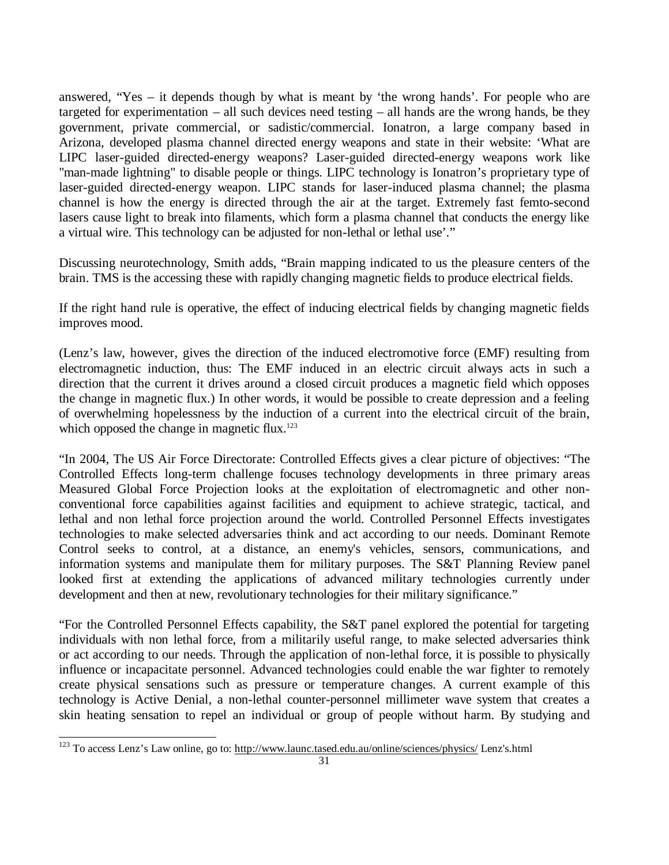answered, "Yes – it depends though by what is meant by 'the wrong hands'. For people who are targeted for experimentation – all such devices need testing – all hands are the wrong hands, be they government, private commercial, or sadistic/commercial. Ionatron, a large company based in Arizona, developed plasma channel directed energy weapons and state in their website: 'What are LIPC laser-guided directed-energy weapons? Laser-guided directed-energy weapons work like "man-made lightning" to disable people or things. LIPC technology is Ionatron's proprietary type of laser-guided directed-energy weapon. LIPC stands for laser-induced plasma channel; the plasma channel is how the energy is directed through the air at the target. Extremely fast femto-second lasers cause light to break into filaments, which form a plasma channel that conducts the energy like a virtual wire. This technology can be adjusted for non-lethal or lethal use'."

Discussing neurotechnology, Smith adds, "Brain mapping indicated to us the pleasure centers of the brain. TMS is the accessing these with rapidly changing magnetic fields to produce electrical fields.

If the right hand rule is operative, the effect of inducing electrical fields by changing magnetic fields improves mood.

(Lenz's law, however, gives the direction of the induced electromotive force (EMF) resulting from electromagnetic induction, thus: The EMF induced in an electric circuit always acts in such a direction that the current it drives around a closed circuit produces a magnetic field which opposes the change in magnetic flux.) In other words, it would be possible to create depression and a feeling of overwhelming hopelessness by the induction of a current into the electrical circuit of the brain, which opposed the change in magnetic flux. $123$ 

"In 2004, The US Air Force Directorate: Controlled Effects gives a clear picture of objectives: "The Controlled Effects long-term challenge focuses technology developments in three primary areas Measured Global Force Projection looks at the exploitation of electromagnetic and other nonconventional force capabilities against facilities and equipment to achieve strategic, tactical, and lethal and non lethal force projection around the world. Controlled Personnel Effects investigates technologies to make selected adversaries think and act according to our needs. Dominant Remote Control seeks to control, at a distance, an enemy's vehicles, sensors, communications, and information systems and manipulate them for military purposes. The S&T Planning Review panel looked first at extending the applications of advanced military technologies currently under development and then at new, revolutionary technologies for their military significance."

"For the Controlled Personnel Effects capability, the S&T panel explored the potential for targeting individuals with non lethal force, from a militarily useful range, to make selected adversaries think or act according to our needs. Through the application of non-lethal force, it is possible to physically influence or incapacitate personnel. Advanced technologies could enable the war fighter to remotely create physical sensations such as pressure or temperature changes. A current example of this technology is Active Denial, a non-lethal counter-personnel millimeter wave system that creates a skin heating sensation to repel an individual or group of people without harm. By studying and

l <sup>123</sup> To access Lenz's Law online, go to: http://www.launc.tased.edu.au/online/sciences/physics/ Lenz's.html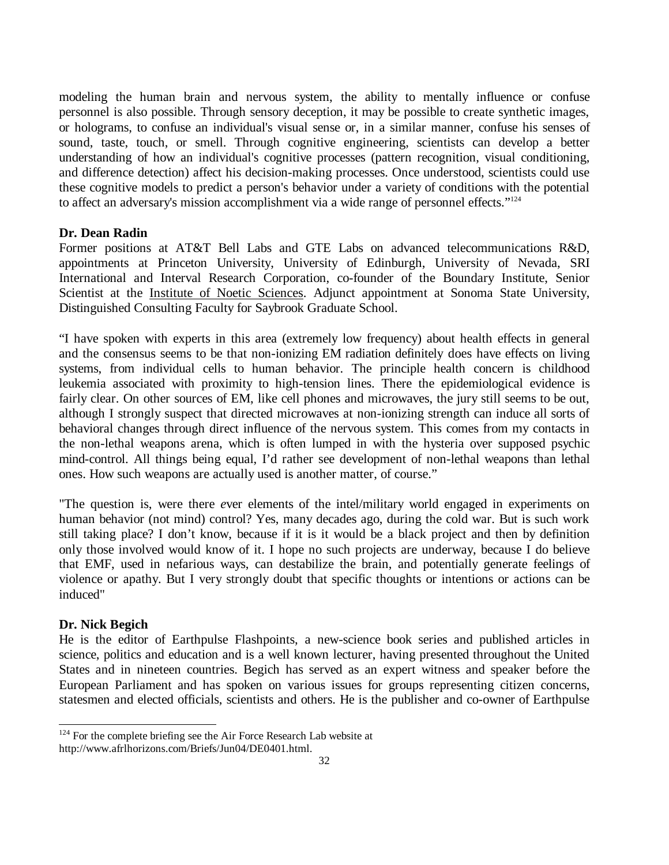modeling the human brain and nervous system, the ability to mentally influence or confuse personnel is also possible. Through sensory deception, it may be possible to create synthetic images, or holograms, to confuse an individual's visual sense or, in a similar manner, confuse his senses of sound, taste, touch, or smell. Through cognitive engineering, scientists can develop a better understanding of how an individual's cognitive processes (pattern recognition, visual conditioning, and difference detection) affect his decision-making processes. Once understood, scientists could use these cognitive models to predict a person's behavior under a variety of conditions with the potential to affect an adversary's mission accomplishment via a wide range of personnel effects."<sup>124</sup>

## **Dr. Dean Radin**

Former positions at AT&T Bell Labs and GTE Labs on advanced telecommunications R&D, appointments at Princeton University, University of Edinburgh, University of Nevada, SRI International and Interval Research Corporation, co-founder of the Boundary Institute, Senior Scientist at the Institute of Noetic Sciences. Adjunct appointment at Sonoma State University, Distinguished Consulting Faculty for Saybrook Graduate School.

"I have spoken with experts in this area (extremely low frequency) about health effects in general and the consensus seems to be that non-ionizing EM radiation definitely does have effects on living systems, from individual cells to human behavior. The principle health concern is childhood leukemia associated with proximity to high-tension lines. There the epidemiological evidence is fairly clear. On other sources of EM, like cell phones and microwaves, the jury still seems to be out, although I strongly suspect that directed microwaves at non-ionizing strength can induce all sorts of behavioral changes through direct influence of the nervous system. This comes from my contacts in the non-lethal weapons arena, which is often lumped in with the hysteria over supposed psychic mind-control. All things being equal, I'd rather see development of non-lethal weapons than lethal ones. How such weapons are actually used is another matter, of course."

"The question is, were there *e*ver elements of the intel/military world engaged in experiments on human behavior (not mind) control? Yes, many decades ago, during the cold war. But is such work still taking place? I don't know, because if it is it would be a black project and then by definition only those involved would know of it. I hope no such projects are underway, because I do believe that EMF, used in nefarious ways, can destabilize the brain, and potentially generate feelings of violence or apathy. But I very strongly doubt that specific thoughts or intentions or actions can be induced"

## **Dr. Nick Begich**

-

He is the editor of Earthpulse Flashpoints, a new-science book series and published articles in science, politics and education and is a well known lecturer, having presented throughout the United States and in nineteen countries. Begich has served as an expert witness and speaker before the European Parliament and has spoken on various issues for groups representing citizen concerns, statesmen and elected officials, scientists and others. He is the publisher and co-owner of Earthpulse

 $124$  For the complete briefing see the Air Force Research Lab website at http://www.afrlhorizons.com/Briefs/Jun04/DE0401.html.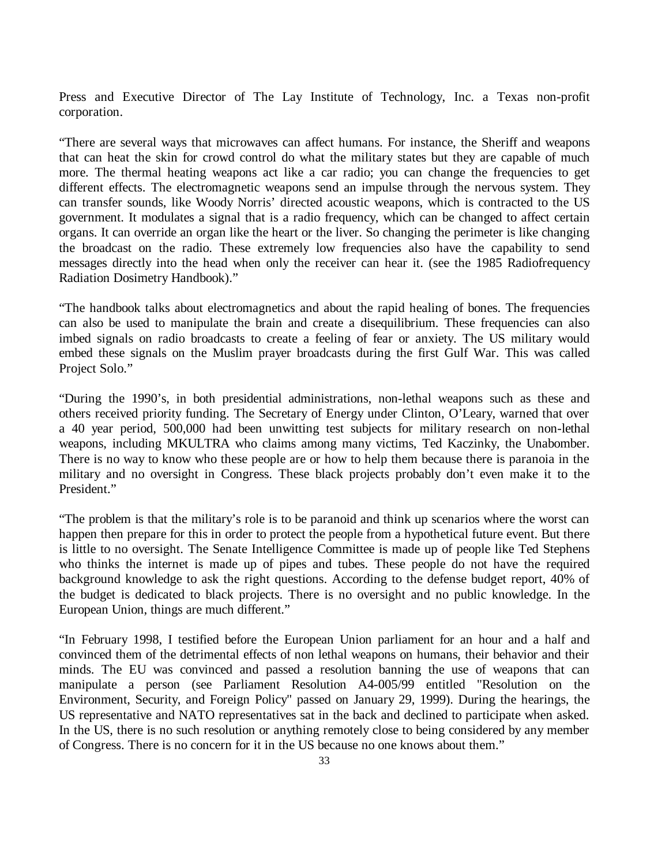Press and Executive Director of The Lay Institute of Technology, Inc. a Texas non-profit corporation.

"There are several ways that microwaves can affect humans. For instance, the Sheriff and weapons that can heat the skin for crowd control do what the military states but they are capable of much more. The thermal heating weapons act like a car radio; you can change the frequencies to get different effects. The electromagnetic weapons send an impulse through the nervous system. They can transfer sounds, like Woody Norris' directed acoustic weapons, which is contracted to the US government. It modulates a signal that is a radio frequency, which can be changed to affect certain organs. It can override an organ like the heart or the liver. So changing the perimeter is like changing the broadcast on the radio. These extremely low frequencies also have the capability to send messages directly into the head when only the receiver can hear it. (see the 1985 Radiofrequency Radiation Dosimetry Handbook)."

"The handbook talks about electromagnetics and about the rapid healing of bones. The frequencies can also be used to manipulate the brain and create a disequilibrium. These frequencies can also imbed signals on radio broadcasts to create a feeling of fear or anxiety. The US military would embed these signals on the Muslim prayer broadcasts during the first Gulf War. This was called Project Solo."

"During the 1990's, in both presidential administrations, non-lethal weapons such as these and others received priority funding. The Secretary of Energy under Clinton, O'Leary, warned that over a 40 year period, 500,000 had been unwitting test subjects for military research on non-lethal weapons, including MKULTRA who claims among many victims, Ted Kaczinky, the Unabomber. There is no way to know who these people are or how to help them because there is paranoia in the military and no oversight in Congress. These black projects probably don't even make it to the President."

"The problem is that the military's role is to be paranoid and think up scenarios where the worst can happen then prepare for this in order to protect the people from a hypothetical future event. But there is little to no oversight. The Senate Intelligence Committee is made up of people like Ted Stephens who thinks the internet is made up of pipes and tubes. These people do not have the required background knowledge to ask the right questions. According to the defense budget report, 40% of the budget is dedicated to black projects. There is no oversight and no public knowledge. In the European Union, things are much different."

"In February 1998, I testified before the European Union parliament for an hour and a half and convinced them of the detrimental effects of non lethal weapons on humans, their behavior and their minds. The EU was convinced and passed a resolution banning the use of weapons that can manipulate a person (see Parliament Resolution A4-005/99 entitled "Resolution on the Environment, Security, and Foreign Policy" passed on January 29, 1999). During the hearings, the US representative and NATO representatives sat in the back and declined to participate when asked. In the US, there is no such resolution or anything remotely close to being considered by any member of Congress. There is no concern for it in the US because no one knows about them."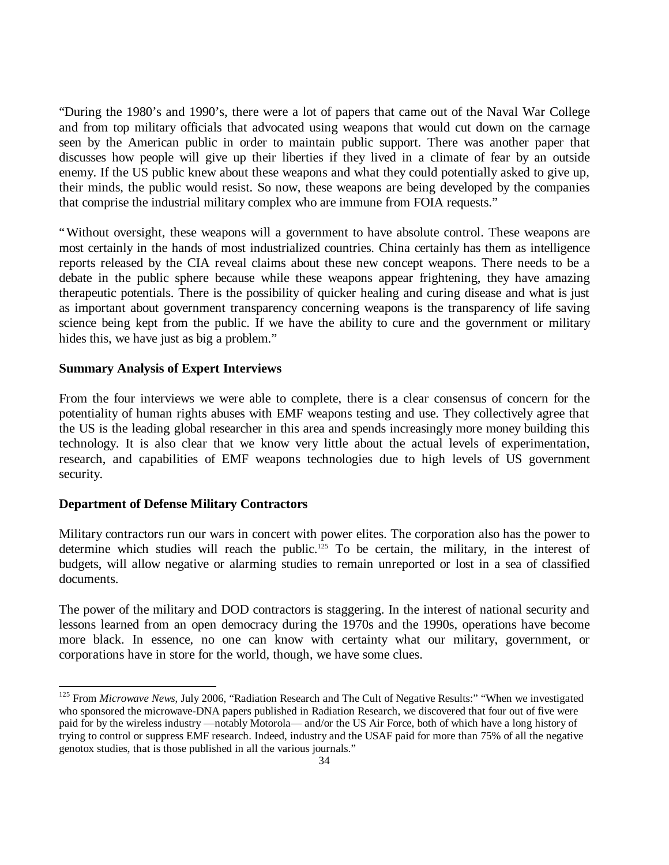"During the 1980's and 1990's, there were a lot of papers that came out of the Naval War College and from top military officials that advocated using weapons that would cut down on the carnage seen by the American public in order to maintain public support. There was another paper that discusses how people will give up their liberties if they lived in a climate of fear by an outside enemy. If the US public knew about these weapons and what they could potentially asked to give up, their minds, the public would resist. So now, these weapons are being developed by the companies that comprise the industrial military complex who are immune from FOIA requests."

"Without oversight, these weapons will a government to have absolute control. These weapons are most certainly in the hands of most industrialized countries. China certainly has them as intelligence reports released by the CIA reveal claims about these new concept weapons. There needs to be a debate in the public sphere because while these weapons appear frightening, they have amazing therapeutic potentials. There is the possibility of quicker healing and curing disease and what is just as important about government transparency concerning weapons is the transparency of life saving science being kept from the public. If we have the ability to cure and the government or military hides this, we have just as big a problem."

## **Summary Analysis of Expert Interviews**

From the four interviews we were able to complete, there is a clear consensus of concern for the potentiality of human rights abuses with EMF weapons testing and use. They collectively agree that the US is the leading global researcher in this area and spends increasingly more money building this technology. It is also clear that we know very little about the actual levels of experimentation, research, and capabilities of EMF weapons technologies due to high levels of US government security.

## **Department of Defense Military Contractors**

l

Military contractors run our wars in concert with power elites. The corporation also has the power to determine which studies will reach the public.<sup>125</sup> To be certain, the military, in the interest of budgets, will allow negative or alarming studies to remain unreported or lost in a sea of classified documents.

The power of the military and DOD contractors is staggering. In the interest of national security and lessons learned from an open democracy during the 1970s and the 1990s, operations have become more black. In essence, no one can know with certainty what our military, government, or corporations have in store for the world, though, we have some clues.

<sup>&</sup>lt;sup>125</sup> From *Microwave News*, July 2006, "Radiation Research and The Cult of Negative Results:" "When we investigated who sponsored the microwave-DNA papers published in Radiation Research, we discovered that four out of five were paid for by the wireless industry — notably Motorola— and/or the US Air Force, both of which have a long history of trying to control or suppress EMF research. Indeed, industry and the USAF paid for more than 75% of all the negative genotox studies, that is those published in all the various journals."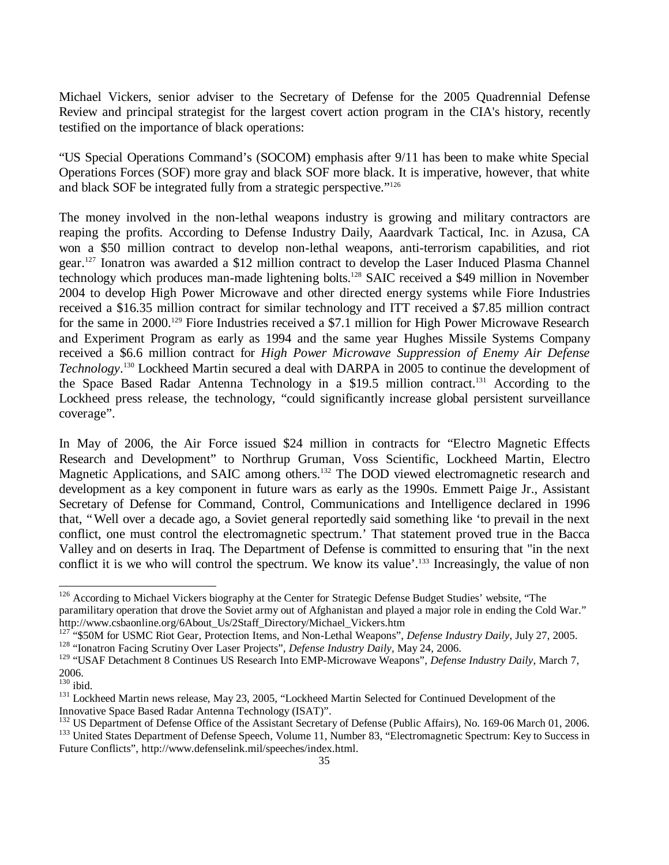Michael Vickers, senior adviser to the Secretary of Defense for the 2005 Quadrennial Defense Review and principal strategist for the largest covert action program in the CIA's history, recently testified on the importance of black operations:

"US Special Operations Command's (SOCOM) emphasis after 9/11 has been to make white Special Operations Forces (SOF) more gray and black SOF more black. It is imperative, however, that white and black SOF be integrated fully from a strategic perspective."<sup>126</sup>

The money involved in the non-lethal weapons industry is growing and military contractors are reaping the profits. According to Defense Industry Daily, Aaardvark Tactical, Inc. in Azusa, CA won a \$50 million contract to develop non-lethal weapons, anti-terrorism capabilities, and riot gear.<sup>127</sup> Ionatron was awarded a \$12 million contract to develop the Laser Induced Plasma Channel technology which produces man-made lightening bolts.<sup>128</sup> SAIC received a \$49 million in November 2004 to develop High Power Microwave and other directed energy systems while Fiore Industries received a \$16.35 million contract for similar technology and ITT received a \$7.85 million contract for the same in 2000.<sup>129</sup> Fiore Industries received a \$7.1 million for High Power Microwave Research and Experiment Program as early as 1994 and the same year Hughes Missile Systems Company received a \$6.6 million contract for *High Power Microwave Suppression of Enemy Air Defense Technology*. <sup>130</sup> Lockheed Martin secured a deal with DARPA in 2005 to continue the development of the Space Based Radar Antenna Technology in a \$19.5 million contract.<sup>131</sup> According to the Lockheed press release, the technology, "could significantly increase global persistent surveillance coverage".

In May of 2006, the Air Force issued \$24 million in contracts for "Electro Magnetic Effects Research and Development" to Northrup Gruman, Voss Scientific, Lockheed Martin, Electro Magnetic Applications, and SAIC among others.<sup>132</sup> The DOD viewed electromagnetic research and development as a key component in future wars as early as the 1990s. Emmett Paige Jr., Assistant Secretary of Defense for Command, Control, Communications and Intelligence declared in 1996 that, "Well over a decade ago, a Soviet general reportedly said something like 'to prevail in the next conflict, one must control the electromagnetic spectrum.' That statement proved true in the Bacca Valley and on deserts in Iraq. The Department of Defense is committed to ensuring that "in the next conflict it is we who will control the spectrum. We know its value'.<sup>133</sup> Increasingly, the value of non

<sup>&</sup>lt;sup>126</sup> According to Michael Vickers biography at the Center for Strategic Defense Budget Studies' website, "The paramilitary operation that drove the Soviet army out of Afghanistan and played a major role in ending the Cold War." http://www.csbaonline.org/6About\_Us/2Staff\_Directory/Michael\_Vickers.htm

<sup>&</sup>lt;sup>127</sup> "\$50M for USMC Riot Gear, Protection Items, and Non-Lethal Weapons", *Defense Industry Daily*, July 27, 2005. <sup>128</sup> "Ionatron Facing Scrutiny Over Laser Projects", *Defense Industry Daily,* May 24, 2006.

<sup>&</sup>lt;sup>129</sup> "USAF Detachment 8 Continues US Research Into EMP-Microwave Weapons", *Defense Industry Daily*, March 7, 2006.

 $^{130}$ ibid.

<sup>&</sup>lt;sup>131</sup> Lockheed Martin news release, May 23, 2005, "Lockheed Martin Selected for Continued Development of the Innovative Space Based Radar Antenna Technology (ISAT)".

<sup>&</sup>lt;sup>132</sup> US Department of Defense Office of the Assistant Secretary of Defense (Public Affairs), No. 169-06 March 01, 2006.

<sup>&</sup>lt;sup>133</sup> United States Department of Defense Speech, Volume 11, Number 83, "Electromagnetic Spectrum: Key to Success in Future Conflicts", http://www.defenselink.mil/speeches/index.html.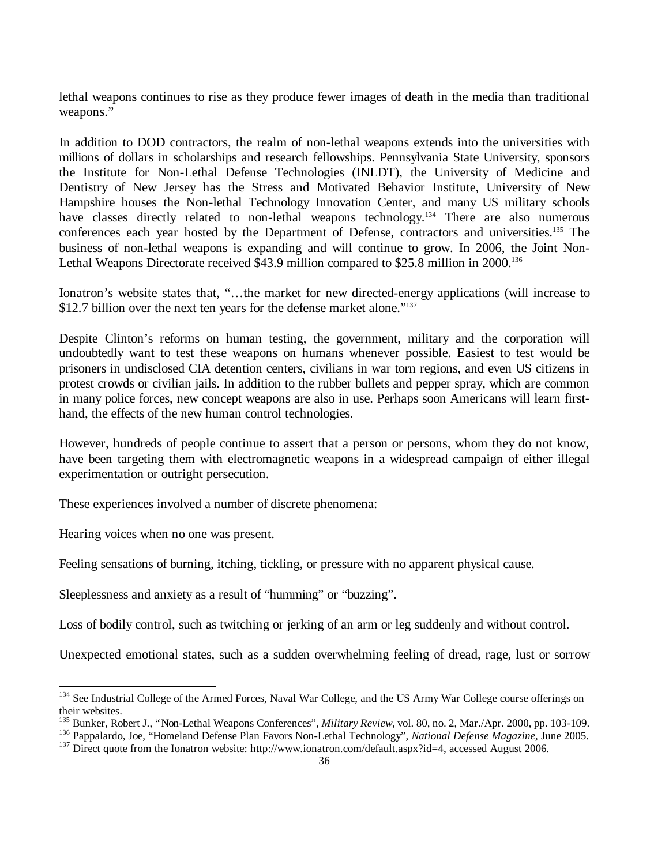lethal weapons continues to rise as they produce fewer images of death in the media than traditional weapons."

In addition to DOD contractors, the realm of non-lethal weapons extends into the universities with millions of dollars in scholarships and research fellowships. Pennsylvania State University, sponsors the Institute for Non-Lethal Defense Technologies (INLDT), the University of Medicine and Dentistry of New Jersey has the Stress and Motivated Behavior Institute, University of New Hampshire houses the Non-lethal Technology Innovation Center, and many US military schools have classes directly related to non-lethal weapons technology.<sup>134</sup> There are also numerous conferences each year hosted by the Department of Defense, contractors and universities.<sup>135</sup> The business of non-lethal weapons is expanding and will continue to grow. In 2006, the Joint Non-Lethal Weapons Directorate received \$43.9 million compared to \$25.8 million in 2000.<sup>136</sup>

Ionatron's website states that, "… the market for new directed-energy applications (will increase to \$12.7 billion over the next ten years for the defense market alone."<sup>137</sup>

Despite Clinton's reforms on human testing, the government, military and the corporation will undoubtedly want to test these weapons on humans whenever possible. Easiest to test would be prisoners in undisclosed CIA detention centers, civilians in war torn regions, and even US citizens in protest crowds or civilian jails. In addition to the rubber bullets and pepper spray, which are common in many police forces, new concept weapons are also in use. Perhaps soon Americans will learn firsthand, the effects of the new human control technologies.

However, hundreds of people continue to assert that a person or persons, whom they do not know, have been targeting them with electromagnetic weapons in a widespread campaign of either illegal experimentation or outright persecution.

These experiences involved a number of discrete phenomena:

Hearing voices when no one was present.

l

Feeling sensations of burning, itching, tickling, or pressure with no apparent physical cause.

Sleeplessness and anxiety as a result of "humming" or "buzzing".

Loss of bodily control, such as twitching or jerking of an arm or leg suddenly and without control.

Unexpected emotional states, such as a sudden overwhelming feeling of dread, rage, lust or sorrow

<sup>&</sup>lt;sup>134</sup> See Industrial College of the Armed Forces, Naval War College, and the US Army War College course offerings on their websites.

<sup>135</sup> Bunker, Robert J., "Non-Lethal Weapons Conferences", *Military Review,* vol. 80, no. 2, Mar./Apr. 2000, pp. 103-109.

<sup>136</sup> Pappalardo, Joe, "Homeland Defense Plan Favors Non-Lethal Technology", *National Defense Magazine,* June 2005. <sup>137</sup> Direct quote from the Ionatron website: http://www.ionatron.com/default.aspx?id=4, accessed August 2006.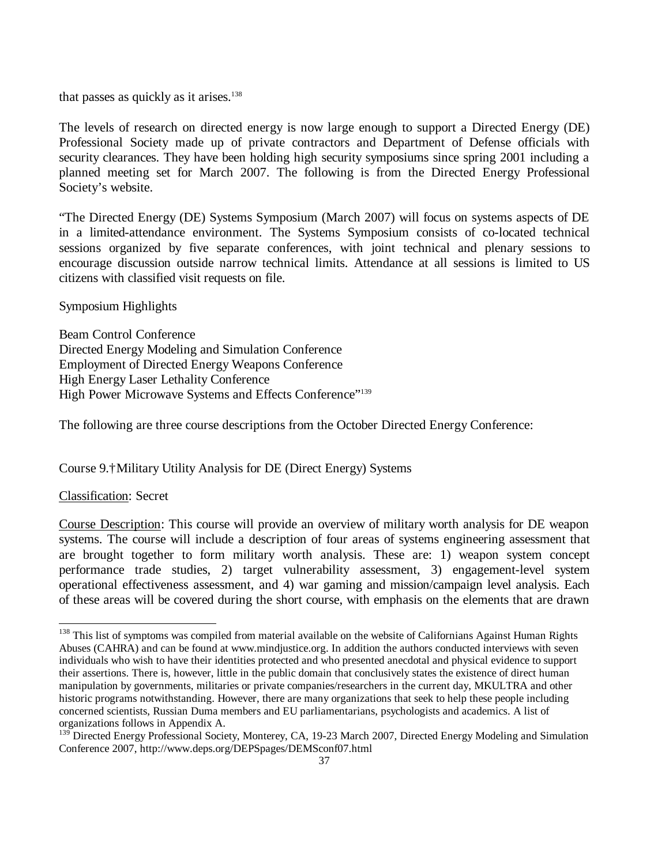that passes as quickly as it arises. $138$ 

The levels of research on directed energy is now large enough to support a Directed Energy (DE) Professional Society made up of private contractors and Department of Defense officials with security clearances. They have been holding high security symposiums since spring 2001 including a planned meeting set for March 2007. The following is from the Directed Energy Professional Society's website.

"The Directed Energy (DE) Systems Symposium (March 2007) will focus on systems aspects of DE in a limited-attendance environment. The Systems Symposium consists of co-located technical sessions organized by five separate conferences, with joint technical and plenary sessions to encourage discussion outside narrow technical limits. Attendance at all sessions is limited to US citizens with classified visit requests on file.

## Symposium Highlights

Beam Control Conference Directed Energy Modeling and Simulation Conference Employment of Directed Energy Weapons Conference High Energy Laser Lethality Conference High Power Microwave Systems and Effects Conference"<sup>139</sup>

The following are three course descriptions from the October Directed Energy Conference:

Course 9.†Military Utility Analysis for DE (Direct Energy) Systems

## Classification: Secret

l

Course Description: This course will provide an overview of military worth analysis for DE weapon systems. The course will include a description of four areas of systems engineering assessment that are brought together to form military worth analysis. These are: 1) weapon system concept performance trade studies, 2) target vulnerability assessment, 3) engagement-level system operational effectiveness assessment, and 4) war gaming and mission/campaign level analysis. Each of these areas will be covered during the short course, with emphasis on the elements that are drawn

<sup>&</sup>lt;sup>138</sup> This list of symptoms was compiled from material available on the website of Californians Against Human Rights Abuses (CAHRA) and can be found at www.mindjustice.org. In addition the authors conducted interviews with seven individuals who wish to have their identities protected and who presented anecdotal and physical evidence to support their assertions. There is, however, little in the public domain that conclusively states the existence of direct human manipulation by governments, militaries or private companies/researchers in the current day, MKULTRA and other historic programs notwithstanding. However, there are many organizations that seek to help these people including concerned scientists, Russian Duma members and EU parliamentarians, psychologists and academics. A list of organizations follows in Appendix A.

<sup>&</sup>lt;sup>139</sup> Directed Energy Professional Society, Monterey, CA, 19-23 March 2007, Directed Energy Modeling and Simulation Conference 2007, http://www.deps.org/DEPSpages/DEMSconf07.html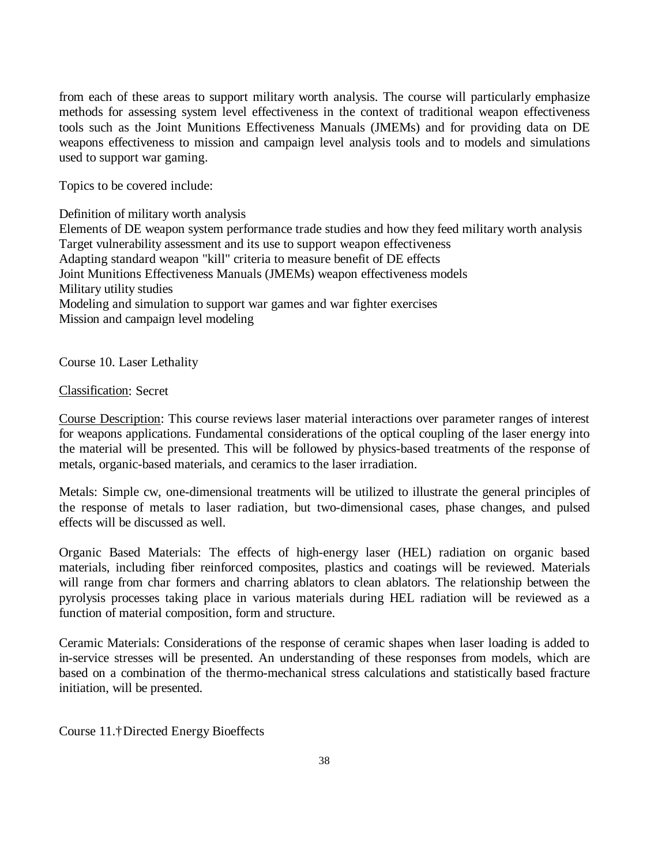from each of these areas to support military worth analysis. The course will particularly emphasize methods for assessing system level effectiveness in the context of traditional weapon effectiveness tools such as the Joint Munitions Effectiveness Manuals (JMEMs) and for providing data on DE weapons effectiveness to mission and campaign level analysis tools and to models and simulations used to support war gaming.

Topics to be covered include:

Definition of military worth analysis

Elements of DE weapon system performance trade studies and how they feed military worth analysis Target vulnerability assessment and its use to support weapon effectiveness Adapting standard weapon "kill" criteria to measure benefit of DE effects Joint Munitions Effectiveness Manuals (JMEMs) weapon effectiveness models Military utility studies Modeling and simulation to support war games and war fighter exercises Mission and campaign level modeling

Course 10. Laser Lethality

## Classification: Secret

Course Description: This course reviews laser material interactions over parameter ranges of interest for weapons applications. Fundamental considerations of the optical coupling of the laser energy into the material will be presented. This will be followed by physics-based treatments of the response of metals, organic-based materials, and ceramics to the laser irradiation.

Metals: Simple cw, one-dimensional treatments will be utilized to illustrate the general principles of the response of metals to laser radiation, but two-dimensional cases, phase changes, and pulsed effects will be discussed as well.

Organic Based Materials: The effects of high-energy laser (HEL) radiation on organic based materials, including fiber reinforced composites, plastics and coatings will be reviewed. Materials will range from char formers and charring ablators to clean ablators. The relationship between the pyrolysis processes taking place in various materials during HEL radiation will be reviewed as a function of material composition, form and structure.

Ceramic Materials: Considerations of the response of ceramic shapes when laser loading is added to in-service stresses will be presented. An understanding of these responses from models, which are based on a combination of the thermo-mechanical stress calculations and statistically based fracture initiation, will be presented.

Course 11.†Directed Energy Bioeffects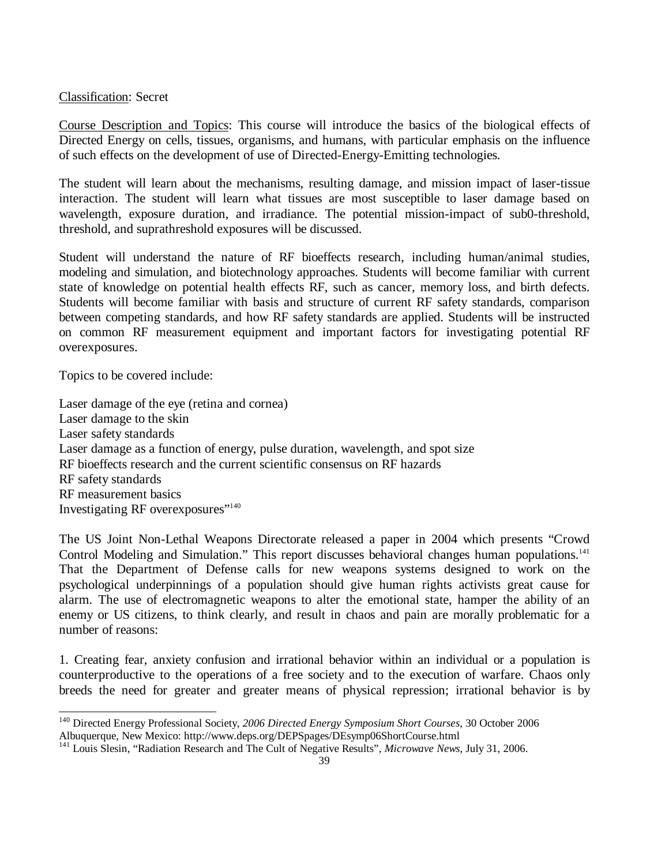## Classification: Secret

Course Description and Topics: This course will introduce the basics of the biological effects of Directed Energy on cells, tissues, organisms, and humans, with particular emphasis on the influence of such effects on the development of use of Directed-Energy-Emitting technologies.

The student will learn about the mechanisms, resulting damage, and mission impact of laser-tissue interaction. The student will learn what tissues are most susceptible to laser damage based on wavelength, exposure duration, and irradiance. The potential mission-impact of sub0-threshold, threshold, and suprathreshold exposures will be discussed.

Student will understand the nature of RF bioeffects research, including human/animal studies, modeling and simulation, and biotechnology approaches. Students will become familiar with current state of knowledge on potential health effects RF, such as cancer, memory loss, and birth defects. Students will become familiar with basis and structure of current RF safety standards, comparison between competing standards, and how RF safety standards are applied. Students will be instructed on common RF measurement equipment and important factors for investigating potential RF overexposures.

Topics to be covered include:

-

Laser damage of the eye (retina and cornea) Laser damage to the skin Laser safety standards Laser damage as a function of energy, pulse duration, wavelength, and spot size RF bioeffects research and the current scientific consensus on RF hazards RF safety standards RF measurement basics Investigating RF overexposures" 140

The US Joint Non-Lethal Weapons Directorate released a paper in 2004 which presents "Crowd Control Modeling and Simulation." This report discusses behavioral changes human populations.<sup>141</sup> That the Department of Defense calls for new weapons systems designed to work on the psychological underpinnings of a population should give human rights activists great cause for alarm. The use of electromagnetic weapons to alter the emotional state, hamper the ability of an enemy or US citizens, to think clearly, and result in chaos and pain are morally problematic for a number of reasons:

1. Creating fear, anxiety confusion and irrational behavior within an individual or a population is counterproductive to the operations of a free society and to the execution of warfare. Chaos only breeds the need for greater and greater means of physical repression; irrational behavior is by

<sup>140</sup> Directed Energy Professional Society, *2006 Directed Energy Symposium Short Courses,* 30 October 2006 Albuquerque, New Mexico: http://www.deps.org/DEPSpages/DEsymp06ShortCourse.html

<sup>141</sup> Louis Slesin, "Radiation Research and The Cult of Negative Results", *Microwave News,* July 31, 2006.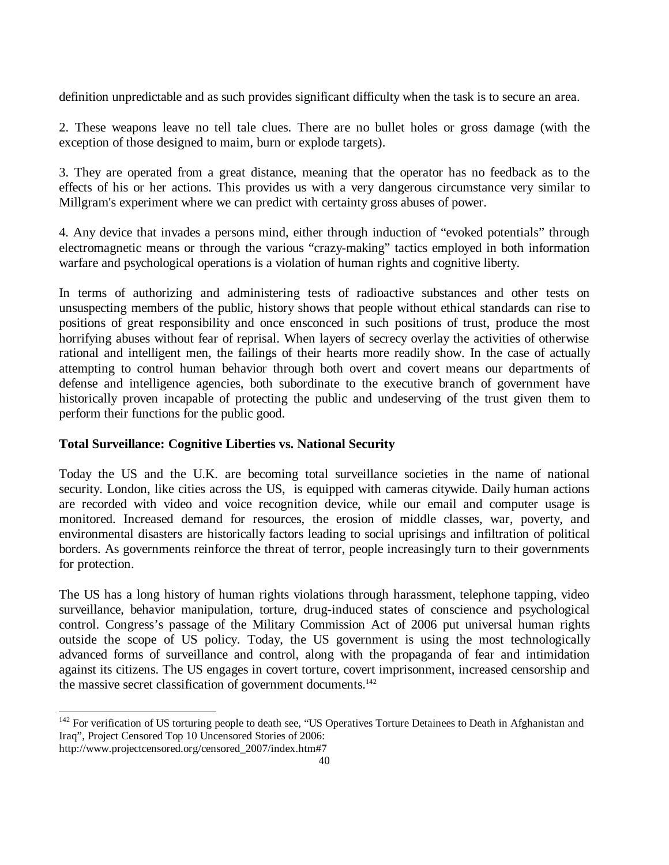definition unpredictable and as such provides significant difficulty when the task is to secure an area.

2. These weapons leave no tell tale clues. There are no bullet holes or gross damage (with the exception of those designed to maim, burn or explode targets).

3. They are operated from a great distance, meaning that the operator has no feedback as to the effects of his or her actions. This provides us with a very dangerous circumstance very similar to Millgram's experiment where we can predict with certainty gross abuses of power.

4. Any device that invades a persons mind, either through induction of "evoked potentials" through electromagnetic means or through the various "crazy-making" tactics employed in both information warfare and psychological operations is a violation of human rights and cognitive liberty.

In terms of authorizing and administering tests of radioactive substances and other tests on unsuspecting members of the public, history shows that people without ethical standards can rise to positions of great responsibility and once ensconced in such positions of trust, produce the most horrifying abuses without fear of reprisal. When layers of secrecy overlay the activities of otherwise rational and intelligent men, the failings of their hearts more readily show. In the case of actually attempting to control human behavior through both overt and covert means our departments of defense and intelligence agencies, both subordinate to the executive branch of government have historically proven incapable of protecting the public and undeserving of the trust given them to perform their functions for the public good.

## **Total Surveillance: Cognitive Liberties vs. National Security**

Today the US and the U.K. are becoming total surveillance societies in the name of national security. London, like cities across the US, is equipped with cameras citywide. Daily human actions are recorded with video and voice recognition device, while our email and computer usage is monitored. Increased demand for resources, the erosion of middle classes, war, poverty, and environmental disasters are historically factors leading to social uprisings and infiltration of political borders. As governments reinforce the threat of terror, people increasingly turn to their governments for protection.

The US has a long history of human rights violations through harassment, telephone tapping, video surveillance, behavior manipulation, torture, drug-induced states of conscience and psychological control. Congress's passage of the Military Commission Act of 2006 put universal human rights outside the scope of US policy. Today, the US government is using the most technologically advanced forms of surveillance and control, along with the propaganda of fear and intimidation against its citizens. The US engages in covert torture, covert imprisonment, increased censorship and the massive secret classification of government documents.<sup>142</sup>

http://www.projectcensored.org/censored\_2007/index.htm#7

 $142$  For verification of US torturing people to death see, "US Operatives Torture Detainees to Death in Afghanistan and Iraq", Project Censored Top 10 Uncensored Stories of 2006: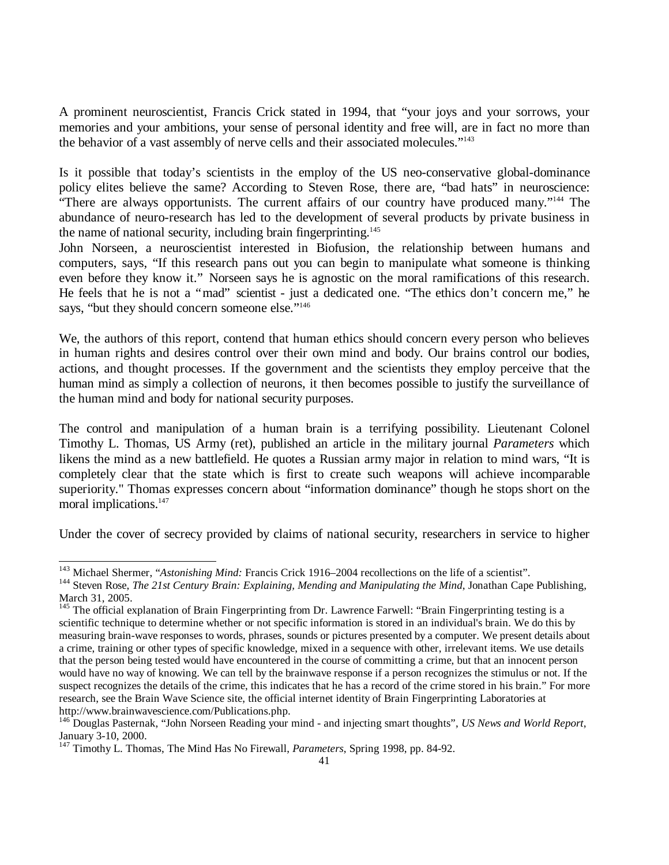A prominent neuroscientist, Francis Crick stated in 1994, that "your joys and your sorrows, your memories and your ambitions, your sense of personal identity and free will, are in fact no more than the behavior of a vast assembly of nerve cells and their associated molecules."<sup>143</sup>

Is it possible that today's scientists in the employ of the US neo-conservative global-dominance policy elites believe the same? According to Steven Rose, there are, "bad hats" in neuroscience: "There are always opportunists. The current affairs of our country have produced many."<sup>144</sup> The abundance of neuro-research has led to the development of several products by private business in the name of national security, including brain fingerprinting.<sup>145</sup>

John Norseen, a neuroscientist interested in Biofusion, the relationship between humans and computers, says, "If this research pans out you can begin to manipulate what someone is thinking even before they know it." Norseen says he is agnostic on the moral ramifications of this research. He feels that he is not a "mad" scientist - just a dedicated one. "The ethics don't concern me," he says, "but they should concern someone else."<sup>146</sup>

We, the authors of this report, contend that human ethics should concern every person who believes in human rights and desires control over their own mind and body. Our brains control our bodies, actions, and thought processes. If the government and the scientists they employ perceive that the human mind as simply a collection of neurons, it then becomes possible to justify the surveillance of the human mind and body for national security purposes.

The control and manipulation of a human brain is a terrifying possibility. Lieutenant Colonel Timothy L. Thomas, US Army (ret), published an article in the military journal *Parameters* which likens the mind as a new battlefield. He quotes a Russian army major in relation to mind wars, "It is completely clear that the state which is first to create such weapons will achieve incomparable superiority." Thomas expresses concern about "information dominance" though he stops short on the moral implications.<sup>147</sup>

Under the cover of secrecy provided by claims of national security, researchers in service to higher

<sup>&</sup>lt;sup>143</sup> Michael Shermer, "Astonishing Mind: Francis Crick 1916–2004 recollections on the life of a scientist".

<sup>&</sup>lt;sup>144</sup> Steven Rose, *The 21st Century Brain: Explaining, Mending and Manipulating the Mind*, Jonathan Cape Publishing, March 31, 2005.

 $145$  The official explanation of Brain Fingerprinting from Dr. Lawrence Farwell: "Brain Fingerprinting testing is a scientific technique to determine whether or not specific information is stored in an individual's brain. We do this by measuring brain-wave responses to words, phrases, sounds or pictures presented by a computer. We present details about a crime, training or other types of specific knowledge, mixed in a sequence with other, irrelevant items. We use details that the person being tested would have encountered in the course of committing a crime, but that an innocent person would have no way of knowing. We can tell by the brainwave response if a person recognizes the stimulus or not. If the suspect recognizes the details of the crime, this indicates that he has a record of the crime stored in his brain." For more research, see the Brain Wave Science site, the official internet identity of Brain Fingerprinting Laboratories at http://www.brainwavescience.com/Publications.php.

<sup>146</sup> Douglas Pasternak, "John Norseen Reading your mind - and injecting smart thoughts", *US News and World Report*, January 3-10, 2000.

<sup>147</sup> Timothy L. Thomas, The Mind Has No Firewall, *Parameters*, Spring 1998, pp. 84-92.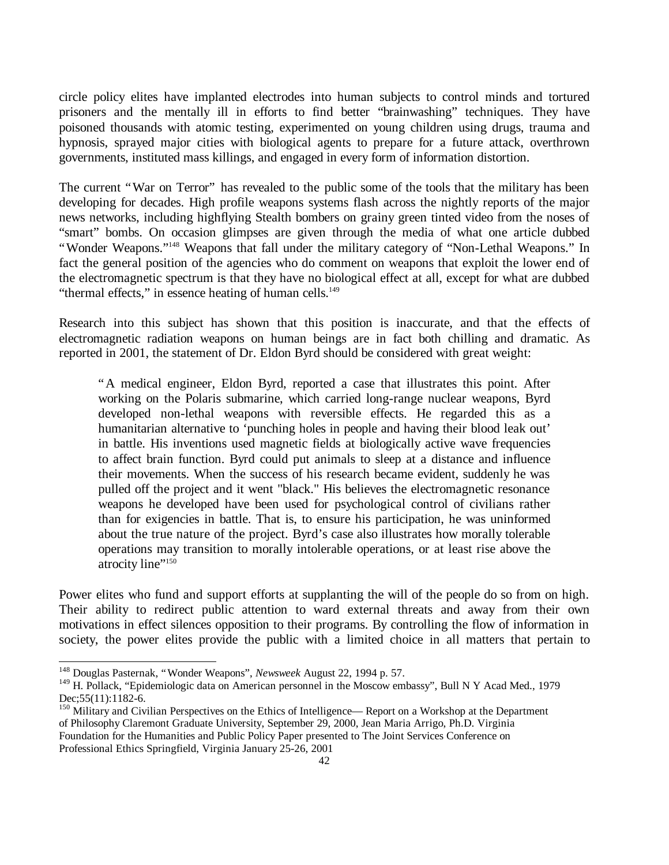circle policy elites have implanted electrodes into human subjects to control minds and tortured prisoners and the mentally ill in efforts to find better "brainwashing" techniques. They have poisoned thousands with atomic testing, experimented on young children using drugs, trauma and hypnosis, sprayed major cities with biological agents to prepare for a future attack, overthrown governments, instituted mass killings, and engaged in every form of information distortion.

The current "War on Terror" has revealed to the public some of the tools that the military has been developing for decades. High profile weapons systems flash across the nightly reports of the major news networks, including highflying Stealth bombers on grainy green tinted video from the noses of "smart" bombs. On occasion glimpses are given through the media of what one article dubbed "Wonder Weapons."<sup>148</sup> Weapons that fall under the military category of "Non-Lethal Weapons." In fact the general position of the agencies who do comment on weapons that exploit the lower end of the electromagnetic spectrum is that they have no biological effect at all, except for what are dubbed "thermal effects," in essence heating of human cells.<sup>149</sup>

Research into this subject has shown that this position is inaccurate, and that the effects of electromagnetic radiation weapons on human beings are in fact both chilling and dramatic. As reported in 2001, the statement of Dr. Eldon Byrd should be considered with great weight:

"A medical engineer, Eldon Byrd, reported a case that illustrates this point. After working on the Polaris submarine, which carried long-range nuclear weapons, Byrd developed non-lethal weapons with reversible effects. He regarded this as a humanitarian alternative to 'punching holes in people and having their blood leak out' in battle. His inventions used magnetic fields at biologically active wave frequencies to affect brain function. Byrd could put animals to sleep at a distance and influence their movements. When the success of his research became evident, suddenly he was pulled off the project and it went "black." His believes the electromagnetic resonance weapons he developed have been used for psychological control of civilians rather than for exigencies in battle. That is, to ensure his participation, he was uninformed about the true nature of the project. Byrd's case also illustrates how morally tolerable operations may transition to morally intolerable operations, or at least rise above the atrocity line"<sup>150</sup>

Power elites who fund and support efforts at supplanting the will of the people do so from on high. Their ability to redirect public attention to ward external threats and away from their own motivations in effect silences opposition to their programs. By controlling the flow of information in society, the power elites provide the public with a limited choice in all matters that pertain to

<sup>148</sup> Douglas Pasternak, "Wonder Weapons", *Newsweek* August 22, 1994 p. 57.

<sup>&</sup>lt;sup>149</sup> H. Pollack, "Epidemiologic data on American personnel in the Moscow embassy", Bull N Y Acad Med., 1979 Dec; 55(11): 1182-6.

<sup>&</sup>lt;sup>150</sup> Military and Civilian Perspectives on the Ethics of Intelligence— Report on a Workshop at the Department of Philosophy Claremont Graduate University, September 29, 2000, Jean Maria Arrigo, Ph.D. Virginia Foundation for the Humanities and Public Policy Paper presented to The Joint Services Conference on Professional Ethics Springfield, Virginia January 25-26, 2001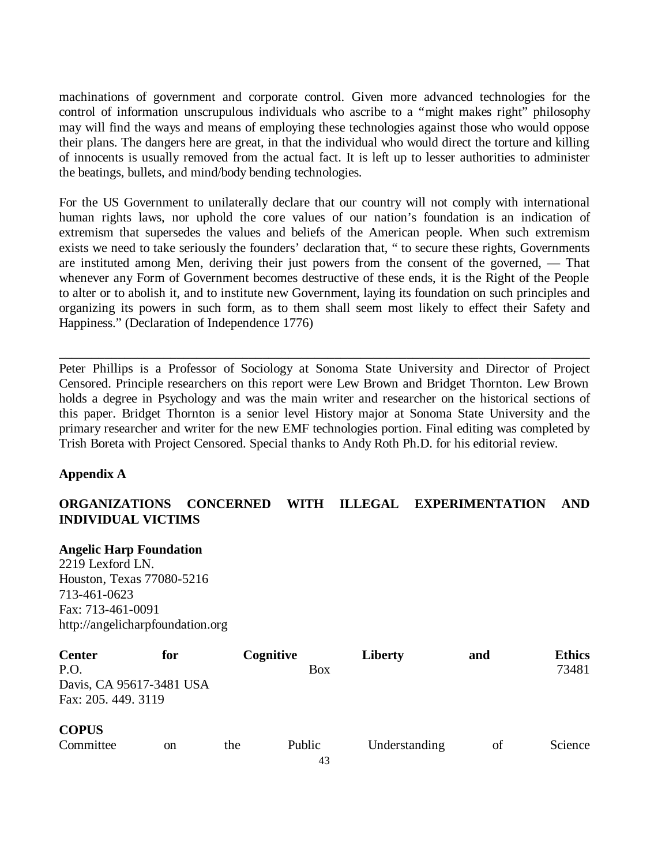machinations of government and corporate control. Given more advanced technologies for the control of information unscrupulous individuals who ascribe to a "might makes right" philosophy may will find the ways and means of employing these technologies against those who would oppose their plans. The dangers here are great, in that the individual who would direct the torture and killing of innocents is usually removed from the actual fact. It is left up to lesser authorities to administer the beatings, bullets, and mind/body bending technologies.

For the US Government to unilaterally declare that our country will not comply with international human rights laws, nor uphold the core values of our nation's foundation is an indication of extremism that supersedes the values and beliefs of the American people. When such extremism exists we need to take seriously the founders' declaration that, " to secure these rights, Governments are instituted among Men, deriving their just powers from the consent of the governed, — That whenever any Form of Government becomes destructive of these ends, it is the Right of the People to alter or to abolish it, and to institute new Government, laying its foundation on such principles and organizing its powers in such form, as to them shall seem most likely to effect their Safety and Happiness." (Declaration of Independence 1776)

Peter Phillips is a Professor of Sociology at Sonoma State University and Director of Project Censored. Principle researchers on this report were Lew Brown and Bridget Thornton. Lew Brown holds a degree in Psychology and was the main writer and researcher on the historical sections of this paper. Bridget Thornton is a senior level History major at Sonoma State University and the primary researcher and writer for the new EMF technologies portion. Final editing was completed by Trish Boreta with Project Censored. Special thanks to Andy Roth Ph.D. for his editorial review.

\_\_\_\_\_\_\_\_\_\_\_\_\_\_\_\_\_\_\_\_\_\_\_\_\_\_\_\_\_\_\_\_\_\_\_\_\_\_\_\_\_\_\_\_\_\_\_\_\_\_\_\_\_\_\_\_\_\_\_\_\_\_\_\_\_\_\_\_\_\_\_\_\_\_\_\_\_\_\_\_\_

## **Appendix A**

## **ORGANIZATIONS CONCERNED WITH ILLEGAL EXPERIMENTATION AND INDIVIDUAL VICTIMS**

# **Angelic Harp Foundation**

2219 Lexford LN. Houston, Texas 77080-5216 713-461-0623 Fax: 713-461-0091 http://angelicharpfoundation.org

| <b>Center</b><br>P.O.<br>Davis, CA 95617-3481 USA<br>Fax: 205. 449. 3119 | for           | Cognitive | <b>Box</b>   | Liberty       | and | <b>Ethics</b><br>73481 |
|--------------------------------------------------------------------------|---------------|-----------|--------------|---------------|-----|------------------------|
| <b>COPUS</b><br>Committee                                                | <sub>on</sub> | the       | Public<br>43 | Understanding | οf  | Science                |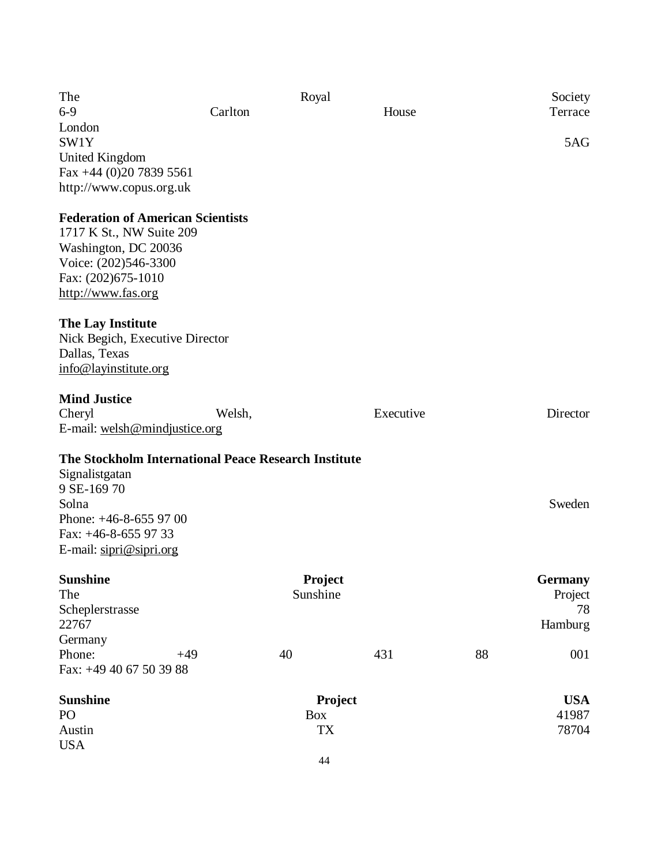| The                                                  | Royal    |                  |           |                     | Society        |
|------------------------------------------------------|----------|------------------|-----------|---------------------|----------------|
| $6-9$                                                | Carlton  |                  | House     |                     | Terrace        |
| London                                               |          |                  |           |                     |                |
| SW1Y                                                 |          |                  |           |                     | 5AG            |
| United Kingdom                                       |          |                  |           |                     |                |
| Fax +44 (0)20 7839 5561                              |          |                  |           |                     |                |
| http://www.copus.org.uk                              |          |                  |           |                     |                |
| <b>Federation of American Scientists</b>             |          |                  |           |                     |                |
| 1717 K St., NW Suite 209                             |          |                  |           |                     |                |
| Washington, DC 20036                                 |          |                  |           |                     |                |
| Voice: (202)546-3300                                 |          |                  |           |                     |                |
| Fax: (202)675-1010                                   |          |                  |           |                     |                |
| http://www.fas.org                                   |          |                  |           |                     |                |
|                                                      |          |                  |           |                     |                |
| The Lay Institute                                    |          |                  |           |                     |                |
| Nick Begich, Executive Director                      |          |                  |           |                     |                |
| Dallas, Texas                                        |          |                  |           |                     |                |
| info@layinstitute.org                                |          |                  |           |                     |                |
| <b>Mind Justice</b>                                  |          |                  |           |                     |                |
| Cheryl                                               | Welsh,   |                  | Executive |                     | Director       |
| E-mail: welsh@mindjustice.org                        |          |                  |           |                     |                |
|                                                      |          |                  |           |                     |                |
| The Stockholm International Peace Research Institute |          |                  |           |                     |                |
| Signalistgatan                                       |          |                  |           |                     |                |
| 9 SE-169 70                                          |          |                  |           |                     |                |
| Solna                                                |          |                  |           |                     | Sweden         |
| Phone: $+46-8-6559700$                               |          |                  |           |                     |                |
| Fax: $+46-8-655$ 97 33                               |          |                  |           |                     |                |
| E-mail: sipri@sipri.org                              |          |                  |           |                     |                |
| <b>Sunshine</b>                                      |          | Project          |           |                     | <b>Germany</b> |
| The                                                  | Sunshine |                  |           |                     | Project        |
| Scheplerstrasse                                      | 78       |                  |           |                     |                |
| 22767                                                |          |                  |           |                     | Hamburg        |
| Germany                                              |          |                  |           |                     |                |
| Phone:<br>$+49$                                      |          | 40               | 431       | 88                  | 001            |
| Fax: +49 40 67 50 39 88                              |          |                  |           |                     |                |
|                                                      |          |                  |           |                     |                |
| <b>Sunshine</b><br>PO <sub>1</sub>                   | Project  |                  |           | <b>USA</b><br>41987 |                |
| Austin                                               |          | Box<br><b>TX</b> |           |                     | 78704          |
| <b>USA</b>                                           |          |                  |           |                     |                |
|                                                      |          |                  |           |                     |                |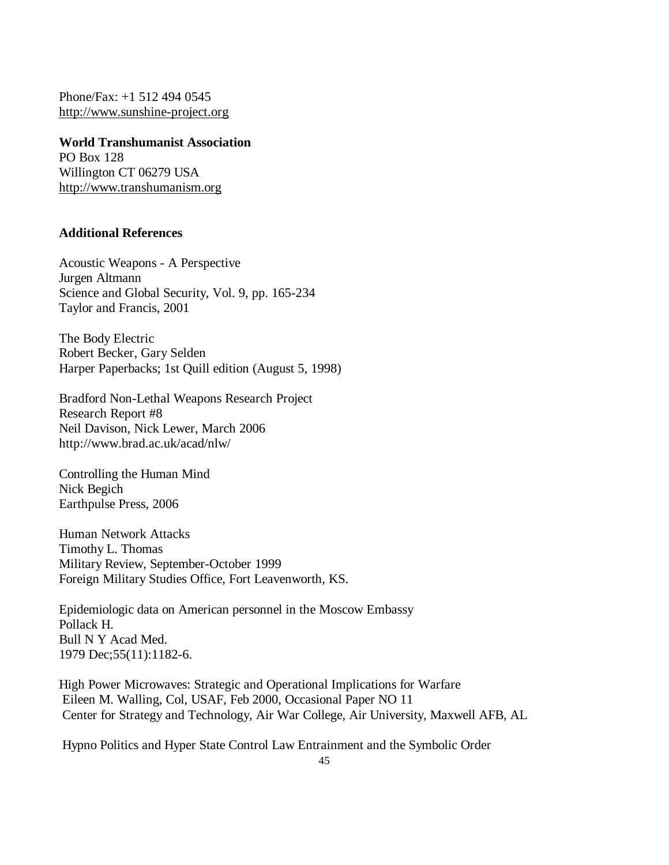Phone/Fax: +1 512 494 0545 http://www.sunshine-project.org

**World Transhumanist Association** PO Box 128 Willington CT 06279 USA http://www.transhumanism.org

## **Additional References**

Acoustic Weapons - A Perspective Jurgen Altmann Science and Global Security, Vol. 9, pp. 165-234 Taylor and Francis, 2001

The Body Electric Robert Becker, Gary Selden Harper Paperbacks; 1st Quill edition (August 5, 1998)

Bradford Non-Lethal Weapons Research Project Research Report #8 Neil Davison, Nick Lewer, March 2006 http://www.brad.ac.uk/acad/nlw/

Controlling the Human Mind Nick Begich Earthpulse Press, 2006

Human Network Attacks Timothy L. Thomas Military Review, September-October 1999 Foreign Military Studies Office, Fort Leavenworth, KS.

Epidemiologic data on American personnel in the Moscow Embassy Pollack H. Bull N Y Acad Med. 1979 Dec;55(11):1182-6.

High Power Microwaves: Strategic and Operational Implications for Warfare Eileen M. Walling, Col, USAF, Feb 2000, Occasional Paper NO 11 Center for Strategy and Technology, Air War College, Air University, Maxwell AFB, AL

Hypno Politics and Hyper State Control Law Entrainment and the Symbolic Order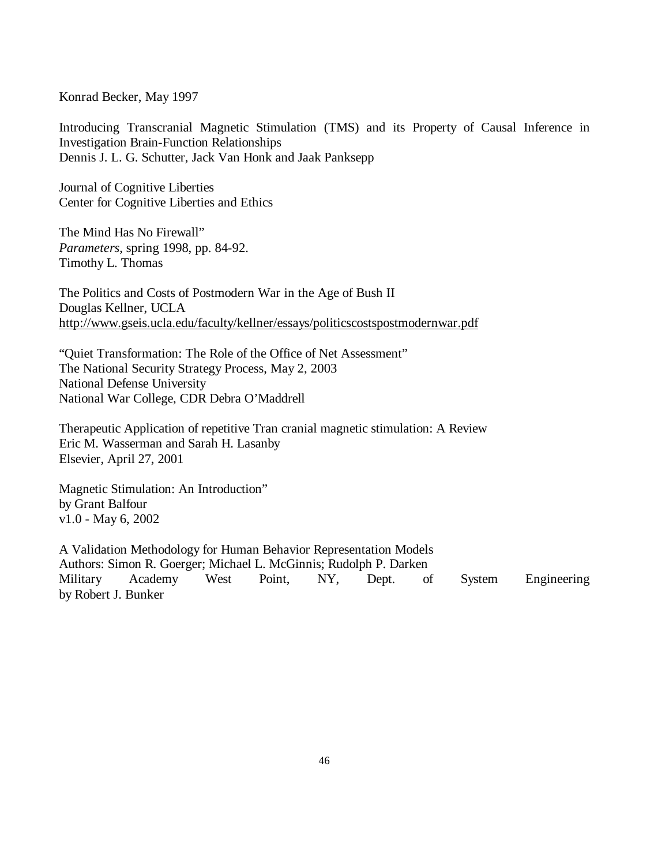Konrad Becker, May 1997

Introducing Transcranial Magnetic Stimulation (TMS) and its Property of Causal Inference in Investigation Brain-Function Relationships Dennis J. L. G. Schutter, Jack Van Honk and Jaak Panksepp

Journal of Cognitive Liberties Center for Cognitive Liberties and Ethics

The Mind Has No Firewall" *Parameters*, spring 1998, pp. 84-92. Timothy L. Thomas

The Politics and Costs of Postmodern War in the Age of Bush II Douglas Kellner, UCLA http://www.gseis.ucla.edu/faculty/kellner/essays/politicscostspostmodernwar.pdf

"Quiet Transformation: The Role of the Office of Net Assessment" The National Security Strategy Process, May 2, 2003 National Defense University National War College, CDR Debra O'Maddrell

Therapeutic Application of repetitive Tran cranial magnetic stimulation: A Review Eric M. Wasserman and Sarah H. Lasanby Elsevier, April 27, 2001

Magnetic Stimulation: An Introduction" by Grant Balfour v1.0 - May 6, 2002

A Validation Methodology for Human Behavior Representation Models Authors: Simon R. Goerger; Michael L. McGinnis; Rudolph P. Darken Military Academy West Point, NY, Dept. of System Engineering by Robert J. Bunker